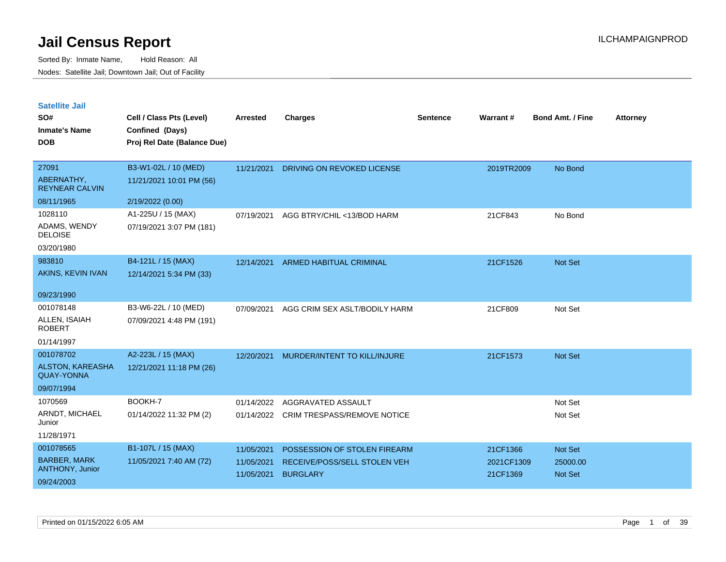| <b>Satellite Jail</b> |  |
|-----------------------|--|
|                       |  |

| SO#<br><b>Inmate's Name</b><br><b>DOB</b> | Cell / Class Pts (Level)<br>Confined (Days)<br>Proj Rel Date (Balance Due) | Arrested   | <b>Charges</b>                     | Sentence | Warrant#   | <b>Bond Amt. / Fine</b> | <b>Attorney</b> |
|-------------------------------------------|----------------------------------------------------------------------------|------------|------------------------------------|----------|------------|-------------------------|-----------------|
|                                           |                                                                            |            |                                    |          |            |                         |                 |
| 27091                                     | B3-W1-02L / 10 (MED)                                                       | 11/21/2021 | DRIVING ON REVOKED LICENSE         |          | 2019TR2009 | No Bond                 |                 |
| ABERNATHY,<br><b>REYNEAR CALVIN</b>       | 11/21/2021 10:01 PM (56)                                                   |            |                                    |          |            |                         |                 |
| 08/11/1965                                | 2/19/2022 (0.00)                                                           |            |                                    |          |            |                         |                 |
| 1028110                                   | A1-225U / 15 (MAX)                                                         | 07/19/2021 | AGG BTRY/CHIL <13/BOD HARM         |          | 21CF843    | No Bond                 |                 |
| ADAMS, WENDY<br><b>DELOISE</b>            | 07/19/2021 3:07 PM (181)                                                   |            |                                    |          |            |                         |                 |
| 03/20/1980                                |                                                                            |            |                                    |          |            |                         |                 |
| 983810                                    | B4-121L / 15 (MAX)                                                         | 12/14/2021 | <b>ARMED HABITUAL CRIMINAL</b>     |          | 21CF1526   | Not Set                 |                 |
| AKINS, KEVIN IVAN                         | 12/14/2021 5:34 PM (33)                                                    |            |                                    |          |            |                         |                 |
| 09/23/1990                                |                                                                            |            |                                    |          |            |                         |                 |
| 001078148                                 | B3-W6-22L / 10 (MED)                                                       | 07/09/2021 | AGG CRIM SEX ASLT/BODILY HARM      |          | 21CF809    | Not Set                 |                 |
| ALLEN, ISAIAH<br><b>ROBERT</b>            | 07/09/2021 4:48 PM (191)                                                   |            |                                    |          |            |                         |                 |
| 01/14/1997                                |                                                                            |            |                                    |          |            |                         |                 |
| 001078702                                 | A2-223L / 15 (MAX)                                                         | 12/20/2021 | MURDER/INTENT TO KILL/INJURE       |          | 21CF1573   | Not Set                 |                 |
| ALSTON, KAREASHA<br><b>QUAY-YONNA</b>     | 12/21/2021 11:18 PM (26)                                                   |            |                                    |          |            |                         |                 |
| 09/07/1994                                |                                                                            |            |                                    |          |            |                         |                 |
| 1070569                                   | BOOKH-7                                                                    | 01/14/2022 | AGGRAVATED ASSAULT                 |          |            | Not Set                 |                 |
| ARNDT, MICHAEL<br>Junior                  | 01/14/2022 11:32 PM (2)                                                    | 01/14/2022 | <b>CRIM TRESPASS/REMOVE NOTICE</b> |          |            | Not Set                 |                 |
| 11/28/1971                                |                                                                            |            |                                    |          |            |                         |                 |
| 001078565                                 | B1-107L / 15 (MAX)                                                         | 11/05/2021 | POSSESSION OF STOLEN FIREARM       |          | 21CF1366   | Not Set                 |                 |
| <b>BARBER, MARK</b>                       | 11/05/2021 7:40 AM (72)                                                    | 11/05/2021 | RECEIVE/POSS/SELL STOLEN VEH       |          | 2021CF1309 | 25000.00                |                 |
| <b>ANTHONY, Junior</b>                    |                                                                            | 11/05/2021 | <b>BURGLARY</b>                    |          | 21CF1369   | <b>Not Set</b>          |                 |
| 09/24/2003                                |                                                                            |            |                                    |          |            |                         |                 |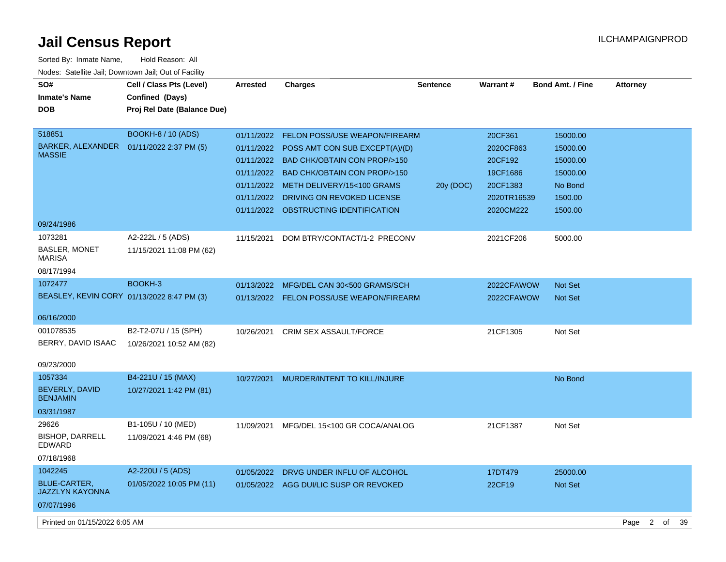| Sorted By: Inmate Name,                               | Hold Reason: All            |            |                                           |                 |             |                  |                        |    |    |
|-------------------------------------------------------|-----------------------------|------------|-------------------------------------------|-----------------|-------------|------------------|------------------------|----|----|
| Nodes: Satellite Jail; Downtown Jail; Out of Facility |                             |            |                                           |                 |             |                  |                        |    |    |
| SO#                                                   | Cell / Class Pts (Level)    | Arrested   | <b>Charges</b>                            | <b>Sentence</b> | Warrant#    | Bond Amt. / Fine | <b>Attorney</b>        |    |    |
| <b>Inmate's Name</b>                                  | Confined (Days)             |            |                                           |                 |             |                  |                        |    |    |
| <b>DOB</b>                                            | Proj Rel Date (Balance Due) |            |                                           |                 |             |                  |                        |    |    |
|                                                       |                             |            |                                           |                 |             |                  |                        |    |    |
| 518851                                                | <b>BOOKH-8 / 10 (ADS)</b>   | 01/11/2022 | <b>FELON POSS/USE WEAPON/FIREARM</b>      |                 | 20CF361     | 15000.00         |                        |    |    |
| BARKER, ALEXANDER  01/11/2022 2:37 PM (5)             |                             |            | 01/11/2022 POSS AMT CON SUB EXCEPT(A)/(D) |                 | 2020CF863   | 15000.00         |                        |    |    |
| <b>MASSIE</b>                                         |                             |            | 01/11/2022 BAD CHK/OBTAIN CON PROP/>150   |                 | 20CF192     | 15000.00         |                        |    |    |
|                                                       |                             |            | 01/11/2022 BAD CHK/OBTAIN CON PROP/>150   |                 | 19CF1686    | 15000.00         |                        |    |    |
|                                                       |                             |            | 01/11/2022 METH DELIVERY/15<100 GRAMS     | 20y (DOC)       | 20CF1383    | No Bond          |                        |    |    |
|                                                       |                             |            | 01/11/2022 DRIVING ON REVOKED LICENSE     |                 | 2020TR16539 | 1500.00          |                        |    |    |
|                                                       |                             |            | 01/11/2022 OBSTRUCTING IDENTIFICATION     |                 | 2020CM222   | 1500.00          |                        |    |    |
| 09/24/1986                                            |                             |            |                                           |                 |             |                  |                        |    |    |
| 1073281                                               | A2-222L / 5 (ADS)           | 11/15/2021 | DOM BTRY/CONTACT/1-2 PRECONV              |                 | 2021CF206   | 5000.00          |                        |    |    |
| <b>BASLER, MONET</b>                                  | 11/15/2021 11:08 PM (62)    |            |                                           |                 |             |                  |                        |    |    |
| <b>MARISA</b>                                         |                             |            |                                           |                 |             |                  |                        |    |    |
| 08/17/1994                                            |                             |            |                                           |                 |             |                  |                        |    |    |
| 1072477                                               | BOOKH-3                     | 01/13/2022 | MFG/DEL CAN 30<500 GRAMS/SCH              |                 | 2022CFAWOW  | <b>Not Set</b>   |                        |    |    |
| BEASLEY, KEVIN CORY 01/13/2022 8:47 PM (3)            |                             |            | 01/13/2022 FELON POSS/USE WEAPON/FIREARM  |                 | 2022CFAWOW  | Not Set          |                        |    |    |
|                                                       |                             |            |                                           |                 |             |                  |                        |    |    |
| 06/16/2000                                            |                             |            |                                           |                 |             |                  |                        |    |    |
| 001078535                                             | B2-T2-07U / 15 (SPH)        | 10/26/2021 | <b>CRIM SEX ASSAULT/FORCE</b>             |                 | 21CF1305    | Not Set          |                        |    |    |
| BERRY, DAVID ISAAC                                    | 10/26/2021 10:52 AM (82)    |            |                                           |                 |             |                  |                        |    |    |
| 09/23/2000                                            |                             |            |                                           |                 |             |                  |                        |    |    |
| 1057334                                               | B4-221U / 15 (MAX)          | 10/27/2021 | MURDER/INTENT TO KILL/INJURE              |                 |             | No Bond          |                        |    |    |
| <b>BEVERLY, DAVID</b>                                 | 10/27/2021 1:42 PM (81)     |            |                                           |                 |             |                  |                        |    |    |
| <b>BENJAMIN</b>                                       |                             |            |                                           |                 |             |                  |                        |    |    |
| 03/31/1987                                            |                             |            |                                           |                 |             |                  |                        |    |    |
| 29626                                                 | B1-105U / 10 (MED)          | 11/09/2021 | MFG/DEL 15<100 GR COCA/ANALOG             |                 | 21CF1387    | Not Set          |                        |    |    |
| <b>BISHOP, DARRELL</b>                                | 11/09/2021 4:46 PM (68)     |            |                                           |                 |             |                  |                        |    |    |
| <b>EDWARD</b>                                         |                             |            |                                           |                 |             |                  |                        |    |    |
| 07/18/1968                                            |                             |            |                                           |                 |             |                  |                        |    |    |
| 1042245                                               | A2-220U / 5 (ADS)           | 01/05/2022 | DRVG UNDER INFLU OF ALCOHOL               |                 | 17DT479     | 25000.00         |                        |    |    |
| <b>BLUE-CARTER,</b>                                   | 01/05/2022 10:05 PM (11)    |            | 01/05/2022 AGG DUI/LIC SUSP OR REVOKED    |                 | 22CF19      | <b>Not Set</b>   |                        |    |    |
| <b>JAZZLYN KAYONNA</b>                                |                             |            |                                           |                 |             |                  |                        |    |    |
| 07/07/1996                                            |                             |            |                                           |                 |             |                  |                        |    |    |
| Printed on 01/15/2022 6:05 AM                         |                             |            |                                           |                 |             |                  | Page<br>$\overline{2}$ | of | 39 |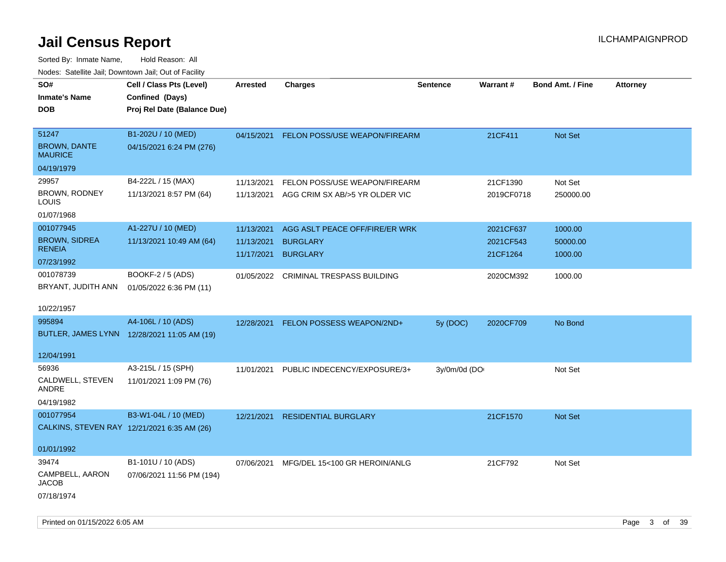| ivuutos. Saltiilit Jali, Duwilluwii Jali, Oul of Facility |                                             |                 |                                       |                 |            |                         |                 |
|-----------------------------------------------------------|---------------------------------------------|-----------------|---------------------------------------|-----------------|------------|-------------------------|-----------------|
| SO#                                                       | Cell / Class Pts (Level)                    | <b>Arrested</b> | <b>Charges</b>                        | <b>Sentence</b> | Warrant#   | <b>Bond Amt. / Fine</b> | <b>Attorney</b> |
| <b>Inmate's Name</b>                                      | Confined (Days)                             |                 |                                       |                 |            |                         |                 |
| DOB                                                       | Proj Rel Date (Balance Due)                 |                 |                                       |                 |            |                         |                 |
|                                                           |                                             |                 |                                       |                 |            |                         |                 |
| 51247                                                     | B1-202U / 10 (MED)                          | 04/15/2021      | FELON POSS/USE WEAPON/FIREARM         |                 | 21CF411    | Not Set                 |                 |
| <b>BROWN, DANTE</b><br><b>MAURICE</b>                     | 04/15/2021 6:24 PM (276)                    |                 |                                       |                 |            |                         |                 |
| 04/19/1979                                                |                                             |                 |                                       |                 |            |                         |                 |
| 29957                                                     | B4-222L / 15 (MAX)                          | 11/13/2021      | FELON POSS/USE WEAPON/FIREARM         |                 | 21CF1390   | Not Set                 |                 |
| BROWN, RODNEY<br>LOUIS                                    | 11/13/2021 8:57 PM (64)                     | 11/13/2021      | AGG CRIM SX AB/>5 YR OLDER VIC        |                 | 2019CF0718 | 250000.00               |                 |
| 01/07/1968                                                |                                             |                 |                                       |                 |            |                         |                 |
| 001077945                                                 | A1-227U / 10 (MED)                          | 11/13/2021      | AGG ASLT PEACE OFF/FIRE/ER WRK        |                 | 2021CF637  | 1000.00                 |                 |
| <b>BROWN, SIDREA</b>                                      | 11/13/2021 10:49 AM (64)                    | 11/13/2021      | <b>BURGLARY</b>                       |                 | 2021CF543  | 50000.00                |                 |
| <b>RENEIA</b>                                             |                                             | 11/17/2021      | <b>BURGLARY</b>                       |                 | 21CF1264   | 1000.00                 |                 |
| 07/23/1992                                                |                                             |                 |                                       |                 |            |                         |                 |
| 001078739                                                 | BOOKF-2 / 5 (ADS)                           |                 | 01/05/2022 CRIMINAL TRESPASS BUILDING |                 | 2020CM392  | 1000.00                 |                 |
| BRYANT, JUDITH ANN                                        | 01/05/2022 6:36 PM (11)                     |                 |                                       |                 |            |                         |                 |
| 10/22/1957                                                |                                             |                 |                                       |                 |            |                         |                 |
| 995894                                                    | A4-106L / 10 (ADS)                          | 12/28/2021      | FELON POSSESS WEAPON/2ND+             | 5y(DOC)         | 2020CF709  | No Bond                 |                 |
|                                                           | BUTLER, JAMES LYNN 12/28/2021 11:05 AM (19) |                 |                                       |                 |            |                         |                 |
| 12/04/1991                                                |                                             |                 |                                       |                 |            |                         |                 |
| 56936                                                     | A3-215L / 15 (SPH)                          | 11/01/2021      | PUBLIC INDECENCY/EXPOSURE/3+          | 3y/0m/0d (DO    |            | Not Set                 |                 |
| CALDWELL, STEVEN<br>ANDRE                                 | 11/01/2021 1:09 PM (76)                     |                 |                                       |                 |            |                         |                 |
| 04/19/1982                                                |                                             |                 |                                       |                 |            |                         |                 |
| 001077954                                                 | B3-W1-04L / 10 (MED)                        | 12/21/2021      | <b>RESIDENTIAL BURGLARY</b>           |                 | 21CF1570   | <b>Not Set</b>          |                 |
| CALKINS, STEVEN RAY 12/21/2021 6:35 AM (26)               |                                             |                 |                                       |                 |            |                         |                 |
|                                                           |                                             |                 |                                       |                 |            |                         |                 |
| 01/01/1992                                                |                                             |                 |                                       |                 |            |                         |                 |
| 39474                                                     | B1-101U / 10 (ADS)                          | 07/06/2021      | MFG/DEL 15<100 GR HEROIN/ANLG         |                 | 21CF792    | Not Set                 |                 |
| CAMPBELL, AARON<br>JACOB                                  | 07/06/2021 11:56 PM (194)                   |                 |                                       |                 |            |                         |                 |
| 07/18/1974                                                |                                             |                 |                                       |                 |            |                         |                 |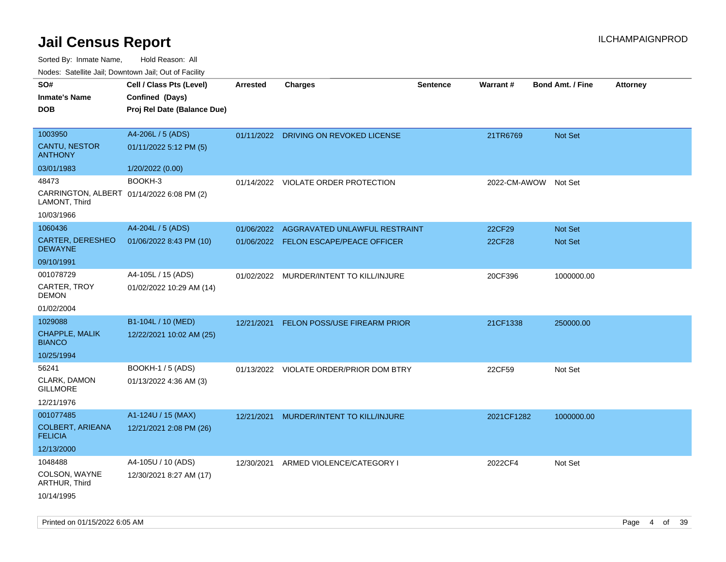| 10000. Catolino can, Dominomii can, Out of Faoint<br>SO#<br><b>Inmate's Name</b><br><b>DOB</b> | Cell / Class Pts (Level)<br>Confined (Days)<br>Proj Rel Date (Balance Due) | <b>Arrested</b> | <b>Charges</b>                                                         | <b>Sentence</b> | <b>Warrant#</b>  | <b>Bond Amt. / Fine</b> | <b>Attorney</b> |
|------------------------------------------------------------------------------------------------|----------------------------------------------------------------------------|-----------------|------------------------------------------------------------------------|-----------------|------------------|-------------------------|-----------------|
| 1003950<br>CANTU, NESTOR<br><b>ANTHONY</b><br>03/01/1983                                       | A4-206L / 5 (ADS)<br>01/11/2022 5:12 PM (5)<br>1/20/2022 (0.00)            |                 | 01/11/2022 DRIVING ON REVOKED LICENSE                                  |                 | 21TR6769         | Not Set                 |                 |
| 48473<br>CARRINGTON, ALBERT 01/14/2022 6:08 PM (2)<br>LAMONT, Third<br>10/03/1966              | BOOKH-3                                                                    |                 | 01/14/2022 VIOLATE ORDER PROTECTION                                    |                 | 2022-CM-AWOW     | Not Set                 |                 |
| 1060436<br>CARTER, DERESHEO<br><b>DEWAYNE</b><br>09/10/1991                                    | A4-204L / 5 (ADS)<br>01/06/2022 8:43 PM (10)                               | 01/06/2022      | AGGRAVATED UNLAWFUL RESTRAINT<br>01/06/2022 FELON ESCAPE/PEACE OFFICER |                 | 22CF29<br>22CF28 | Not Set<br>Not Set      |                 |
| 001078729<br>CARTER, TROY<br><b>DEMON</b><br>01/02/2004                                        | A4-105L / 15 (ADS)<br>01/02/2022 10:29 AM (14)                             |                 | 01/02/2022 MURDER/INTENT TO KILL/INJURE                                |                 | 20CF396          | 1000000.00              |                 |
| 1029088<br>CHAPPLE, MALIK<br><b>BIANCO</b><br>10/25/1994                                       | B1-104L / 10 (MED)<br>12/22/2021 10:02 AM (25)                             | 12/21/2021      | <b>FELON POSS/USE FIREARM PRIOR</b>                                    |                 | 21CF1338         | 250000.00               |                 |
| 56241<br>CLARK, DAMON<br><b>GILLMORE</b><br>12/21/1976                                         | <b>BOOKH-1 / 5 (ADS)</b><br>01/13/2022 4:36 AM (3)                         |                 | 01/13/2022 VIOLATE ORDER/PRIOR DOM BTRY                                |                 | 22CF59           | Not Set                 |                 |
| 001077485<br><b>COLBERT, ARIEANA</b><br><b>FELICIA</b><br>12/13/2000                           | A1-124U / 15 (MAX)<br>12/21/2021 2:08 PM (26)                              | 12/21/2021      | MURDER/INTENT TO KILL/INJURE                                           |                 | 2021CF1282       | 1000000.00              |                 |
| 1048488<br>COLSON, WAYNE<br>ARTHUR, Third<br>10/14/1995                                        | A4-105U / 10 (ADS)<br>12/30/2021 8:27 AM (17)                              | 12/30/2021      | ARMED VIOLENCE/CATEGORY I                                              |                 | 2022CF4          | Not Set                 |                 |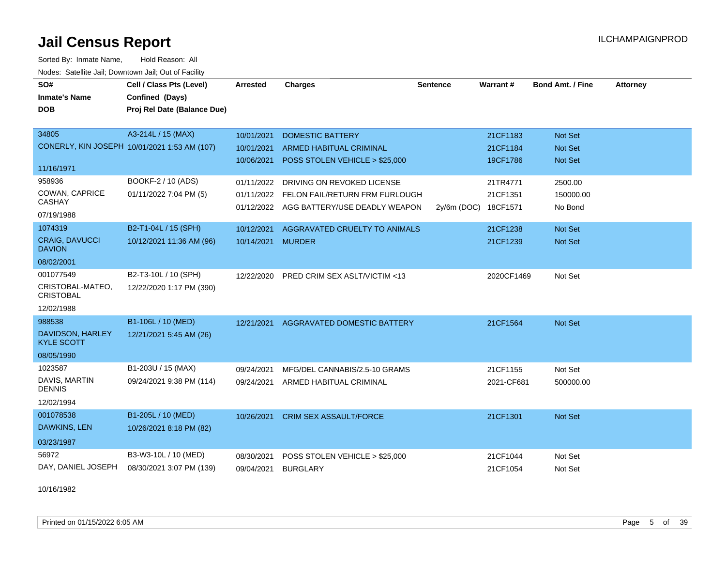Sorted By: Inmate Name, Hold Reason: All Nodes: Satellite Jail; Downtown Jail; Out of Facility

| SO#<br><b>Inmate's Name</b><br><b>DOB</b>                       | Cell / Class Pts (Level)<br>Confined (Days)<br>Proj Rel Date (Balance Due) | <b>Arrested</b>                        | <b>Charges</b>                                                                                           | <b>Sentence</b> | Warrant#                         | <b>Bond Amt. / Fine</b>              | <b>Attorney</b> |
|-----------------------------------------------------------------|----------------------------------------------------------------------------|----------------------------------------|----------------------------------------------------------------------------------------------------------|-----------------|----------------------------------|--------------------------------------|-----------------|
| 34805<br>11/16/1971                                             | A3-214L / 15 (MAX)<br>CONERLY, KIN JOSEPH 10/01/2021 1:53 AM (107)         | 10/01/2021<br>10/01/2021<br>10/06/2021 | <b>DOMESTIC BATTERY</b><br><b>ARMED HABITUAL CRIMINAL</b><br>POSS STOLEN VEHICLE > \$25,000              |                 | 21CF1183<br>21CF1184<br>19CF1786 | Not Set<br>Not Set<br><b>Not Set</b> |                 |
| 958936<br>COWAN, CAPRICE<br>CASHAY<br>07/19/1988                | BOOKF-2 / 10 (ADS)<br>01/11/2022 7:04 PM (5)                               | 01/11/2022<br>01/11/2022               | DRIVING ON REVOKED LICENSE<br>FELON FAIL/RETURN FRM FURLOUGH<br>01/12/2022 AGG BATTERY/USE DEADLY WEAPON | 2y/6m (DOC)     | 21TR4771<br>21CF1351<br>18CF1571 | 2500.00<br>150000.00<br>No Bond      |                 |
| 1074319<br><b>CRAIG, DAVUCCI</b><br><b>DAVION</b><br>08/02/2001 | B2-T1-04L / 15 (SPH)<br>10/12/2021 11:36 AM (96)                           | 10/12/2021<br>10/14/2021 MURDER        | AGGRAVATED CRUELTY TO ANIMALS                                                                            |                 | 21CF1238<br>21CF1239             | Not Set<br>Not Set                   |                 |
| 001077549<br>CRISTOBAL-MATEO.<br><b>CRISTOBAL</b><br>12/02/1988 | B2-T3-10L / 10 (SPH)<br>12/22/2020 1:17 PM (390)                           | 12/22/2020                             | PRED CRIM SEX ASLT/VICTIM <13                                                                            |                 | 2020CF1469                       | Not Set                              |                 |
| 988538<br>DAVIDSON, HARLEY<br><b>KYLE SCOTT</b><br>08/05/1990   | B1-106L / 10 (MED)<br>12/21/2021 5:45 AM (26)                              | 12/21/2021                             | AGGRAVATED DOMESTIC BATTERY                                                                              |                 | 21CF1564                         | Not Set                              |                 |
| 1023587<br>DAVIS, MARTIN<br><b>DENNIS</b><br>12/02/1994         | B1-203U / 15 (MAX)<br>09/24/2021 9:38 PM (114)                             | 09/24/2021<br>09/24/2021               | MFG/DEL CANNABIS/2.5-10 GRAMS<br>ARMED HABITUAL CRIMINAL                                                 |                 | 21CF1155<br>2021-CF681           | Not Set<br>500000.00                 |                 |
| 001078538<br><b>DAWKINS, LEN</b><br>03/23/1987                  | B1-205L / 10 (MED)<br>10/26/2021 8:18 PM (82)                              | 10/26/2021                             | <b>CRIM SEX ASSAULT/FORCE</b>                                                                            |                 | 21CF1301                         | Not Set                              |                 |
| 56972<br>DAY, DANIEL JOSEPH                                     | B3-W3-10L / 10 (MED)<br>08/30/2021 3:07 PM (139)                           | 08/30/2021<br>09/04/2021               | POSS STOLEN VEHICLE > \$25,000<br><b>BURGLARY</b>                                                        |                 | 21CF1044<br>21CF1054             | Not Set<br>Not Set                   |                 |

10/16/1982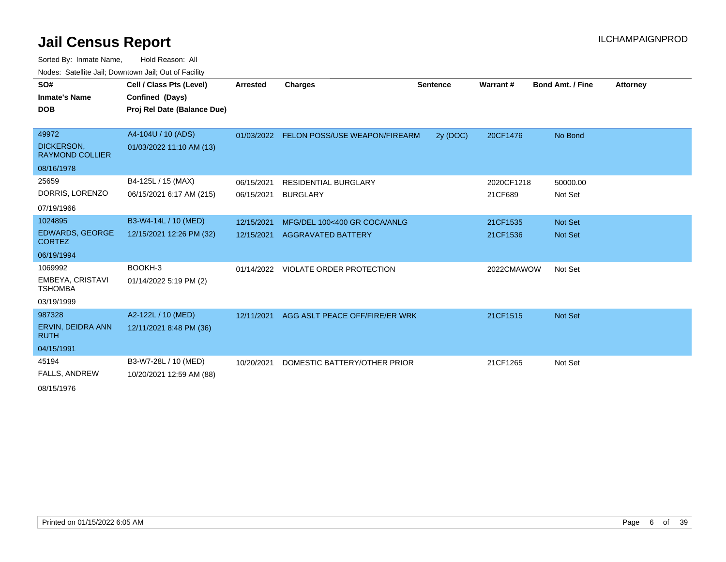Sorted By: Inmate Name, Hold Reason: All Nodes: Satellite Jail; Downtown Jail; Out of Facility

| SO#                                         | Cell / Class Pts (Level)    | Arrested   | Charges                              | <b>Sentence</b> | Warrant#   | <b>Bond Amt. / Fine</b> | <b>Attorney</b> |
|---------------------------------------------|-----------------------------|------------|--------------------------------------|-----------------|------------|-------------------------|-----------------|
| <b>Inmate's Name</b>                        | Confined (Days)             |            |                                      |                 |            |                         |                 |
| <b>DOB</b>                                  | Proj Rel Date (Balance Due) |            |                                      |                 |            |                         |                 |
|                                             |                             |            |                                      |                 |            |                         |                 |
| 49972                                       | A4-104U / 10 (ADS)          | 01/03/2022 | <b>FELON POSS/USE WEAPON/FIREARM</b> | 2y (DOC)        | 20CF1476   | No Bond                 |                 |
| <b>DICKERSON,</b><br><b>RAYMOND COLLIER</b> | 01/03/2022 11:10 AM (13)    |            |                                      |                 |            |                         |                 |
| 08/16/1978                                  |                             |            |                                      |                 |            |                         |                 |
| 25659                                       | B4-125L / 15 (MAX)          | 06/15/2021 | <b>RESIDENTIAL BURGLARY</b>          |                 | 2020CF1218 | 50000.00                |                 |
| DORRIS, LORENZO                             | 06/15/2021 6:17 AM (215)    | 06/15/2021 | <b>BURGLARY</b>                      |                 | 21CF689    | Not Set                 |                 |
| 07/19/1966                                  |                             |            |                                      |                 |            |                         |                 |
| 1024895                                     | B3-W4-14L / 10 (MED)        | 12/15/2021 | MFG/DEL 100<400 GR COCA/ANLG         |                 | 21CF1535   | Not Set                 |                 |
| <b>EDWARDS, GEORGE</b><br><b>CORTEZ</b>     | 12/15/2021 12:26 PM (32)    | 12/15/2021 | <b>AGGRAVATED BATTERY</b>            |                 | 21CF1536   | Not Set                 |                 |
| 06/19/1994                                  |                             |            |                                      |                 |            |                         |                 |
| 1069992                                     | BOOKH-3                     |            | 01/14/2022 VIOLATE ORDER PROTECTION  |                 | 2022CMAWOW | Not Set                 |                 |
| EMBEYA, CRISTAVI<br><b>TSHOMBA</b>          | 01/14/2022 5:19 PM (2)      |            |                                      |                 |            |                         |                 |
| 03/19/1999                                  |                             |            |                                      |                 |            |                         |                 |
| 987328                                      | A2-122L / 10 (MED)          | 12/11/2021 | AGG ASLT PEACE OFF/FIRE/ER WRK       |                 | 21CF1515   | Not Set                 |                 |
| ERVIN, DEIDRA ANN<br><b>RUTH</b>            | 12/11/2021 8:48 PM (36)     |            |                                      |                 |            |                         |                 |
| 04/15/1991                                  |                             |            |                                      |                 |            |                         |                 |
| 45194                                       | B3-W7-28L / 10 (MED)        | 10/20/2021 | DOMESTIC BATTERY/OTHER PRIOR         |                 | 21CF1265   | Not Set                 |                 |
| <b>FALLS, ANDREW</b>                        | 10/20/2021 12:59 AM (88)    |            |                                      |                 |            |                         |                 |
| 0.0454070                                   |                             |            |                                      |                 |            |                         |                 |

08/15/1976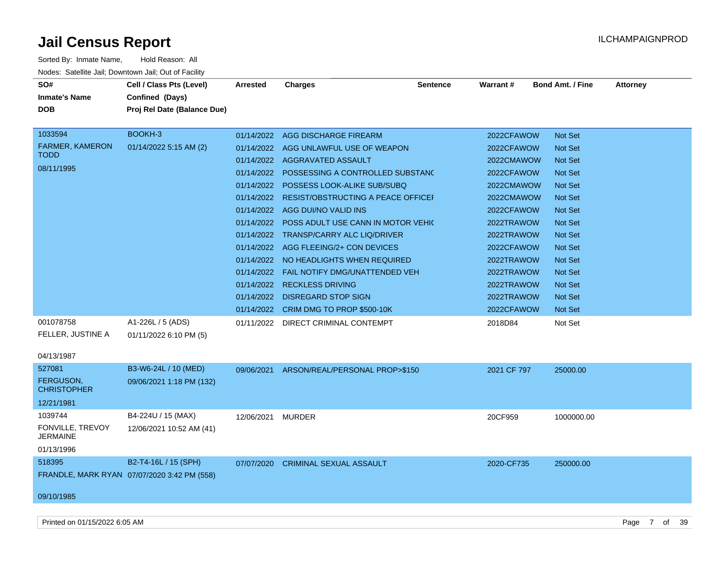| Sorted By: Inmate Name,                               | Hold Reason: All                            |                 |                                               |                 |             |                         |                 |
|-------------------------------------------------------|---------------------------------------------|-----------------|-----------------------------------------------|-----------------|-------------|-------------------------|-----------------|
| Nodes: Satellite Jail; Downtown Jail; Out of Facility |                                             |                 |                                               |                 |             |                         |                 |
| SO#                                                   | Cell / Class Pts (Level)                    | <b>Arrested</b> | <b>Charges</b>                                | <b>Sentence</b> | Warrant#    | <b>Bond Amt. / Fine</b> | <b>Attorney</b> |
| <b>Inmate's Name</b>                                  | Confined (Days)                             |                 |                                               |                 |             |                         |                 |
| DOB                                                   | Proj Rel Date (Balance Due)                 |                 |                                               |                 |             |                         |                 |
|                                                       |                                             |                 |                                               |                 |             |                         |                 |
| 1033594                                               | BOOKH-3                                     |                 | 01/14/2022 AGG DISCHARGE FIREARM              |                 | 2022CFAWOW  | Not Set                 |                 |
| <b>FARMER, KAMERON</b>                                | 01/14/2022 5:15 AM (2)                      |                 | 01/14/2022 AGG UNLAWFUL USE OF WEAPON         |                 | 2022CFAWOW  | <b>Not Set</b>          |                 |
| <b>TODD</b>                                           |                                             |                 | 01/14/2022 AGGRAVATED ASSAULT                 |                 | 2022CMAWOW  | Not Set                 |                 |
| 08/11/1995                                            |                                             |                 | 01/14/2022 POSSESSING A CONTROLLED SUBSTANC   |                 | 2022CFAWOW  | <b>Not Set</b>          |                 |
|                                                       |                                             | 01/14/2022      | POSSESS LOOK-ALIKE SUB/SUBQ                   |                 | 2022CMAWOW  | <b>Not Set</b>          |                 |
|                                                       |                                             | 01/14/2022      | <b>RESIST/OBSTRUCTING A PEACE OFFICEF</b>     |                 | 2022CMAWOW  | <b>Not Set</b>          |                 |
|                                                       |                                             |                 | 01/14/2022 AGG DUI/NO VALID INS               |                 | 2022CFAWOW  | <b>Not Set</b>          |                 |
|                                                       |                                             |                 | 01/14/2022 POSS ADULT USE CANN IN MOTOR VEHIC |                 | 2022TRAWOW  | <b>Not Set</b>          |                 |
|                                                       |                                             |                 | 01/14/2022 TRANSP/CARRY ALC LIQ/DRIVER        |                 | 2022TRAWOW  | <b>Not Set</b>          |                 |
|                                                       |                                             |                 | 01/14/2022 AGG FLEEING/2+ CON DEVICES         |                 | 2022CFAWOW  | <b>Not Set</b>          |                 |
|                                                       |                                             |                 | 01/14/2022 NO HEADLIGHTS WHEN REQUIRED        |                 | 2022TRAWOW  | <b>Not Set</b>          |                 |
|                                                       |                                             |                 | 01/14/2022  FAIL NOTIFY DMG/UNATTENDED VEH    |                 | 2022TRAWOW  | Not Set                 |                 |
|                                                       |                                             |                 | 01/14/2022 RECKLESS DRIVING                   |                 | 2022TRAWOW  | <b>Not Set</b>          |                 |
|                                                       |                                             |                 | 01/14/2022 DISREGARD STOP SIGN                |                 | 2022TRAWOW  | <b>Not Set</b>          |                 |
|                                                       |                                             |                 | 01/14/2022 CRIM DMG TO PROP \$500-10K         |                 | 2022CFAWOW  | <b>Not Set</b>          |                 |
| 001078758                                             | A1-226L / 5 (ADS)                           |                 | 01/11/2022 DIRECT CRIMINAL CONTEMPT           |                 | 2018D84     | Not Set                 |                 |
| FELLER, JUSTINE A                                     | 01/11/2022 6:10 PM (5)                      |                 |                                               |                 |             |                         |                 |
|                                                       |                                             |                 |                                               |                 |             |                         |                 |
| 04/13/1987<br>527081                                  |                                             |                 |                                               |                 |             |                         |                 |
| <b>FERGUSON.</b>                                      | B3-W6-24L / 10 (MED)                        |                 | 09/06/2021 ARSON/REAL/PERSONAL PROP>\$150     |                 | 2021 CF 797 | 25000.00                |                 |
| <b>CHRISTOPHER</b>                                    | 09/06/2021 1:18 PM (132)                    |                 |                                               |                 |             |                         |                 |
| 12/21/1981                                            |                                             |                 |                                               |                 |             |                         |                 |
| 1039744                                               | B4-224U / 15 (MAX)                          | 12/06/2021      | MURDER                                        |                 | 20CF959     | 1000000.00              |                 |
| FONVILLE, TREVOY                                      | 12/06/2021 10:52 AM (41)                    |                 |                                               |                 |             |                         |                 |
| <b>JERMAINE</b>                                       |                                             |                 |                                               |                 |             |                         |                 |
| 01/13/1996                                            |                                             |                 |                                               |                 |             |                         |                 |
| 518395                                                | B2-T4-16L / 15 (SPH)                        |                 | 07/07/2020 CRIMINAL SEXUAL ASSAULT            |                 | 2020-CF735  | 250000.00               |                 |
|                                                       | FRANDLE, MARK RYAN 07/07/2020 3:42 PM (558) |                 |                                               |                 |             |                         |                 |
|                                                       |                                             |                 |                                               |                 |             |                         |                 |
| 09/10/1985                                            |                                             |                 |                                               |                 |             |                         |                 |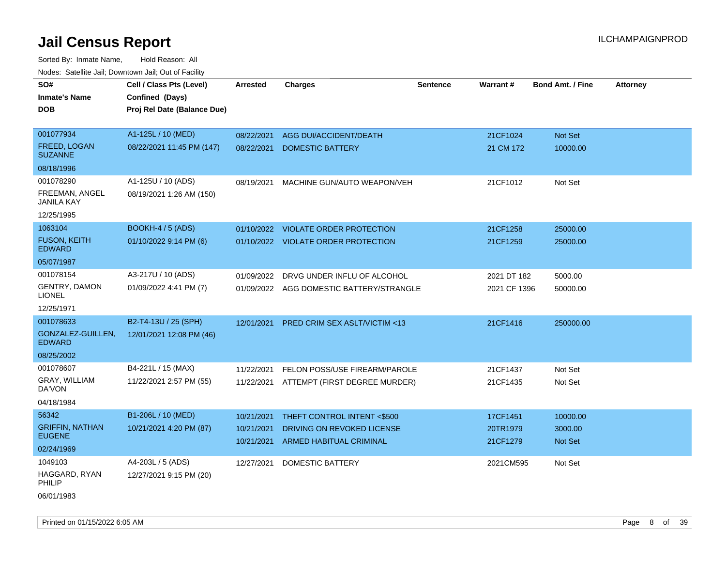| roaco. Catolino cali, Downtown cali, Out of Fability |                             |                          |                                                       |                 |                      |                         |                 |
|------------------------------------------------------|-----------------------------|--------------------------|-------------------------------------------------------|-----------------|----------------------|-------------------------|-----------------|
| SO#                                                  | Cell / Class Pts (Level)    | Arrested                 | <b>Charges</b>                                        | <b>Sentence</b> | Warrant#             | <b>Bond Amt. / Fine</b> | <b>Attorney</b> |
| <b>Inmate's Name</b>                                 | Confined (Days)             |                          |                                                       |                 |                      |                         |                 |
| <b>DOB</b>                                           | Proj Rel Date (Balance Due) |                          |                                                       |                 |                      |                         |                 |
|                                                      |                             |                          |                                                       |                 |                      |                         |                 |
| 001077934                                            | A1-125L / 10 (MED)          | 08/22/2021               | AGG DUI/ACCIDENT/DEATH                                |                 | 21CF1024             | Not Set                 |                 |
| FREED, LOGAN<br><b>SUZANNE</b>                       | 08/22/2021 11:45 PM (147)   | 08/22/2021               | <b>DOMESTIC BATTERY</b>                               |                 | 21 CM 172            | 10000.00                |                 |
| 08/18/1996                                           |                             |                          |                                                       |                 |                      |                         |                 |
| 001078290                                            | A1-125U / 10 (ADS)          | 08/19/2021               | MACHINE GUN/AUTO WEAPON/VEH                           |                 | 21CF1012             | Not Set                 |                 |
| FREEMAN, ANGEL<br><b>JANILA KAY</b>                  | 08/19/2021 1:26 AM (150)    |                          |                                                       |                 |                      |                         |                 |
| 12/25/1995                                           |                             |                          |                                                       |                 |                      |                         |                 |
| 1063104                                              | BOOKH-4 / 5 (ADS)           | 01/10/2022               | <b>VIOLATE ORDER PROTECTION</b>                       |                 | 21CF1258             | 25000.00                |                 |
| <b>FUSON, KEITH</b><br><b>EDWARD</b>                 | 01/10/2022 9:14 PM (6)      |                          | 01/10/2022 VIOLATE ORDER PROTECTION                   |                 | 21CF1259             | 25000.00                |                 |
| 05/07/1987                                           |                             |                          |                                                       |                 |                      |                         |                 |
| 001078154                                            | A3-217U / 10 (ADS)          | 01/09/2022               | DRVG UNDER INFLU OF ALCOHOL                           |                 | 2021 DT 182          | 5000.00                 |                 |
| <b>GENTRY, DAMON</b><br><b>LIONEL</b>                | 01/09/2022 4:41 PM (7)      |                          | 01/09/2022 AGG DOMESTIC BATTERY/STRANGLE              |                 | 2021 CF 1396         | 50000.00                |                 |
| 12/25/1971                                           |                             |                          |                                                       |                 |                      |                         |                 |
| 001078633                                            | B2-T4-13U / 25 (SPH)        | 12/01/2021               | <b>PRED CRIM SEX ASLT/VICTIM &lt;13</b>               |                 | 21CF1416             | 250000.00               |                 |
| GONZALEZ-GUILLEN,<br><b>EDWARD</b>                   | 12/01/2021 12:08 PM (46)    |                          |                                                       |                 |                      |                         |                 |
| 08/25/2002                                           |                             |                          |                                                       |                 |                      |                         |                 |
| 001078607                                            | B4-221L / 15 (MAX)          | 11/22/2021               | FELON POSS/USE FIREARM/PAROLE                         |                 | 21CF1437             | Not Set                 |                 |
| GRAY, WILLIAM<br>DA'VON                              | 11/22/2021 2:57 PM (55)     | 11/22/2021               | ATTEMPT (FIRST DEGREE MURDER)                         |                 | 21CF1435             | Not Set                 |                 |
| 04/18/1984                                           |                             |                          |                                                       |                 |                      |                         |                 |
| 56342                                                | B1-206L / 10 (MED)          | 10/21/2021               | THEFT CONTROL INTENT <\$500                           |                 | 17CF1451             | 10000.00                |                 |
| <b>GRIFFIN, NATHAN</b><br><b>EUGENE</b>              | 10/21/2021 4:20 PM (87)     | 10/21/2021<br>10/21/2021 | DRIVING ON REVOKED LICENSE<br>ARMED HABITUAL CRIMINAL |                 | 20TR1979<br>21CF1279 | 3000.00<br>Not Set      |                 |
| 02/24/1969                                           |                             |                          |                                                       |                 |                      |                         |                 |
| 1049103                                              | A4-203L / 5 (ADS)           | 12/27/2021               | <b>DOMESTIC BATTERY</b>                               |                 | 2021CM595            | Not Set                 |                 |
| HAGGARD, RYAN<br>PHILIP                              | 12/27/2021 9:15 PM (20)     |                          |                                                       |                 |                      |                         |                 |
| 06/01/1983                                           |                             |                          |                                                       |                 |                      |                         |                 |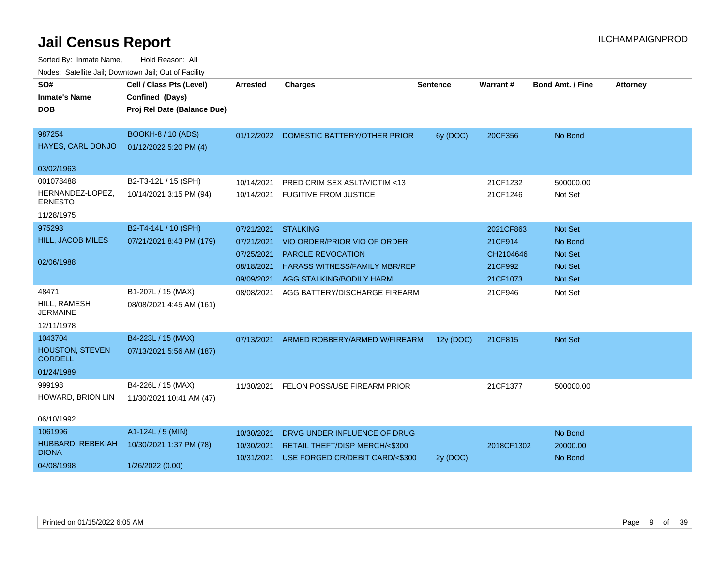| rioucs. Odichite Jah, Downtown Jah, Out of Facility |                             |                 |                                         |                 |            |                         |                 |
|-----------------------------------------------------|-----------------------------|-----------------|-----------------------------------------|-----------------|------------|-------------------------|-----------------|
| SO#                                                 | Cell / Class Pts (Level)    | <b>Arrested</b> | <b>Charges</b>                          | <b>Sentence</b> | Warrant#   | <b>Bond Amt. / Fine</b> | <b>Attorney</b> |
| <b>Inmate's Name</b>                                | Confined (Days)             |                 |                                         |                 |            |                         |                 |
| <b>DOB</b>                                          | Proj Rel Date (Balance Due) |                 |                                         |                 |            |                         |                 |
|                                                     |                             |                 |                                         |                 |            |                         |                 |
| 987254                                              | <b>BOOKH-8 / 10 (ADS)</b>   |                 | 01/12/2022 DOMESTIC BATTERY/OTHER PRIOR | 6y (DOC)        | 20CF356    | No Bond                 |                 |
| HAYES, CARL DONJO                                   | 01/12/2022 5:20 PM (4)      |                 |                                         |                 |            |                         |                 |
| 03/02/1963                                          |                             |                 |                                         |                 |            |                         |                 |
| 001078488                                           | B2-T3-12L / 15 (SPH)        | 10/14/2021      | PRED CRIM SEX ASLT/VICTIM <13           |                 | 21CF1232   | 500000.00               |                 |
| HERNANDEZ-LOPEZ,<br><b>ERNESTO</b>                  | 10/14/2021 3:15 PM (94)     | 10/14/2021      | <b>FUGITIVE FROM JUSTICE</b>            |                 | 21CF1246   | Not Set                 |                 |
| 11/28/1975                                          |                             |                 |                                         |                 |            |                         |                 |
| 975293                                              | B2-T4-14L / 10 (SPH)        | 07/21/2021      | <b>STALKING</b>                         |                 | 2021CF863  | Not Set                 |                 |
| HILL, JACOB MILES                                   | 07/21/2021 8:43 PM (179)    | 07/21/2021      | VIO ORDER/PRIOR VIO OF ORDER            |                 | 21CF914    | No Bond                 |                 |
|                                                     |                             | 07/25/2021      | <b>PAROLE REVOCATION</b>                |                 | CH2104646  | <b>Not Set</b>          |                 |
| 02/06/1988                                          |                             | 08/18/2021      | <b>HARASS WITNESS/FAMILY MBR/REP</b>    |                 | 21CF992    | Not Set                 |                 |
|                                                     |                             | 09/09/2021      | AGG STALKING/BODILY HARM                |                 | 21CF1073   | Not Set                 |                 |
| 48471                                               | B1-207L / 15 (MAX)          | 08/08/2021      | AGG BATTERY/DISCHARGE FIREARM           |                 | 21CF946    | Not Set                 |                 |
| HILL, RAMESH<br><b>JERMAINE</b>                     | 08/08/2021 4:45 AM (161)    |                 |                                         |                 |            |                         |                 |
| 12/11/1978                                          |                             |                 |                                         |                 |            |                         |                 |
| 1043704                                             | B4-223L / 15 (MAX)          | 07/13/2021      | ARMED ROBBERY/ARMED W/FIREARM           | 12y (DOC)       | 21CF815    | <b>Not Set</b>          |                 |
| <b>HOUSTON, STEVEN</b><br><b>CORDELL</b>            | 07/13/2021 5:56 AM (187)    |                 |                                         |                 |            |                         |                 |
| 01/24/1989                                          |                             |                 |                                         |                 |            |                         |                 |
| 999198                                              | B4-226L / 15 (MAX)          | 11/30/2021      | FELON POSS/USE FIREARM PRIOR            |                 | 21CF1377   | 500000.00               |                 |
| HOWARD, BRION LIN                                   | 11/30/2021 10:41 AM (47)    |                 |                                         |                 |            |                         |                 |
| 06/10/1992                                          |                             |                 |                                         |                 |            |                         |                 |
| 1061996                                             | A1-124L / 5 (MIN)           | 10/30/2021      | DRVG UNDER INFLUENCE OF DRUG            |                 |            | No Bond                 |                 |
| HUBBARD, REBEKIAH<br><b>DIONA</b>                   | 10/30/2021 1:37 PM (78)     | 10/30/2021      | RETAIL THEFT/DISP MERCH/<\$300          |                 | 2018CF1302 | 20000.00                |                 |
| 04/08/1998                                          | 1/26/2022 (0.00)            | 10/31/2021      | USE FORGED CR/DEBIT CARD/<\$300         | 2y (DOC)        |            | No Bond                 |                 |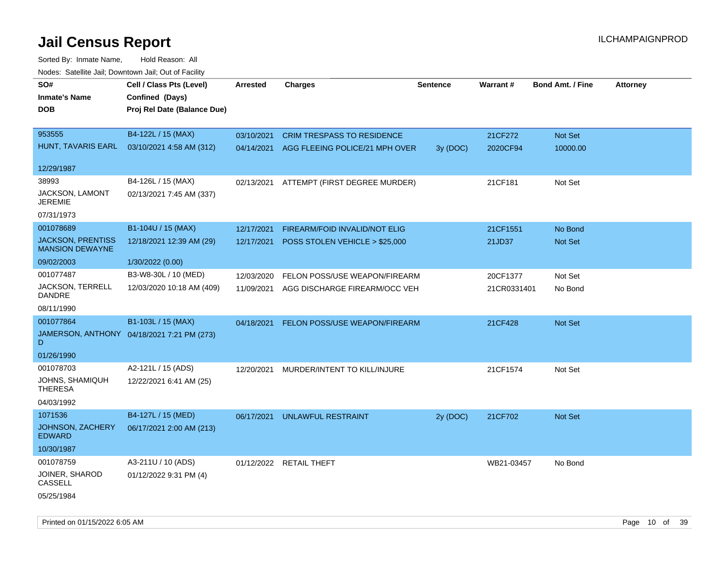| rouco. Calcillo Jali, Downtown Jali, Out of Facility |                                            |                 |                                   |          |             |                         |                 |
|------------------------------------------------------|--------------------------------------------|-----------------|-----------------------------------|----------|-------------|-------------------------|-----------------|
| SO#                                                  | Cell / Class Pts (Level)                   | <b>Arrested</b> | <b>Charges</b>                    | Sentence | Warrant#    | <b>Bond Amt. / Fine</b> | <b>Attorney</b> |
| <b>Inmate's Name</b>                                 | Confined (Days)                            |                 |                                   |          |             |                         |                 |
| <b>DOB</b>                                           | Proj Rel Date (Balance Due)                |                 |                                   |          |             |                         |                 |
|                                                      |                                            |                 |                                   |          |             |                         |                 |
| 953555                                               | B4-122L / 15 (MAX)                         | 03/10/2021      | <b>CRIM TRESPASS TO RESIDENCE</b> |          | 21CF272     | Not Set                 |                 |
| HUNT, TAVARIS EARL                                   | 03/10/2021 4:58 AM (312)                   | 04/14/2021      | AGG FLEEING POLICE/21 MPH OVER    | 3y(DOC)  | 2020CF94    | 10000.00                |                 |
|                                                      |                                            |                 |                                   |          |             |                         |                 |
| 12/29/1987                                           |                                            |                 |                                   |          |             |                         |                 |
| 38993                                                | B4-126L / 15 (MAX)                         | 02/13/2021      | ATTEMPT (FIRST DEGREE MURDER)     |          | 21CF181     | Not Set                 |                 |
| JACKSON, LAMONT<br><b>JEREMIE</b>                    | 02/13/2021 7:45 AM (337)                   |                 |                                   |          |             |                         |                 |
| 07/31/1973                                           |                                            |                 |                                   |          |             |                         |                 |
| 001078689                                            | B1-104U / 15 (MAX)                         | 12/17/2021      | FIREARM/FOID INVALID/NOT ELIG     |          | 21CF1551    | No Bond                 |                 |
| <b>JACKSON, PRENTISS</b><br><b>MANSION DEWAYNE</b>   | 12/18/2021 12:39 AM (29)                   | 12/17/2021      | POSS STOLEN VEHICLE > \$25,000    |          | 21JD37      | Not Set                 |                 |
| 09/02/2003                                           | 1/30/2022 (0.00)                           |                 |                                   |          |             |                         |                 |
| 001077487                                            | B3-W8-30L / 10 (MED)                       | 12/03/2020      | FELON POSS/USE WEAPON/FIREARM     |          | 20CF1377    | Not Set                 |                 |
| JACKSON, TERRELL<br>DANDRE                           | 12/03/2020 10:18 AM (409)                  | 11/09/2021      | AGG DISCHARGE FIREARM/OCC VEH     |          | 21CR0331401 | No Bond                 |                 |
| 08/11/1990                                           |                                            |                 |                                   |          |             |                         |                 |
| 001077864                                            | B1-103L / 15 (MAX)                         | 04/18/2021      | FELON POSS/USE WEAPON/FIREARM     |          | 21CF428     | Not Set                 |                 |
| D                                                    | JAMERSON, ANTHONY 04/18/2021 7:21 PM (273) |                 |                                   |          |             |                         |                 |
| 01/26/1990                                           |                                            |                 |                                   |          |             |                         |                 |
| 001078703                                            | A2-121L / 15 (ADS)                         | 12/20/2021      | MURDER/INTENT TO KILL/INJURE      |          | 21CF1574    | Not Set                 |                 |
| JOHNS, SHAMIQUH<br><b>THERESA</b>                    | 12/22/2021 6:41 AM (25)                    |                 |                                   |          |             |                         |                 |
| 04/03/1992                                           |                                            |                 |                                   |          |             |                         |                 |
| 1071536                                              | B4-127L / 15 (MED)                         | 06/17/2021      | UNLAWFUL RESTRAINT                | 2y (DOC) | 21CF702     | <b>Not Set</b>          |                 |
| JOHNSON, ZACHERY<br><b>EDWARD</b>                    | 06/17/2021 2:00 AM (213)                   |                 |                                   |          |             |                         |                 |
| 10/30/1987                                           |                                            |                 |                                   |          |             |                         |                 |
| 001078759                                            | A3-211U / 10 (ADS)                         |                 | 01/12/2022 RETAIL THEFT           |          | WB21-03457  | No Bond                 |                 |
| JOINER, SHAROD<br>CASSELL                            | 01/12/2022 9:31 PM (4)                     |                 |                                   |          |             |                         |                 |
| 05/25/1984                                           |                                            |                 |                                   |          |             |                         |                 |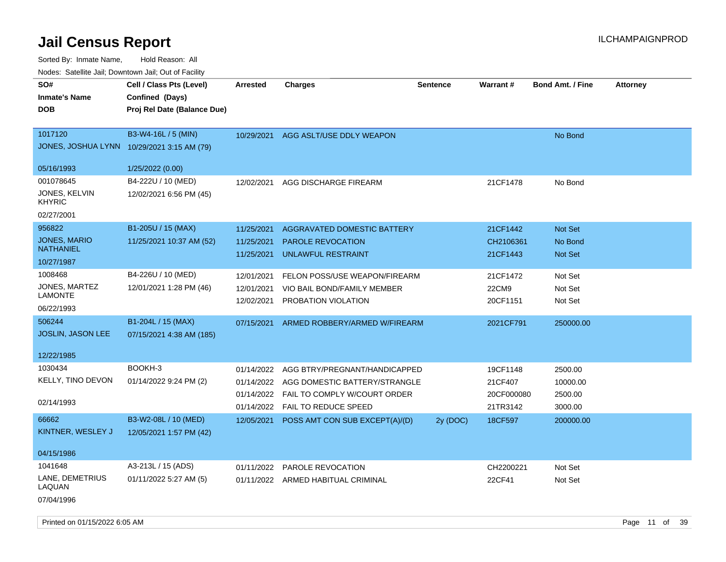Sorted By: Inmate Name, Hold Reason: All Nodes: Satellite Jail; Downtown Jail; Out of Facility

| SO#<br><b>Inmate's Name</b><br><b>DOB</b>                                     | Cell / Class Pts (Level)<br>Confined (Days)<br>Proj Rel Date (Balance Due) | Arrested                                             | Charges                                                                                                                | <b>Sentence</b> | <b>Warrant#</b>                               | <b>Bond Amt. / Fine</b>                   | <b>Attorney</b> |
|-------------------------------------------------------------------------------|----------------------------------------------------------------------------|------------------------------------------------------|------------------------------------------------------------------------------------------------------------------------|-----------------|-----------------------------------------------|-------------------------------------------|-----------------|
| 1017120<br>JONES, JOSHUA LYNN 10/29/2021 3:15 AM (79)<br>05/16/1993           | B3-W4-16L / 5 (MIN)<br>1/25/2022 (0.00)                                    | 10/29/2021                                           | AGG ASLT/USE DDLY WEAPON                                                                                               |                 |                                               | No Bond                                   |                 |
| 001078645<br>JONES, KELVIN<br><b>KHYRIC</b>                                   | B4-222U / 10 (MED)<br>12/02/2021 6:56 PM (45)                              | 12/02/2021                                           | AGG DISCHARGE FIREARM                                                                                                  |                 | 21CF1478                                      | No Bond                                   |                 |
| 02/27/2001<br>956822<br><b>JONES, MARIO</b><br><b>NATHANIEL</b><br>10/27/1987 | B1-205U / 15 (MAX)<br>11/25/2021 10:37 AM (52)                             | 11/25/2021<br>11/25/2021<br>11/25/2021               | <b>AGGRAVATED DOMESTIC BATTERY</b><br>PAROLE REVOCATION<br>UNLAWFUL RESTRAINT                                          |                 | 21CF1442<br>CH2106361<br>21CF1443             | Not Set<br>No Bond<br><b>Not Set</b>      |                 |
| 1008468<br>JONES, MARTEZ<br>LAMONTE<br>06/22/1993                             | B4-226U / 10 (MED)<br>12/01/2021 1:28 PM (46)                              | 12/01/2021<br>12/01/2021<br>12/02/2021               | FELON POSS/USE WEAPON/FIREARM<br>VIO BAIL BOND/FAMILY MEMBER<br>PROBATION VIOLATION                                    |                 | 21CF1472<br>22CM9<br>20CF1151                 | Not Set<br>Not Set<br>Not Set             |                 |
| 506244<br><b>JOSLIN, JASON LEE</b><br>12/22/1985                              | B1-204L / 15 (MAX)<br>07/15/2021 4:38 AM (185)                             | 07/15/2021                                           | ARMED ROBBERY/ARMED W/FIREARM                                                                                          |                 | 2021CF791                                     | 250000.00                                 |                 |
| 1030434<br><b>KELLY, TINO DEVON</b><br>02/14/1993                             | BOOKH-3<br>01/14/2022 9:24 PM (2)                                          | 01/14/2022<br>01/14/2022<br>01/14/2022<br>01/14/2022 | AGG BTRY/PREGNANT/HANDICAPPED<br>AGG DOMESTIC BATTERY/STRANGLE<br>FAIL TO COMPLY W/COURT ORDER<br>FAIL TO REDUCE SPEED |                 | 19CF1148<br>21CF407<br>20CF000080<br>21TR3142 | 2500.00<br>10000.00<br>2500.00<br>3000.00 |                 |
| 66662<br>KINTNER, WESLEY J<br>04/15/1986                                      | B3-W2-08L / 10 (MED)<br>12/05/2021 1:57 PM (42)                            | 12/05/2021                                           | POSS AMT CON SUB EXCEPT(A)/(D)                                                                                         | 2y (DOC)        | 18CF597                                       | 200000.00                                 |                 |
| 1041648<br>LANE, DEMETRIUS<br>LAQUAN<br>07/04/1996                            | A3-213L / 15 (ADS)<br>01/11/2022 5:27 AM (5)                               | 01/11/2022                                           | <b>PAROLE REVOCATION</b><br>01/11/2022 ARMED HABITUAL CRIMINAL                                                         |                 | CH2200221<br>22CF41                           | Not Set<br>Not Set                        |                 |

Printed on 01/15/2022 6:05 AM **Page 11** of 39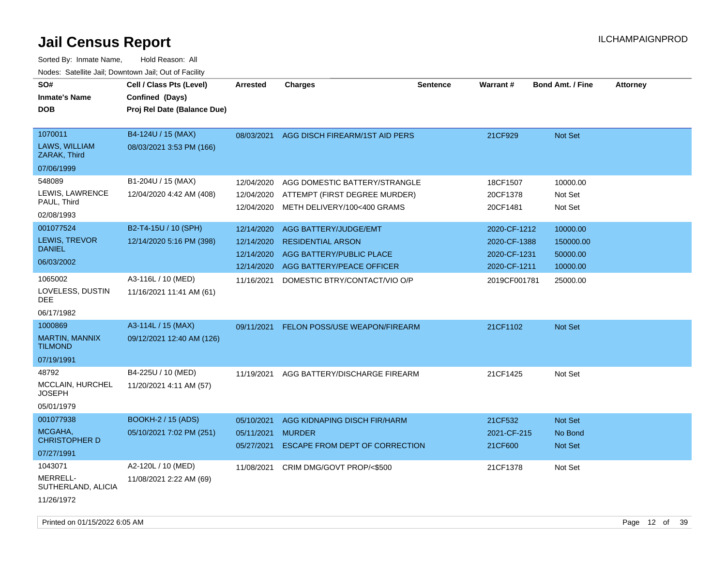| SO#<br><b>Inmate's Name</b><br><b>DOB</b>                       | Cell / Class Pts (Level)<br>Confined (Days)<br>Proj Rel Date (Balance Due) | <b>Arrested</b>                                      | <b>Charges</b>                                                                                                    | <b>Sentence</b> | Warrant#                                                     | <b>Bond Amt. / Fine</b>                       | <b>Attorney</b> |
|-----------------------------------------------------------------|----------------------------------------------------------------------------|------------------------------------------------------|-------------------------------------------------------------------------------------------------------------------|-----------------|--------------------------------------------------------------|-----------------------------------------------|-----------------|
| 1070011<br>LAWS, WILLIAM<br>ZARAK, Third<br>07/06/1999          | B4-124U / 15 (MAX)<br>08/03/2021 3:53 PM (166)                             |                                                      | 08/03/2021 AGG DISCH FIREARM/1ST AID PERS                                                                         |                 | 21CF929                                                      | <b>Not Set</b>                                |                 |
| 548089<br>LEWIS, LAWRENCE<br>PAUL, Third<br>02/08/1993          | B1-204U / 15 (MAX)<br>12/04/2020 4:42 AM (408)                             | 12/04/2020<br>12/04/2020<br>12/04/2020               | AGG DOMESTIC BATTERY/STRANGLE<br>ATTEMPT (FIRST DEGREE MURDER)<br>METH DELIVERY/100<400 GRAMS                     |                 | 18CF1507<br>20CF1378<br>20CF1481                             | 10000.00<br>Not Set<br>Not Set                |                 |
| 001077524<br>LEWIS, TREVOR<br><b>DANIEL</b><br>06/03/2002       | B2-T4-15U / 10 (SPH)<br>12/14/2020 5:16 PM (398)                           | 12/14/2020<br>12/14/2020<br>12/14/2020<br>12/14/2020 | AGG BATTERY/JUDGE/EMT<br><b>RESIDENTIAL ARSON</b><br><b>AGG BATTERY/PUBLIC PLACE</b><br>AGG BATTERY/PEACE OFFICER |                 | 2020-CF-1212<br>2020-CF-1388<br>2020-CF-1231<br>2020-CF-1211 | 10000.00<br>150000.00<br>50000.00<br>10000.00 |                 |
| 1065002<br>LOVELESS, DUSTIN<br><b>DEE</b><br>06/17/1982         | A3-116L / 10 (MED)<br>11/16/2021 11:41 AM (61)                             | 11/16/2021                                           | DOMESTIC BTRY/CONTACT/VIO O/P                                                                                     |                 | 2019CF001781                                                 | 25000.00                                      |                 |
| 1000869<br>MARTIN, MANNIX<br><b>TILMOND</b><br>07/19/1991       | A3-114L / 15 (MAX)<br>09/12/2021 12:40 AM (126)                            | 09/11/2021                                           | FELON POSS/USE WEAPON/FIREARM                                                                                     |                 | 21CF1102                                                     | <b>Not Set</b>                                |                 |
| 48792<br><b>MCCLAIN, HURCHEL</b><br><b>JOSEPH</b><br>05/01/1979 | B4-225U / 10 (MED)<br>11/20/2021 4:11 AM (57)                              | 11/19/2021                                           | AGG BATTERY/DISCHARGE FIREARM                                                                                     |                 | 21CF1425                                                     | Not Set                                       |                 |
| 001077938<br>MCGAHA,<br><b>CHRISTOPHER D</b><br>07/27/1991      | <b>BOOKH-2 / 15 (ADS)</b><br>05/10/2021 7:02 PM (251)                      | 05/10/2021<br>05/11/2021<br>05/27/2021               | AGG KIDNAPING DISCH FIR/HARM<br><b>MURDER</b><br>ESCAPE FROM DEPT OF CORRECTION                                   |                 | 21CF532<br>2021-CF-215<br>21CF600                            | Not Set<br>No Bond<br>Not Set                 |                 |
| 1043071<br>MERRELL-<br>SUTHERLAND, ALICIA<br>11/26/1972         | A2-120L / 10 (MED)<br>11/08/2021 2:22 AM (69)                              | 11/08/2021                                           | CRIM DMG/GOVT PROP/<\$500                                                                                         |                 | 21CF1378                                                     | Not Set                                       |                 |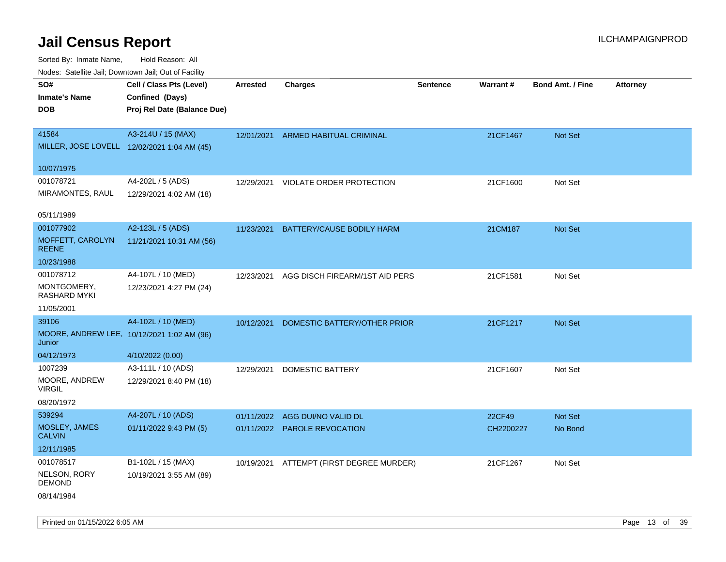Sorted By: Inmate Name, Hold Reason: All

| Nodes: Satellite Jail; Downtown Jail; Out of Facility |                                             |                 |                                |                 |                 |                         |                 |
|-------------------------------------------------------|---------------------------------------------|-----------------|--------------------------------|-----------------|-----------------|-------------------------|-----------------|
| SO#                                                   | Cell / Class Pts (Level)                    | <b>Arrested</b> | <b>Charges</b>                 | <b>Sentence</b> | <b>Warrant#</b> | <b>Bond Amt. / Fine</b> | <b>Attorney</b> |
| <b>Inmate's Name</b>                                  | Confined (Days)                             |                 |                                |                 |                 |                         |                 |
| <b>DOB</b>                                            | Proj Rel Date (Balance Due)                 |                 |                                |                 |                 |                         |                 |
|                                                       |                                             |                 |                                |                 |                 |                         |                 |
| 41584                                                 | A3-214U / 15 (MAX)                          | 12/01/2021      | ARMED HABITUAL CRIMINAL        |                 | 21CF1467        | Not Set                 |                 |
|                                                       | MILLER, JOSE LOVELL 12/02/2021 1:04 AM (45) |                 |                                |                 |                 |                         |                 |
| 10/07/1975                                            |                                             |                 |                                |                 |                 |                         |                 |
| 001078721                                             | A4-202L / 5 (ADS)                           | 12/29/2021      | VIOLATE ORDER PROTECTION       |                 | 21CF1600        | Not Set                 |                 |
| MIRAMONTES, RAUL                                      | 12/29/2021 4:02 AM (18)                     |                 |                                |                 |                 |                         |                 |
|                                                       |                                             |                 |                                |                 |                 |                         |                 |
| 05/11/1989                                            |                                             |                 |                                |                 |                 |                         |                 |
| 001077902                                             | A2-123L / 5 (ADS)                           | 11/23/2021      | BATTERY/CAUSE BODILY HARM      |                 | 21CM187         | Not Set                 |                 |
| MOFFETT, CAROLYN<br><b>REENE</b>                      | 11/21/2021 10:31 AM (56)                    |                 |                                |                 |                 |                         |                 |
| 10/23/1988                                            |                                             |                 |                                |                 |                 |                         |                 |
| 001078712                                             | A4-107L / 10 (MED)                          | 12/23/2021      | AGG DISCH FIREARM/1ST AID PERS |                 | 21CF1581        | Not Set                 |                 |
| MONTGOMERY,<br><b>RASHARD MYKI</b>                    | 12/23/2021 4:27 PM (24)                     |                 |                                |                 |                 |                         |                 |
| 11/05/2001                                            |                                             |                 |                                |                 |                 |                         |                 |
| 39106                                                 | A4-102L / 10 (MED)                          | 10/12/2021      | DOMESTIC BATTERY/OTHER PRIOR   |                 | 21CF1217        | Not Set                 |                 |
| Junior                                                | MOORE, ANDREW LEE, 10/12/2021 1:02 AM (96)  |                 |                                |                 |                 |                         |                 |
| 04/12/1973                                            | 4/10/2022 (0.00)                            |                 |                                |                 |                 |                         |                 |
| 1007239                                               | A3-111L / 10 (ADS)                          | 12/29/2021      | <b>DOMESTIC BATTERY</b>        |                 | 21CF1607        | Not Set                 |                 |
| MOORE, ANDREW<br><b>VIRGIL</b>                        | 12/29/2021 8:40 PM (18)                     |                 |                                |                 |                 |                         |                 |
| 08/20/1972                                            |                                             |                 |                                |                 |                 |                         |                 |
| 539294                                                | A4-207L / 10 (ADS)                          | 01/11/2022      | AGG DUI/NO VALID DL            |                 | 22CF49          | Not Set                 |                 |
| MOSLEY, JAMES<br><b>CALVIN</b>                        | 01/11/2022 9:43 PM (5)                      |                 | 01/11/2022 PAROLE REVOCATION   |                 | CH2200227       | No Bond                 |                 |
| 12/11/1985                                            |                                             |                 |                                |                 |                 |                         |                 |
| 001078517                                             | B1-102L / 15 (MAX)                          | 10/19/2021      | ATTEMPT (FIRST DEGREE MURDER)  |                 | 21CF1267        | Not Set                 |                 |
| NELSON, RORY<br><b>DEMOND</b>                         | 10/19/2021 3:55 AM (89)                     |                 |                                |                 |                 |                         |                 |
| 08/14/1984                                            |                                             |                 |                                |                 |                 |                         |                 |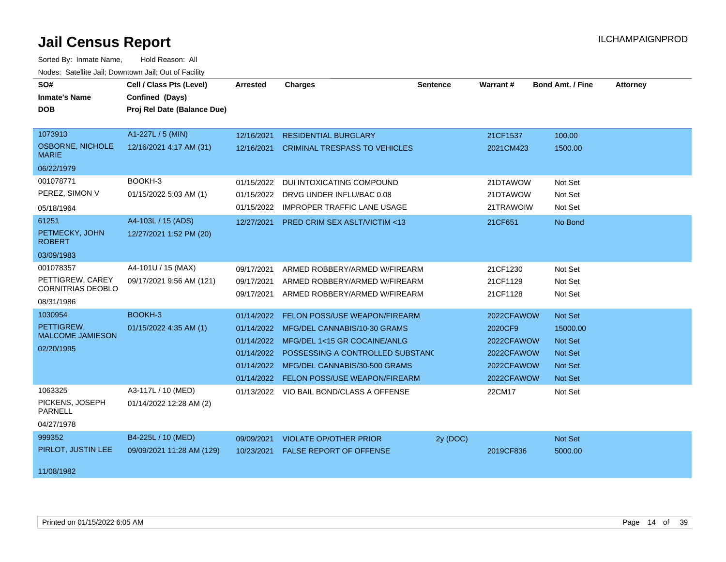| SO#                                     | Cell / Class Pts (Level)    | Arrested   | <b>Charges</b>                           | <b>Sentence</b> | Warrant#   | <b>Bond Amt. / Fine</b> | <b>Attorney</b> |
|-----------------------------------------|-----------------------------|------------|------------------------------------------|-----------------|------------|-------------------------|-----------------|
| <b>Inmate's Name</b>                    | Confined (Days)             |            |                                          |                 |            |                         |                 |
| <b>DOB</b>                              | Proj Rel Date (Balance Due) |            |                                          |                 |            |                         |                 |
|                                         |                             |            |                                          |                 |            |                         |                 |
| 1073913                                 | A1-227L / 5 (MIN)           | 12/16/2021 | <b>RESIDENTIAL BURGLARY</b>              |                 | 21CF1537   | 100.00                  |                 |
| <b>OSBORNE, NICHOLE</b><br><b>MARIE</b> | 12/16/2021 4:17 AM (31)     | 12/16/2021 | <b>CRIMINAL TRESPASS TO VEHICLES</b>     |                 | 2021CM423  | 1500.00                 |                 |
| 06/22/1979                              |                             |            |                                          |                 |            |                         |                 |
| 001078771                               | BOOKH-3                     | 01/15/2022 | <b>DUI INTOXICATING COMPOUND</b>         |                 | 21DTAWOW   | Not Set                 |                 |
| PEREZ, SIMON V                          | 01/15/2022 5:03 AM (1)      | 01/15/2022 | DRVG UNDER INFLU/BAC 0.08                |                 | 21DTAWOW   | Not Set                 |                 |
| 05/18/1964                              |                             | 01/15/2022 | <b>IMPROPER TRAFFIC LANE USAGE</b>       |                 | 21TRAWOIW  | Not Set                 |                 |
| 61251                                   | A4-103L / 15 (ADS)          | 12/27/2021 | <b>PRED CRIM SEX ASLT/VICTIM &lt;13</b>  |                 | 21CF651    | No Bond                 |                 |
| PETMECKY, JOHN<br><b>ROBERT</b>         | 12/27/2021 1:52 PM (20)     |            |                                          |                 |            |                         |                 |
| 03/09/1983                              |                             |            |                                          |                 |            |                         |                 |
| 001078357                               | A4-101U / 15 (MAX)          | 09/17/2021 | ARMED ROBBERY/ARMED W/FIREARM            |                 | 21CF1230   | Not Set                 |                 |
| PETTIGREW, CAREY                        | 09/17/2021 9:56 AM (121)    | 09/17/2021 | ARMED ROBBERY/ARMED W/FIREARM            |                 | 21CF1129   | Not Set                 |                 |
| CORNITRIAS DEOBLO                       |                             | 09/17/2021 | ARMED ROBBERY/ARMED W/FIREARM            |                 | 21CF1128   | Not Set                 |                 |
| 08/31/1986                              |                             |            |                                          |                 |            |                         |                 |
| 1030954                                 | BOOKH-3                     | 01/14/2022 | FELON POSS/USE WEAPON/FIREARM            |                 | 2022CFAWOW | Not Set                 |                 |
| PETTIGREW.<br><b>MALCOME JAMIESON</b>   | 01/15/2022 4:35 AM (1)      | 01/14/2022 | MFG/DEL CANNABIS/10-30 GRAMS             |                 | 2020CF9    | 15000.00                |                 |
| 02/20/1995                              |                             |            | 01/14/2022 MFG/DEL 1<15 GR COCAINE/ANLG  |                 | 2022CFAWOW | <b>Not Set</b>          |                 |
|                                         |                             | 01/14/2022 | POSSESSING A CONTROLLED SUBSTANC         |                 | 2022CFAWOW | <b>Not Set</b>          |                 |
|                                         |                             | 01/14/2022 | MFG/DEL CANNABIS/30-500 GRAMS            |                 | 2022CFAWOW | <b>Not Set</b>          |                 |
|                                         |                             |            | 01/14/2022 FELON POSS/USE WEAPON/FIREARM |                 | 2022CFAWOW | Not Set                 |                 |
| 1063325                                 | A3-117L / 10 (MED)          |            | 01/13/2022 VIO BAIL BOND/CLASS A OFFENSE |                 | 22CM17     | Not Set                 |                 |
| PICKENS, JOSEPH<br><b>PARNELL</b>       | 01/14/2022 12:28 AM (2)     |            |                                          |                 |            |                         |                 |
| 04/27/1978                              |                             |            |                                          |                 |            |                         |                 |
| 999352                                  | B4-225L / 10 (MED)          | 09/09/2021 | <b>VIOLATE OP/OTHER PRIOR</b>            | 2y (DOC)        |            | Not Set                 |                 |
| PIRLOT, JUSTIN LEE                      | 09/09/2021 11:28 AM (129)   | 10/23/2021 | <b>FALSE REPORT OF OFFENSE</b>           |                 | 2019CF836  | 5000.00                 |                 |
| 11/08/1982                              |                             |            |                                          |                 |            |                         |                 |
|                                         |                             |            |                                          |                 |            |                         |                 |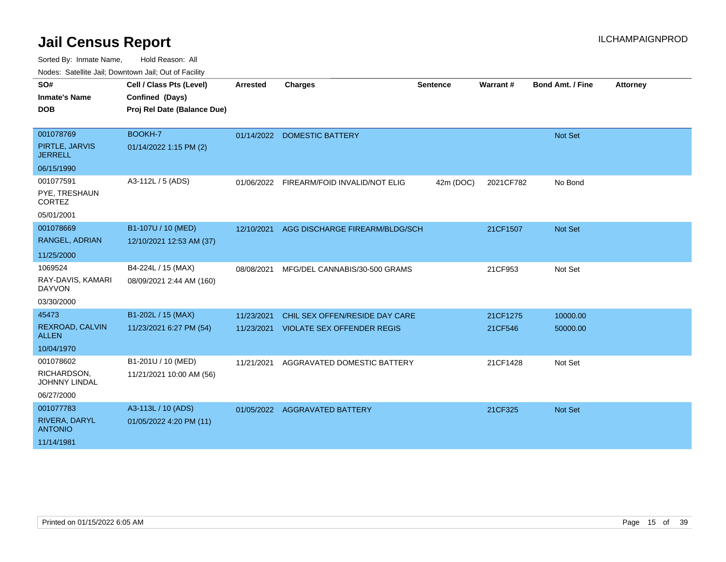| SO#<br><b>Inmate's Name</b><br><b>DOB</b>                               | Cell / Class Pts (Level)<br>Confined (Days)<br>Proj Rel Date (Balance Due) | <b>Arrested</b>          | <b>Charges</b>                                                      | <b>Sentence</b> | Warrant#            | <b>Bond Amt. / Fine</b> | <b>Attorney</b> |
|-------------------------------------------------------------------------|----------------------------------------------------------------------------|--------------------------|---------------------------------------------------------------------|-----------------|---------------------|-------------------------|-----------------|
| 001078769<br>PIRTLE, JARVIS<br><b>JERRELL</b>                           | BOOKH-7<br>01/14/2022 1:15 PM (2)                                          |                          | 01/14/2022 DOMESTIC BATTERY                                         |                 |                     | <b>Not Set</b>          |                 |
| 06/15/1990<br>001077591<br>PYE, TRESHAUN<br><b>CORTEZ</b><br>05/01/2001 | A3-112L / 5 (ADS)                                                          | 01/06/2022               | FIREARM/FOID INVALID/NOT ELIG                                       | 42m (DOC)       | 2021CF782           | No Bond                 |                 |
| 001078669<br>RANGEL, ADRIAN<br>11/25/2000                               | B1-107U / 10 (MED)<br>12/10/2021 12:53 AM (37)                             | 12/10/2021               | AGG DISCHARGE FIREARM/BLDG/SCH                                      |                 | 21CF1507            | <b>Not Set</b>          |                 |
| 1069524<br>RAY-DAVIS, KAMARI<br><b>DAYVON</b><br>03/30/2000             | B4-224L / 15 (MAX)<br>08/09/2021 2:44 AM (160)                             | 08/08/2021               | MFG/DEL CANNABIS/30-500 GRAMS                                       |                 | 21CF953             | Not Set                 |                 |
| 45473<br>REXROAD, CALVIN<br><b>ALLEN</b><br>10/04/1970                  | B1-202L / 15 (MAX)<br>11/23/2021 6:27 PM (54)                              | 11/23/2021<br>11/23/2021 | CHIL SEX OFFEN/RESIDE DAY CARE<br><b>VIOLATE SEX OFFENDER REGIS</b> |                 | 21CF1275<br>21CF546 | 10000.00<br>50000.00    |                 |
| 001078602<br>RICHARDSON,<br><b>JOHNNY LINDAL</b><br>06/27/2000          | B1-201U / 10 (MED)<br>11/21/2021 10:00 AM (56)                             | 11/21/2021               | AGGRAVATED DOMESTIC BATTERY                                         |                 | 21CF1428            | Not Set                 |                 |
| 001077783<br>RIVERA, DARYL<br><b>ANTONIO</b><br>11/14/1981              | A3-113L / 10 (ADS)<br>01/05/2022 4:20 PM (11)                              |                          | 01/05/2022 AGGRAVATED BATTERY                                       |                 | 21CF325             | Not Set                 |                 |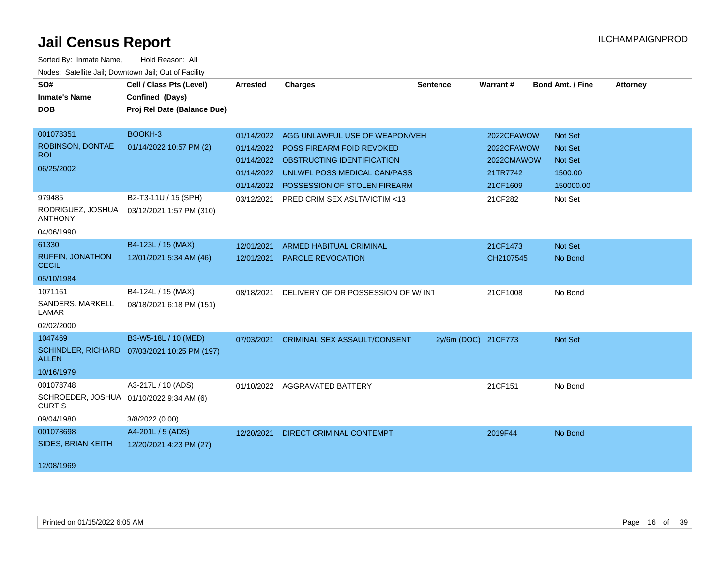| SO#                                                       | Cell / Class Pts (Level)                     | Arrested   | <b>Charges</b>                          | <b>Sentence</b>     | <b>Warrant#</b> | <b>Bond Amt. / Fine</b> | <b>Attorney</b> |
|-----------------------------------------------------------|----------------------------------------------|------------|-----------------------------------------|---------------------|-----------------|-------------------------|-----------------|
| <b>Inmate's Name</b>                                      | Confined (Days)                              |            |                                         |                     |                 |                         |                 |
| <b>DOB</b>                                                | Proj Rel Date (Balance Due)                  |            |                                         |                     |                 |                         |                 |
|                                                           |                                              |            |                                         |                     |                 |                         |                 |
| 001078351                                                 | BOOKH-3                                      | 01/14/2022 | AGG UNLAWFUL USE OF WEAPON/VEH          |                     | 2022CFAWOW      | <b>Not Set</b>          |                 |
| ROBINSON, DONTAE                                          | 01/14/2022 10:57 PM (2)                      | 01/14/2022 | <b>POSS FIREARM FOID REVOKED</b>        |                     | 2022CFAWOW      | <b>Not Set</b>          |                 |
| <b>ROI</b>                                                |                                              |            | 01/14/2022 OBSTRUCTING IDENTIFICATION   |                     | 2022CMAWOW      | <b>Not Set</b>          |                 |
| 06/25/2002                                                |                                              | 01/14/2022 | UNLWFL POSS MEDICAL CAN/PASS            |                     | 21TR7742        | 1500.00                 |                 |
|                                                           |                                              |            | 01/14/2022 POSSESSION OF STOLEN FIREARM |                     | 21CF1609        | 150000.00               |                 |
| 979485                                                    | B2-T3-11U / 15 (SPH)                         | 03/12/2021 | PRED CRIM SEX ASLT/VICTIM <13           |                     | 21CF282         | Not Set                 |                 |
| RODRIGUEZ, JOSHUA<br><b>ANTHONY</b>                       | 03/12/2021 1:57 PM (310)                     |            |                                         |                     |                 |                         |                 |
| 04/06/1990                                                |                                              |            |                                         |                     |                 |                         |                 |
| 61330                                                     | B4-123L / 15 (MAX)                           | 12/01/2021 | ARMED HABITUAL CRIMINAL                 |                     | 21CF1473        | Not Set                 |                 |
| <b>RUFFIN, JONATHON</b><br><b>CECIL</b>                   | 12/01/2021 5:34 AM (46)                      | 12/01/2021 | PAROLE REVOCATION                       |                     | CH2107545       | No Bond                 |                 |
| 05/10/1984                                                |                                              |            |                                         |                     |                 |                         |                 |
| 1071161                                                   | B4-124L / 15 (MAX)                           | 08/18/2021 | DELIVERY OF OR POSSESSION OF W/ INT     |                     | 21CF1008        | No Bond                 |                 |
| SANDERS, MARKELL<br>LAMAR                                 | 08/18/2021 6:18 PM (151)                     |            |                                         |                     |                 |                         |                 |
| 02/02/2000                                                |                                              |            |                                         |                     |                 |                         |                 |
| 1047469                                                   | B3-W5-18L / 10 (MED)                         | 07/03/2021 | <b>CRIMINAL SEX ASSAULT/CONSENT</b>     | 2y/6m (DOC) 21CF773 |                 | Not Set                 |                 |
| <b>ALLEN</b>                                              | SCHINDLER, RICHARD 07/03/2021 10:25 PM (197) |            |                                         |                     |                 |                         |                 |
| 10/16/1979                                                |                                              |            |                                         |                     |                 |                         |                 |
| 001078748                                                 | A3-217L / 10 (ADS)                           |            | 01/10/2022 AGGRAVATED BATTERY           |                     | 21CF151         | No Bond                 |                 |
| SCHROEDER, JOSHUA 01/10/2022 9:34 AM (6)<br><b>CURTIS</b> |                                              |            |                                         |                     |                 |                         |                 |
| 09/04/1980                                                | 3/8/2022 (0.00)                              |            |                                         |                     |                 |                         |                 |
| 001078698                                                 | A4-201L / 5 (ADS)                            | 12/20/2021 | <b>DIRECT CRIMINAL CONTEMPT</b>         |                     | 2019F44         | No Bond                 |                 |
| <b>SIDES, BRIAN KEITH</b>                                 | 12/20/2021 4:23 PM (27)                      |            |                                         |                     |                 |                         |                 |
| 12/08/1969                                                |                                              |            |                                         |                     |                 |                         |                 |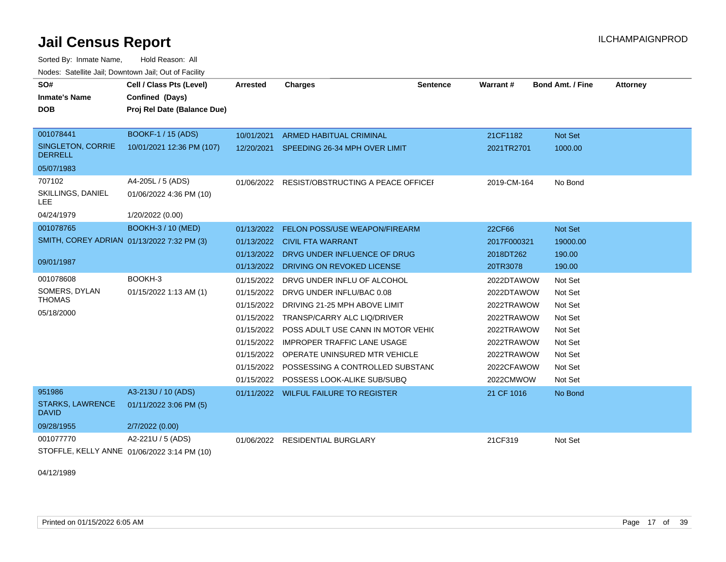Sorted By: Inmate Name, Hold Reason: All Nodes: Satellite Jail; Downtown Jail; Out of Facility

| SO#                                        | Cell / Class Pts (Level)                    | Arrested   | <b>Charges</b>                               | <b>Sentence</b> | Warrant#    | <b>Bond Amt. / Fine</b> | <b>Attorney</b> |
|--------------------------------------------|---------------------------------------------|------------|----------------------------------------------|-----------------|-------------|-------------------------|-----------------|
| <b>Inmate's Name</b>                       | Confined (Days)                             |            |                                              |                 |             |                         |                 |
| <b>DOB</b>                                 | Proj Rel Date (Balance Due)                 |            |                                              |                 |             |                         |                 |
| 001078441                                  | <b>BOOKF-1 / 15 (ADS)</b>                   | 10/01/2021 | <b>ARMED HABITUAL CRIMINAL</b>               |                 | 21CF1182    | Not Set                 |                 |
| SINGLETON, CORRIE<br><b>DERRELL</b>        | 10/01/2021 12:36 PM (107)                   |            | 12/20/2021 SPEEDING 26-34 MPH OVER LIMIT     |                 | 2021TR2701  | 1000.00                 |                 |
| 05/07/1983                                 |                                             |            |                                              |                 |             |                         |                 |
| 707102                                     | A4-205L / 5 (ADS)                           |            | 01/06/2022 RESIST/OBSTRUCTING A PEACE OFFICE |                 | 2019-CM-164 | No Bond                 |                 |
| SKILLINGS, DANIEL<br><b>LEE</b>            | 01/06/2022 4:36 PM (10)                     |            |                                              |                 |             |                         |                 |
| 04/24/1979                                 | 1/20/2022 (0.00)                            |            |                                              |                 |             |                         |                 |
| 001078765                                  | <b>BOOKH-3 / 10 (MED)</b>                   | 01/13/2022 | FELON POSS/USE WEAPON/FIREARM                |                 | 22CF66      | Not Set                 |                 |
| SMITH, COREY ADRIAN 01/13/2022 7:32 PM (3) |                                             |            | 01/13/2022 CIVIL FTA WARRANT                 |                 | 2017F000321 | 19000.00                |                 |
|                                            |                                             |            | 01/13/2022 DRVG UNDER INFLUENCE OF DRUG      |                 | 2018DT262   | 190.00                  |                 |
| 09/01/1987                                 |                                             |            | 01/13/2022 DRIVING ON REVOKED LICENSE        |                 | 20TR3078    | 190.00                  |                 |
| 001078608                                  | BOOKH-3                                     | 01/15/2022 | DRVG UNDER INFLU OF ALCOHOL                  |                 | 2022DTAWOW  | Not Set                 |                 |
| SOMERS, DYLAN                              | 01/15/2022 1:13 AM (1)                      | 01/15/2022 | DRVG UNDER INFLU/BAC 0.08                    |                 | 2022DTAWOW  | Not Set                 |                 |
| <b>THOMAS</b>                              |                                             | 01/15/2022 | DRIVING 21-25 MPH ABOVE LIMIT                |                 | 2022TRAWOW  | Not Set                 |                 |
| 05/18/2000                                 |                                             |            | 01/15/2022 TRANSP/CARRY ALC LIQ/DRIVER       |                 | 2022TRAWOW  | Not Set                 |                 |
|                                            |                                             | 01/15/2022 | POSS ADULT USE CANN IN MOTOR VEHIC           |                 | 2022TRAWOW  | Not Set                 |                 |
|                                            |                                             | 01/15/2022 | <b>IMPROPER TRAFFIC LANE USAGE</b>           |                 | 2022TRAWOW  | Not Set                 |                 |
|                                            |                                             |            | 01/15/2022 OPERATE UNINSURED MTR VEHICLE     |                 | 2022TRAWOW  | Not Set                 |                 |
|                                            |                                             | 01/15/2022 | POSSESSING A CONTROLLED SUBSTANC             |                 | 2022CFAWOW  | Not Set                 |                 |
|                                            |                                             | 01/15/2022 | POSSESS LOOK-ALIKE SUB/SUBQ                  |                 | 2022CMWOW   | Not Set                 |                 |
| 951986                                     | A3-213U / 10 (ADS)                          |            | 01/11/2022 WILFUL FAILURE TO REGISTER        |                 | 21 CF 1016  | No Bond                 |                 |
| <b>STARKS, LAWRENCE</b><br><b>DAVID</b>    | 01/11/2022 3:06 PM (5)                      |            |                                              |                 |             |                         |                 |
| 09/28/1955                                 | 2/7/2022 (0.00)                             |            |                                              |                 |             |                         |                 |
| 001077770                                  | A2-221U / 5 (ADS)                           |            | 01/06/2022 RESIDENTIAL BURGLARY              |                 | 21CF319     | Not Set                 |                 |
|                                            | STOFFLE, KELLY ANNE 01/06/2022 3:14 PM (10) |            |                                              |                 |             |                         |                 |

04/12/1989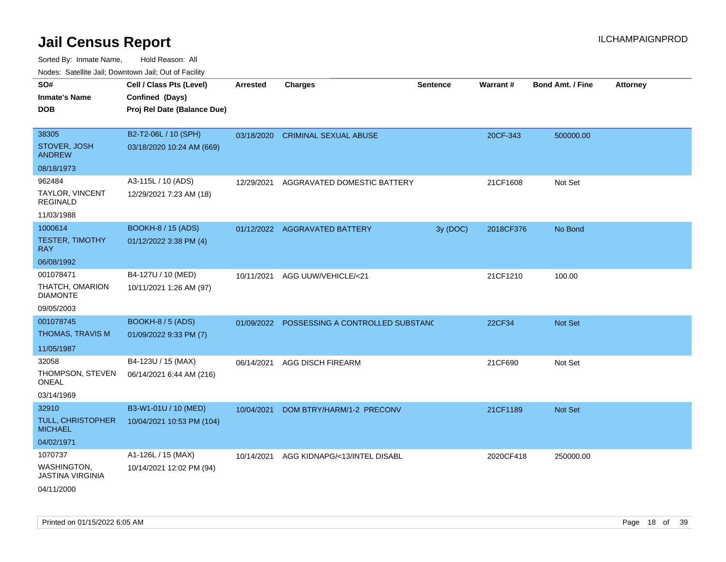| rouco. Calcillo Jali, Downtown Jali, Out of Facility                     |                                                                            |                 |                                             |                 |           |                         |                 |
|--------------------------------------------------------------------------|----------------------------------------------------------------------------|-----------------|---------------------------------------------|-----------------|-----------|-------------------------|-----------------|
| SO#<br><b>Inmate's Name</b><br><b>DOB</b>                                | Cell / Class Pts (Level)<br>Confined (Days)<br>Proj Rel Date (Balance Due) | <b>Arrested</b> | <b>Charges</b>                              | <b>Sentence</b> | Warrant#  | <b>Bond Amt. / Fine</b> | <b>Attorney</b> |
| 38305<br>STOVER, JOSH<br><b>ANDREW</b>                                   | B2-T2-06L / 10 (SPH)<br>03/18/2020 10:24 AM (669)                          |                 | 03/18/2020 CRIMINAL SEXUAL ABUSE            |                 | 20CF-343  | 500000.00               |                 |
| 08/18/1973<br>962484<br>TAYLOR, VINCENT<br><b>REGINALD</b><br>11/03/1988 | A3-115L / 10 (ADS)<br>12/29/2021 7:23 AM (18)                              | 12/29/2021      | AGGRAVATED DOMESTIC BATTERY                 |                 | 21CF1608  | Not Set                 |                 |
| 1000614<br><b>TESTER, TIMOTHY</b><br>RAY.<br>06/08/1992                  | <b>BOOKH-8 / 15 (ADS)</b><br>01/12/2022 3:38 PM (4)                        |                 | 01/12/2022 AGGRAVATED BATTERY               | 3y(DOC)         | 2018CF376 | No Bond                 |                 |
| 001078471<br>THATCH, OMARION<br>DIAMONTE<br>09/05/2003                   | B4-127U / 10 (MED)<br>10/11/2021 1:26 AM (97)                              | 10/11/2021      | AGG UUW/VEHICLE/<21                         |                 | 21CF1210  | 100.00                  |                 |
| 001078745<br>THOMAS, TRAVIS M<br>11/05/1987                              | <b>BOOKH-8 / 5 (ADS)</b><br>01/09/2022 9:33 PM (7)                         |                 | 01/09/2022 POSSESSING A CONTROLLED SUBSTANG |                 | 22CF34    | Not Set                 |                 |
| 32058<br>THOMPSON, STEVEN<br>ONEAL<br>03/14/1969                         | B4-123U / 15 (MAX)<br>06/14/2021 6:44 AM (216)                             | 06/14/2021      | <b>AGG DISCH FIREARM</b>                    |                 | 21CF690   | Not Set                 |                 |
| 32910<br>TULL, CHRISTOPHER<br>MICHAEL<br>04/02/1971                      | B3-W1-01U / 10 (MED)<br>10/04/2021 10:53 PM (104)                          | 10/04/2021      | DOM BTRY/HARM/1-2 PRECONV                   |                 | 21CF1189  | <b>Not Set</b>          |                 |
| 1070737<br>WASHINGTON.<br>JASTINA VIRGINIA<br>04/11/2000                 | A1-126L / 15 (MAX)<br>10/14/2021 12:02 PM (94)                             | 10/14/2021      | AGG KIDNAPG/<13/INTEL DISABL                |                 | 2020CF418 | 250000.00               |                 |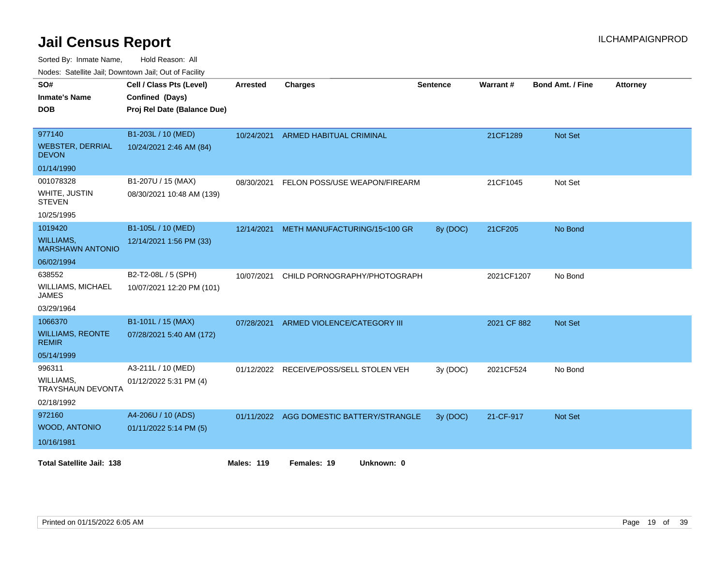Sorted By: Inmate Name, Hold Reason: All

Nodes: Satellite Jail; Downtown Jail; Out of Facility

| SO#<br><b>Inmate's Name</b><br><b>DOB</b>                               | Cell / Class Pts (Level)<br>Confined (Days)<br>Proj Rel Date (Balance Due) | <b>Arrested</b>   | <b>Charges</b>                           | <b>Sentence</b> | Warrant#    | <b>Bond Amt. / Fine</b> | <b>Attorney</b> |
|-------------------------------------------------------------------------|----------------------------------------------------------------------------|-------------------|------------------------------------------|-----------------|-------------|-------------------------|-----------------|
| 977140<br><b>WEBSTER, DERRIAL</b><br><b>DEVON</b>                       | B1-203L / 10 (MED)<br>10/24/2021 2:46 AM (84)                              | 10/24/2021        | <b>ARMED HABITUAL CRIMINAL</b>           |                 | 21CF1289    | <b>Not Set</b>          |                 |
| 01/14/1990<br>001078328<br>WHITE, JUSTIN<br><b>STEVEN</b><br>10/25/1995 | B1-207U / 15 (MAX)<br>08/30/2021 10:48 AM (139)                            | 08/30/2021        | FELON POSS/USE WEAPON/FIREARM            |                 | 21CF1045    | Not Set                 |                 |
| 1019420<br><b>WILLIAMS,</b><br><b>MARSHAWN ANTONIO</b><br>06/02/1994    | B1-105L / 10 (MED)<br>12/14/2021 1:56 PM (33)                              | 12/14/2021        | METH MANUFACTURING/15<100 GR             | 8y (DOC)        | 21CF205     | No Bond                 |                 |
| 638552<br><b>WILLIAMS, MICHAEL</b><br><b>JAMES</b><br>03/29/1964        | B2-T2-08L / 5 (SPH)<br>10/07/2021 12:20 PM (101)                           | 10/07/2021        | CHILD PORNOGRAPHY/PHOTOGRAPH             |                 | 2021CF1207  | No Bond                 |                 |
| 1066370<br><b>WILLIAMS, REONTE</b><br><b>REMIR</b><br>05/14/1999        | B1-101L / 15 (MAX)<br>07/28/2021 5:40 AM (172)                             | 07/28/2021        | ARMED VIOLENCE/CATEGORY III              |                 | 2021 CF 882 | Not Set                 |                 |
| 996311<br>WILLIAMS,<br><b>TRAYSHAUN DEVONTA</b><br>02/18/1992           | A3-211L / 10 (MED)<br>01/12/2022 5:31 PM (4)                               | 01/12/2022        | RECEIVE/POSS/SELL STOLEN VEH             | 3y (DOC)        | 2021CF524   | No Bond                 |                 |
| 972160<br>WOOD, ANTONIO<br>10/16/1981                                   | A4-206U / 10 (ADS)<br>01/11/2022 5:14 PM (5)                               |                   | 01/11/2022 AGG DOMESTIC BATTERY/STRANGLE | 3y (DOC)        | 21-CF-917   | Not Set                 |                 |
| <b>Total Satellite Jail: 138</b>                                        |                                                                            | <b>Males: 119</b> | Females: 19<br>Unknown: 0                |                 |             |                         |                 |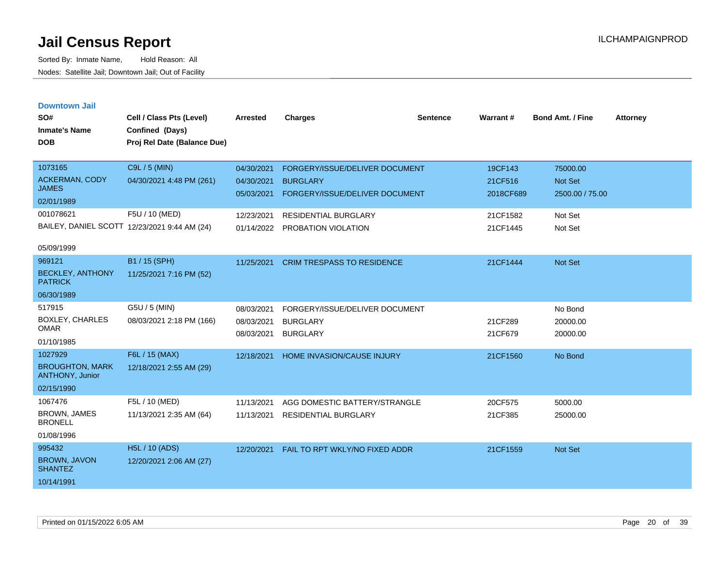| <b>Downtown Jail</b> |  |
|----------------------|--|
|                      |  |
|                      |  |

| SO#<br><b>Inmate's Name</b>               | Cell / Class Pts (Level)<br>Confined (Days)  | <b>Arrested</b> | <b>Charges</b>                    | <b>Sentence</b> | Warrant#  | <b>Bond Amt. / Fine</b> | <b>Attorney</b> |
|-------------------------------------------|----------------------------------------------|-----------------|-----------------------------------|-----------------|-----------|-------------------------|-----------------|
| <b>DOB</b>                                | Proj Rel Date (Balance Due)                  |                 |                                   |                 |           |                         |                 |
| 1073165                                   | C9L / 5 (MIN)                                | 04/30/2021      | FORGERY/ISSUE/DELIVER DOCUMENT    |                 | 19CF143   | 75000.00                |                 |
| <b>ACKERMAN, CODY</b>                     | 04/30/2021 4:48 PM (261)                     | 04/30/2021      | <b>BURGLARY</b>                   |                 | 21CF516   | <b>Not Set</b>          |                 |
| <b>JAMES</b>                              |                                              | 05/03/2021      | FORGERY/ISSUE/DELIVER DOCUMENT    |                 | 2018CF689 | 2500.00 / 75.00         |                 |
| 02/01/1989<br>001078621                   |                                              |                 |                                   |                 |           |                         |                 |
|                                           | F5U / 10 (MED)                               | 12/23/2021      | <b>RESIDENTIAL BURGLARY</b>       |                 | 21CF1582  | Not Set                 |                 |
|                                           | BAILEY, DANIEL SCOTT 12/23/2021 9:44 AM (24) | 01/14/2022      | PROBATION VIOLATION               |                 | 21CF1445  | Not Set                 |                 |
| 05/09/1999                                |                                              |                 |                                   |                 |           |                         |                 |
| 969121                                    | B1 / 15 (SPH)                                | 11/25/2021      | <b>CRIM TRESPASS TO RESIDENCE</b> |                 | 21CF1444  | <b>Not Set</b>          |                 |
| <b>BECKLEY, ANTHONY</b><br><b>PATRICK</b> | 11/25/2021 7:16 PM (52)                      |                 |                                   |                 |           |                         |                 |
| 06/30/1989                                |                                              |                 |                                   |                 |           |                         |                 |
| 517915                                    | G5U / 5 (MIN)                                | 08/03/2021      | FORGERY/ISSUE/DELIVER DOCUMENT    |                 |           | No Bond                 |                 |
| BOXLEY, CHARLES<br><b>OMAR</b>            | 08/03/2021 2:18 PM (166)                     | 08/03/2021      | <b>BURGLARY</b>                   |                 | 21CF289   | 20000.00                |                 |
| 01/10/1985                                |                                              | 08/03/2021      | <b>BURGLARY</b>                   |                 | 21CF679   | 20000.00                |                 |
| 1027929                                   | F6L / 15 (MAX)                               |                 |                                   |                 |           |                         |                 |
| <b>BROUGHTON, MARK</b>                    |                                              | 12/18/2021      | <b>HOME INVASION/CAUSE INJURY</b> |                 | 21CF1560  | No Bond                 |                 |
| <b>ANTHONY, Junior</b>                    | 12/18/2021 2:55 AM (29)                      |                 |                                   |                 |           |                         |                 |
| 02/15/1990                                |                                              |                 |                                   |                 |           |                         |                 |
| 1067476                                   | F5L / 10 (MED)                               | 11/13/2021      | AGG DOMESTIC BATTERY/STRANGLE     |                 | 20CF575   | 5000.00                 |                 |
| <b>BROWN, JAMES</b><br><b>BRONELL</b>     | 11/13/2021 2:35 AM (64)                      | 11/13/2021      | <b>RESIDENTIAL BURGLARY</b>       |                 | 21CF385   | 25000.00                |                 |
| 01/08/1996                                |                                              |                 |                                   |                 |           |                         |                 |
| 995432                                    | <b>H5L / 10 (ADS)</b>                        | 12/20/2021      | FAIL TO RPT WKLY/NO FIXED ADDR    |                 | 21CF1559  | <b>Not Set</b>          |                 |
| BROWN, JAVON<br><b>SHANTEZ</b>            | 12/20/2021 2:06 AM (27)                      |                 |                                   |                 |           |                         |                 |
| 10/14/1991                                |                                              |                 |                                   |                 |           |                         |                 |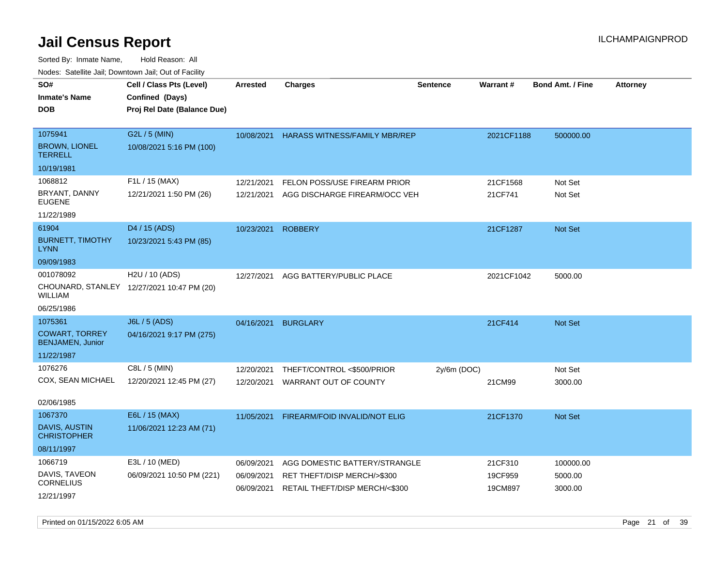| roaco. Catolino cali, Domntonn cali, Out of Facility |                                            |                 |                                      |                 |                 |                         |                 |
|------------------------------------------------------|--------------------------------------------|-----------------|--------------------------------------|-----------------|-----------------|-------------------------|-----------------|
| SO#                                                  | Cell / Class Pts (Level)                   | <b>Arrested</b> | Charges                              | <b>Sentence</b> | <b>Warrant#</b> | <b>Bond Amt. / Fine</b> | <b>Attorney</b> |
| <b>Inmate's Name</b>                                 | Confined (Days)                            |                 |                                      |                 |                 |                         |                 |
| <b>DOB</b>                                           | Proj Rel Date (Balance Due)                |                 |                                      |                 |                 |                         |                 |
|                                                      |                                            |                 |                                      |                 |                 |                         |                 |
| 1075941                                              | G2L / 5 (MIN)                              | 10/08/2021      | <b>HARASS WITNESS/FAMILY MBR/REP</b> |                 | 2021CF1188      | 500000.00               |                 |
| <b>BROWN, LIONEL</b><br><b>TERRELL</b>               | 10/08/2021 5:16 PM (100)                   |                 |                                      |                 |                 |                         |                 |
| 10/19/1981                                           |                                            |                 |                                      |                 |                 |                         |                 |
| 1068812                                              | F1L / 15 (MAX)                             | 12/21/2021      | FELON POSS/USE FIREARM PRIOR         |                 | 21CF1568        | Not Set                 |                 |
| BRYANT, DANNY<br><b>EUGENE</b>                       | 12/21/2021 1:50 PM (26)                    | 12/21/2021      | AGG DISCHARGE FIREARM/OCC VEH        |                 | 21CF741         | Not Set                 |                 |
| 11/22/1989                                           |                                            |                 |                                      |                 |                 |                         |                 |
| 61904                                                | D <sub>4</sub> / 15 (ADS)                  | 10/23/2021      | <b>ROBBERY</b>                       |                 | 21CF1287        | <b>Not Set</b>          |                 |
| <b>BURNETT, TIMOTHY</b><br><b>LYNN</b>               | 10/23/2021 5:43 PM (85)                    |                 |                                      |                 |                 |                         |                 |
| 09/09/1983                                           |                                            |                 |                                      |                 |                 |                         |                 |
| 001078092                                            | H <sub>2</sub> U / 10 (ADS)                | 12/27/2021      | AGG BATTERY/PUBLIC PLACE             |                 | 2021CF1042      | 5000.00                 |                 |
| WILLIAM                                              | CHOUNARD, STANLEY 12/27/2021 10:47 PM (20) |                 |                                      |                 |                 |                         |                 |
| 06/25/1986                                           |                                            |                 |                                      |                 |                 |                         |                 |
| 1075361                                              | J6L / 5 (ADS)                              | 04/16/2021      | <b>BURGLARY</b>                      |                 | 21CF414         | <b>Not Set</b>          |                 |
| <b>COWART, TORREY</b><br><b>BENJAMEN, Junior</b>     | 04/16/2021 9:17 PM (275)                   |                 |                                      |                 |                 |                         |                 |
| 11/22/1987                                           |                                            |                 |                                      |                 |                 |                         |                 |
| 1076276                                              | C8L / 5 (MIN)                              | 12/20/2021      | THEFT/CONTROL <\$500/PRIOR           | $2y/6m$ (DOC)   |                 | Not Set                 |                 |
| COX, SEAN MICHAEL                                    | 12/20/2021 12:45 PM (27)                   | 12/20/2021      | WARRANT OUT OF COUNTY                |                 | 21CM99          | 3000.00                 |                 |
|                                                      |                                            |                 |                                      |                 |                 |                         |                 |
| 02/06/1985                                           |                                            |                 |                                      |                 |                 |                         |                 |
| 1067370                                              | E6L / 15 (MAX)                             | 11/05/2021      | FIREARM/FOID INVALID/NOT ELIG        |                 | 21CF1370        | <b>Not Set</b>          |                 |
| <b>DAVIS, AUSTIN</b><br><b>CHRISTOPHER</b>           | 11/06/2021 12:23 AM (71)                   |                 |                                      |                 |                 |                         |                 |
| 08/11/1997                                           |                                            |                 |                                      |                 |                 |                         |                 |
| 1066719                                              | E3L / 10 (MED)                             | 06/09/2021      | AGG DOMESTIC BATTERY/STRANGLE        |                 | 21CF310         | 100000.00               |                 |
| DAVIS, TAVEON                                        | 06/09/2021 10:50 PM (221)                  | 06/09/2021      | RET THEFT/DISP MERCH/>\$300          |                 | 19CF959         | 5000.00                 |                 |
| <b>CORNELIUS</b>                                     |                                            | 06/09/2021      | RETAIL THEFT/DISP MERCH/<\$300       |                 | 19CM897         | 3000.00                 |                 |
| 12/21/1997                                           |                                            |                 |                                      |                 |                 |                         |                 |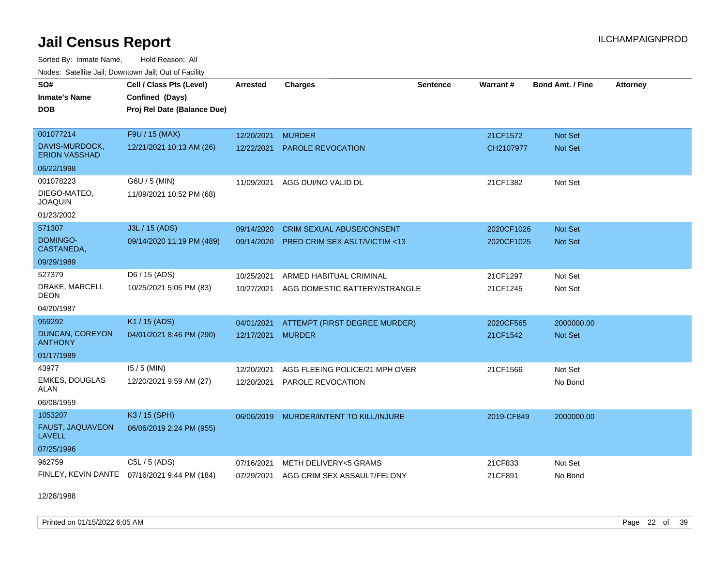Sorted By: Inmate Name, Hold Reason: All Nodes: Satellite Jail; Downtown Jail; Out of Facility

| <b>Houce.</b> Catellite ball, Downtown ball, Out of Fability<br>SO# | Cell / Class Pts (Level)                     | <b>Arrested</b> | <b>Charges</b>                          | <b>Sentence</b> | Warrant#   | <b>Bond Amt. / Fine</b> | <b>Attorney</b> |
|---------------------------------------------------------------------|----------------------------------------------|-----------------|-----------------------------------------|-----------------|------------|-------------------------|-----------------|
| <b>Inmate's Name</b>                                                | Confined (Days)                              |                 |                                         |                 |            |                         |                 |
| <b>DOB</b>                                                          | Proj Rel Date (Balance Due)                  |                 |                                         |                 |            |                         |                 |
|                                                                     |                                              |                 |                                         |                 |            |                         |                 |
| 001077214                                                           | F9U / 15 (MAX)                               | 12/20/2021      | <b>MURDER</b>                           |                 | 21CF1572   | <b>Not Set</b>          |                 |
| DAVIS-MURDOCK,<br><b>ERION VASSHAD</b>                              | 12/21/2021 10:13 AM (26)                     | 12/22/2021      | <b>PAROLE REVOCATION</b>                |                 | CH2107977  | <b>Not Set</b>          |                 |
| 06/22/1998                                                          |                                              |                 |                                         |                 |            |                         |                 |
| 001078223                                                           | G6U / 5 (MIN)                                |                 | 11/09/2021 AGG DUI/NO VALID DL          |                 | 21CF1382   | Not Set                 |                 |
| DIEGO-MATEO,<br><b>JOAQUIN</b>                                      | 11/09/2021 10:52 PM (68)                     |                 |                                         |                 |            |                         |                 |
| 01/23/2002                                                          |                                              |                 |                                         |                 |            |                         |                 |
| 571307                                                              | J3L / 15 (ADS)                               | 09/14/2020      | <b>CRIM SEXUAL ABUSE/CONSENT</b>        |                 | 2020CF1026 | Not Set                 |                 |
| DOMINGO-<br>CASTANEDA,                                              | 09/14/2020 11:19 PM (489)                    | 09/14/2020      | <b>PRED CRIM SEX ASLT/VICTIM &lt;13</b> |                 | 2020CF1025 | <b>Not Set</b>          |                 |
| 09/29/1989                                                          |                                              |                 |                                         |                 |            |                         |                 |
| 527379                                                              | D6 / 15 (ADS)                                | 10/25/2021      | ARMED HABITUAL CRIMINAL                 |                 | 21CF1297   | Not Set                 |                 |
| DRAKE, MARCELL<br><b>DEON</b>                                       | 10/25/2021 5:05 PM (83)                      | 10/27/2021      | AGG DOMESTIC BATTERY/STRANGLE           |                 | 21CF1245   | Not Set                 |                 |
| 04/20/1987                                                          |                                              |                 |                                         |                 |            |                         |                 |
| 959292                                                              | K1 / 15 (ADS)                                | 04/01/2021      | ATTEMPT (FIRST DEGREE MURDER)           |                 | 2020CF565  | 2000000.00              |                 |
| DUNCAN, COREYON<br><b>ANTHONY</b>                                   | 04/01/2021 8:46 PM (290)                     | 12/17/2021      | <b>MURDER</b>                           |                 | 21CF1542   | <b>Not Set</b>          |                 |
| 01/17/1989                                                          |                                              |                 |                                         |                 |            |                         |                 |
| 43977                                                               | $15/5$ (MIN)                                 | 12/20/2021      | AGG FLEEING POLICE/21 MPH OVER          |                 | 21CF1566   | Not Set                 |                 |
| <b>EMKES, DOUGLAS</b><br><b>ALAN</b>                                | 12/20/2021 9:59 AM (27)                      | 12/20/2021      | PAROLE REVOCATION                       |                 |            | No Bond                 |                 |
| 06/08/1959                                                          |                                              |                 |                                         |                 |            |                         |                 |
| 1053207                                                             | K3 / 15 (SPH)                                | 06/06/2019      | MURDER/INTENT TO KILL/INJURE            |                 | 2019-CF849 | 2000000.00              |                 |
| FAUST, JAQUAVEON<br><b>LAVELL</b>                                   | 06/06/2019 2:24 PM (955)                     |                 |                                         |                 |            |                         |                 |
| 07/25/1996                                                          |                                              |                 |                                         |                 |            |                         |                 |
| 962759                                                              | C5L / 5 (ADS)                                | 07/16/2021      | METH DELIVERY<5 GRAMS                   |                 | 21CF833    | Not Set                 |                 |
|                                                                     | FINLEY, KEVIN DANTE 07/16/2021 9:44 PM (184) |                 | 07/29/2021 AGG CRIM SEX ASSAULT/FELONY  |                 | 21CF891    | No Bond                 |                 |

12/28/1988

Printed on 01/15/2022 6:05 AM Page 22 of 39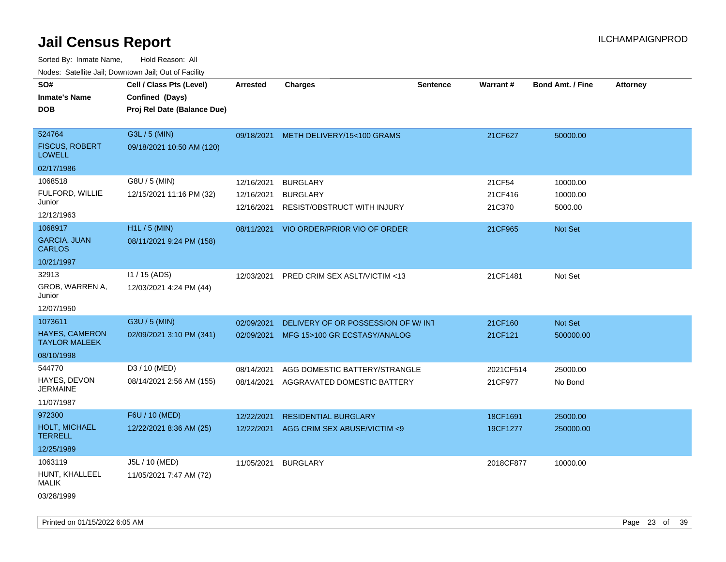Sorted By: Inmate Name, Hold Reason: All Nodes: Satellite Jail; Downtown Jail; Out of Facility

| SO#                                           | Cell / Class Pts (Level)    | <b>Arrested</b> | <b>Charges</b>                          | <b>Sentence</b> | Warrant#  | <b>Bond Amt. / Fine</b> | <b>Attorney</b> |
|-----------------------------------------------|-----------------------------|-----------------|-----------------------------------------|-----------------|-----------|-------------------------|-----------------|
| <b>Inmate's Name</b>                          | Confined (Days)             |                 |                                         |                 |           |                         |                 |
| <b>DOB</b>                                    | Proj Rel Date (Balance Due) |                 |                                         |                 |           |                         |                 |
|                                               |                             |                 |                                         |                 |           |                         |                 |
| 524764                                        | G3L / 5 (MIN)               |                 | 09/18/2021 METH DELIVERY/15<100 GRAMS   |                 | 21CF627   | 50000.00                |                 |
| <b>FISCUS, ROBERT</b><br><b>LOWELL</b>        | 09/18/2021 10:50 AM (120)   |                 |                                         |                 |           |                         |                 |
| 02/17/1986                                    |                             |                 |                                         |                 |           |                         |                 |
| 1068518                                       | G8U / 5 (MIN)               | 12/16/2021      | <b>BURGLARY</b>                         |                 | 21CF54    | 10000.00                |                 |
| FULFORD, WILLIE                               | 12/15/2021 11:16 PM (32)    | 12/16/2021      | <b>BURGLARY</b>                         |                 | 21CF416   | 10000.00                |                 |
| Junior                                        |                             | 12/16/2021      | RESIST/OBSTRUCT WITH INJURY             |                 | 21C370    | 5000.00                 |                 |
| 12/12/1963                                    |                             |                 |                                         |                 |           |                         |                 |
| 1068917                                       | H1L / 5 (MIN)               |                 | 08/11/2021 VIO ORDER/PRIOR VIO OF ORDER |                 | 21CF965   | Not Set                 |                 |
| <b>GARCIA, JUAN</b><br><b>CARLOS</b>          | 08/11/2021 9:24 PM (158)    |                 |                                         |                 |           |                         |                 |
| 10/21/1997                                    |                             |                 |                                         |                 |           |                         |                 |
| 32913                                         | $11/15$ (ADS)               | 12/03/2021      | PRED CRIM SEX ASLT/VICTIM <13           |                 | 21CF1481  | Not Set                 |                 |
| GROB, WARREN A,<br>Junior                     | 12/03/2021 4:24 PM (44)     |                 |                                         |                 |           |                         |                 |
| 12/07/1950                                    |                             |                 |                                         |                 |           |                         |                 |
| 1073611                                       | G3U / 5 (MIN)               | 02/09/2021      | DELIVERY OF OR POSSESSION OF W/INT      |                 | 21CF160   | Not Set                 |                 |
| <b>HAYES, CAMERON</b><br><b>TAYLOR MALEEK</b> | 02/09/2021 3:10 PM (341)    |                 | 02/09/2021 MFG 15>100 GR ECSTASY/ANALOG |                 | 21CF121   | 500000.00               |                 |
| 08/10/1998                                    |                             |                 |                                         |                 |           |                         |                 |
| 544770                                        | D3 / 10 (MED)               | 08/14/2021      | AGG DOMESTIC BATTERY/STRANGLE           |                 | 2021CF514 | 25000.00                |                 |
| HAYES, DEVON<br><b>JERMAINE</b>               | 08/14/2021 2:56 AM (155)    | 08/14/2021      | AGGRAVATED DOMESTIC BATTERY             |                 | 21CF977   | No Bond                 |                 |
| 11/07/1987                                    |                             |                 |                                         |                 |           |                         |                 |
| 972300                                        | F6U / 10 (MED)              | 12/22/2021      | <b>RESIDENTIAL BURGLARY</b>             |                 | 18CF1691  | 25000.00                |                 |
| <b>HOLT, MICHAEL</b><br><b>TERRELL</b>        | 12/22/2021 8:36 AM (25)     | 12/22/2021      | AGG CRIM SEX ABUSE/VICTIM <9            |                 | 19CF1277  | 250000.00               |                 |
| 12/25/1989                                    |                             |                 |                                         |                 |           |                         |                 |
| 1063119                                       | J5L / 10 (MED)              | 11/05/2021      | <b>BURGLARY</b>                         |                 | 2018CF877 | 10000.00                |                 |
| HUNT, KHALLEEL<br>MALIK                       | 11/05/2021 7:47 AM (72)     |                 |                                         |                 |           |                         |                 |
| 03/28/1999                                    |                             |                 |                                         |                 |           |                         |                 |

Printed on 01/15/2022 6:05 AM Page 23 of 39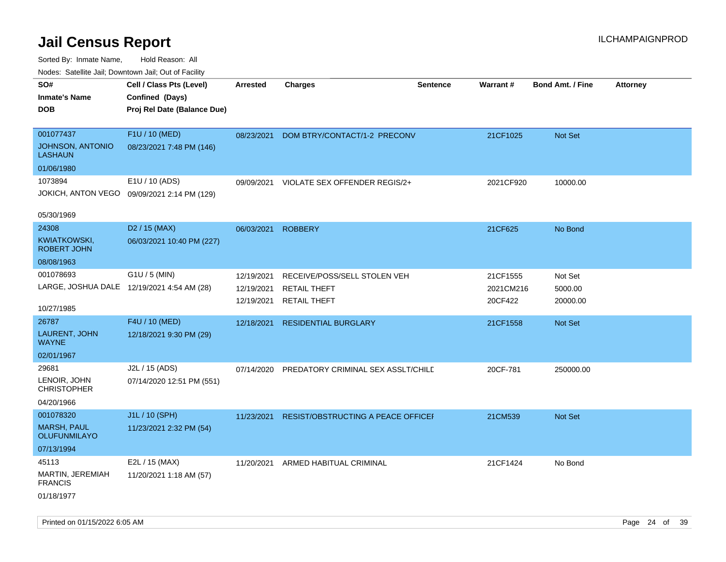| indues. Satellite Jali, Downtown Jali, Out of Facility |                                             |            |                                    |                 |           |                         |                 |
|--------------------------------------------------------|---------------------------------------------|------------|------------------------------------|-----------------|-----------|-------------------------|-----------------|
| SO#                                                    | Cell / Class Pts (Level)                    | Arrested   | <b>Charges</b>                     | <b>Sentence</b> | Warrant#  | <b>Bond Amt. / Fine</b> | <b>Attorney</b> |
| <b>Inmate's Name</b>                                   | Confined (Days)                             |            |                                    |                 |           |                         |                 |
| <b>DOB</b>                                             | Proj Rel Date (Balance Due)                 |            |                                    |                 |           |                         |                 |
|                                                        |                                             |            |                                    |                 |           |                         |                 |
| 001077437                                              | F1U / 10 (MED)                              | 08/23/2021 | DOM BTRY/CONTACT/1-2 PRECONV       |                 | 21CF1025  | Not Set                 |                 |
| JOHNSON, ANTONIO<br><b>LASHAUN</b>                     | 08/23/2021 7:48 PM (146)                    |            |                                    |                 |           |                         |                 |
| 01/06/1980                                             |                                             |            |                                    |                 |           |                         |                 |
| 1073894                                                | E1U / 10 (ADS)                              | 09/09/2021 | VIOLATE SEX OFFENDER REGIS/2+      |                 | 2021CF920 | 10000.00                |                 |
|                                                        | JOKICH, ANTON VEGO 09/09/2021 2:14 PM (129) |            |                                    |                 |           |                         |                 |
|                                                        |                                             |            |                                    |                 |           |                         |                 |
| 05/30/1969                                             |                                             |            |                                    |                 |           |                         |                 |
| 24308                                                  | D <sub>2</sub> / 15 (MAX)                   | 06/03/2021 | <b>ROBBERY</b>                     |                 | 21CF625   | No Bond                 |                 |
| KWIATKOWSKI,<br><b>ROBERT JOHN</b>                     | 06/03/2021 10:40 PM (227)                   |            |                                    |                 |           |                         |                 |
| 08/08/1963                                             |                                             |            |                                    |                 |           |                         |                 |
| 001078693                                              | G1U / 5 (MIN)                               | 12/19/2021 | RECEIVE/POSS/SELL STOLEN VEH       |                 | 21CF1555  | Not Set                 |                 |
| LARGE, JOSHUA DALE 12/19/2021 4:54 AM (28)             |                                             | 12/19/2021 | <b>RETAIL THEFT</b>                |                 | 2021CM216 | 5000.00                 |                 |
|                                                        |                                             | 12/19/2021 | <b>RETAIL THEFT</b>                |                 | 20CF422   | 20000.00                |                 |
| 10/27/1985                                             |                                             |            |                                    |                 |           |                         |                 |
| 26787                                                  | F4U / 10 (MED)                              | 12/18/2021 | <b>RESIDENTIAL BURGLARY</b>        |                 | 21CF1558  | Not Set                 |                 |
| LAURENT, JOHN<br><b>WAYNE</b>                          | 12/18/2021 9:30 PM (29)                     |            |                                    |                 |           |                         |                 |
| 02/01/1967                                             |                                             |            |                                    |                 |           |                         |                 |
| 29681                                                  | J2L / 15 (ADS)                              | 07/14/2020 | PREDATORY CRIMINAL SEX ASSLT/CHILD |                 | 20CF-781  | 250000.00               |                 |
| LENOIR, JOHN<br><b>CHRISTOPHER</b>                     | 07/14/2020 12:51 PM (551)                   |            |                                    |                 |           |                         |                 |
| 04/20/1966                                             |                                             |            |                                    |                 |           |                         |                 |
| 001078320                                              | J1L / 10 (SPH)                              | 11/23/2021 | RESIST/OBSTRUCTING A PEACE OFFICEF |                 | 21CM539   | Not Set                 |                 |
| <b>MARSH, PAUL</b><br><b>OLUFUNMILAYO</b>              | 11/23/2021 2:32 PM (54)                     |            |                                    |                 |           |                         |                 |
| 07/13/1994                                             |                                             |            |                                    |                 |           |                         |                 |
| 45113                                                  | E2L / 15 (MAX)                              | 11/20/2021 | ARMED HABITUAL CRIMINAL            |                 | 21CF1424  | No Bond                 |                 |
| <b>MARTIN, JEREMIAH</b><br><b>FRANCIS</b>              | 11/20/2021 1:18 AM (57)                     |            |                                    |                 |           |                         |                 |
| 01/18/1977                                             |                                             |            |                                    |                 |           |                         |                 |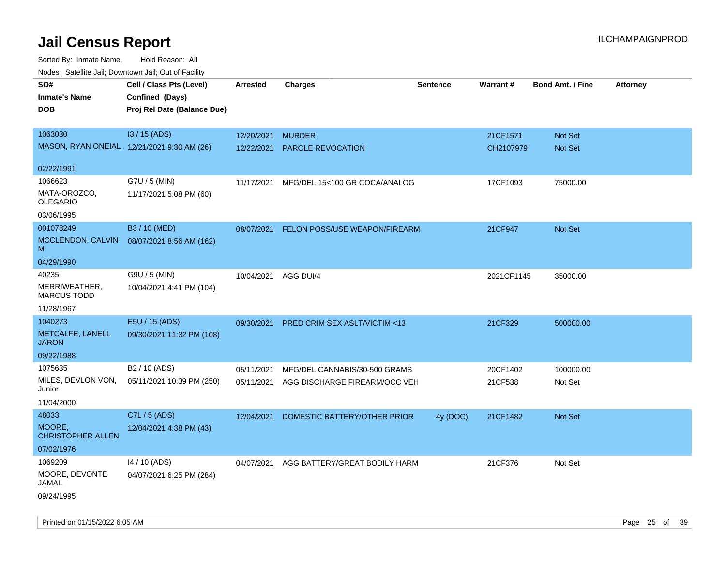Sorted By: Inmate Name, Hold Reason: All Nodes: Satellite Jail; Downtown Jail; Out of Facility

| ivouss. Saleling Jali, Downtown Jali, Out of Facility |                             |                      |                                          |                 |            |                         |                 |
|-------------------------------------------------------|-----------------------------|----------------------|------------------------------------------|-----------------|------------|-------------------------|-----------------|
| SO#                                                   | Cell / Class Pts (Level)    | Arrested             | <b>Charges</b>                           | <b>Sentence</b> | Warrant#   | <b>Bond Amt. / Fine</b> | <b>Attorney</b> |
| <b>Inmate's Name</b>                                  | Confined (Days)             |                      |                                          |                 |            |                         |                 |
| <b>DOB</b>                                            | Proj Rel Date (Balance Due) |                      |                                          |                 |            |                         |                 |
|                                                       |                             |                      |                                          |                 |            |                         |                 |
| 1063030                                               | I3 / 15 (ADS)               | 12/20/2021           | <b>MURDER</b>                            |                 | 21CF1571   | Not Set                 |                 |
| MASON, RYAN ONEIAL 12/21/2021 9:30 AM (26)            |                             | 12/22/2021           | <b>PAROLE REVOCATION</b>                 |                 | CH2107979  | <b>Not Set</b>          |                 |
|                                                       |                             |                      |                                          |                 |            |                         |                 |
| 02/22/1991                                            |                             |                      |                                          |                 |            |                         |                 |
| 1066623                                               | G7U / 5 (MIN)               | 11/17/2021           | MFG/DEL 15<100 GR COCA/ANALOG            |                 | 17CF1093   | 75000.00                |                 |
| MATA-OROZCO,<br><b>OLEGARIO</b>                       | 11/17/2021 5:08 PM (60)     |                      |                                          |                 |            |                         |                 |
|                                                       |                             |                      |                                          |                 |            |                         |                 |
| 03/06/1995                                            |                             |                      |                                          |                 |            |                         |                 |
| 001078249                                             | B3 / 10 (MED)               | 08/07/2021           | FELON POSS/USE WEAPON/FIREARM            |                 | 21CF947    | Not Set                 |                 |
| MCCLENDON, CALVIN<br>м                                | 08/07/2021 8:56 AM (162)    |                      |                                          |                 |            |                         |                 |
| 04/29/1990                                            |                             |                      |                                          |                 |            |                         |                 |
| 40235                                                 | G9U / 5 (MIN)               | 10/04/2021 AGG DUI/4 |                                          |                 | 2021CF1145 | 35000.00                |                 |
| MERRIWEATHER,<br><b>MARCUS TODD</b>                   | 10/04/2021 4:41 PM (104)    |                      |                                          |                 |            |                         |                 |
| 11/28/1967                                            |                             |                      |                                          |                 |            |                         |                 |
| 1040273                                               | E5U / 15 (ADS)              | 09/30/2021           | PRED CRIM SEX ASLT/VICTIM <13            |                 | 21CF329    | 500000.00               |                 |
| METCALFE, LANELL<br><b>JARON</b>                      | 09/30/2021 11:32 PM (108)   |                      |                                          |                 |            |                         |                 |
| 09/22/1988                                            |                             |                      |                                          |                 |            |                         |                 |
| 1075635                                               | B2 / 10 (ADS)               | 05/11/2021           | MFG/DEL CANNABIS/30-500 GRAMS            |                 | 20CF1402   | 100000.00               |                 |
| MILES, DEVLON VON,<br>Junior                          | 05/11/2021 10:39 PM (250)   | 05/11/2021           | AGG DISCHARGE FIREARM/OCC VEH            |                 | 21CF538    | Not Set                 |                 |
| 11/04/2000                                            |                             |                      |                                          |                 |            |                         |                 |
| 48033                                                 | C7L / 5 (ADS)               | 12/04/2021           | DOMESTIC BATTERY/OTHER PRIOR             | 4y (DOC)        | 21CF1482   | <b>Not Set</b>          |                 |
| MOORE,<br><b>CHRISTOPHER ALLEN</b>                    | 12/04/2021 4:38 PM (43)     |                      |                                          |                 |            |                         |                 |
| 07/02/1976                                            |                             |                      |                                          |                 |            |                         |                 |
| 1069209                                               | 14 / 10 (ADS)               |                      | 04/07/2021 AGG BATTERY/GREAT BODILY HARM |                 | 21CF376    | Not Set                 |                 |
| MOORE, DEVONTE<br>JAMAL                               | 04/07/2021 6:25 PM (284)    |                      |                                          |                 |            |                         |                 |
| 09/24/1995                                            |                             |                      |                                          |                 |            |                         |                 |

Printed on 01/15/2022 6:05 AM Page 25 of 39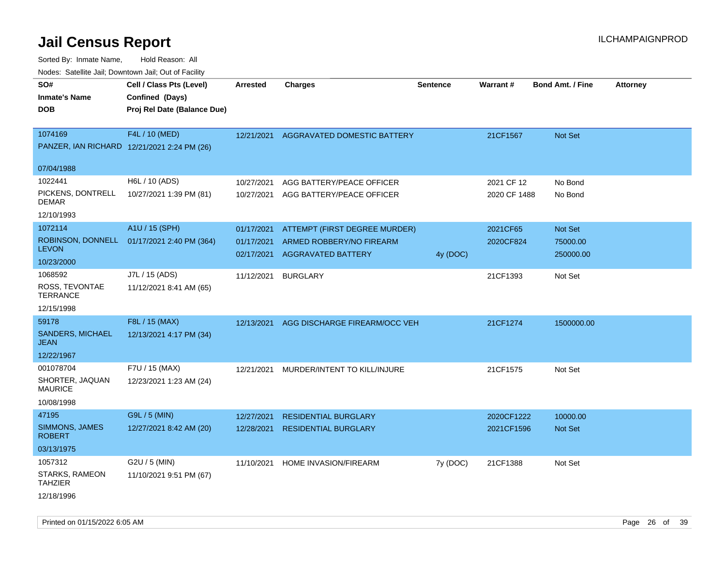| rougs. Calcing Jan, Downtown Jan, Out of Facility            |                                                                            |                                        |                                                                                        |                 |                            |                                         |                 |
|--------------------------------------------------------------|----------------------------------------------------------------------------|----------------------------------------|----------------------------------------------------------------------------------------|-----------------|----------------------------|-----------------------------------------|-----------------|
| SO#<br><b>Inmate's Name</b><br><b>DOB</b>                    | Cell / Class Pts (Level)<br>Confined (Days)<br>Proj Rel Date (Balance Due) | <b>Arrested</b>                        | <b>Charges</b>                                                                         | <b>Sentence</b> | Warrant#                   | <b>Bond Amt. / Fine</b>                 | <b>Attorney</b> |
| 1074169<br>PANZER, IAN RICHARD 12/21/2021 2:24 PM (26)       | F4L / 10 (MED)                                                             |                                        | 12/21/2021 AGGRAVATED DOMESTIC BATTERY                                                 |                 | 21CF1567                   | <b>Not Set</b>                          |                 |
| 07/04/1988                                                   |                                                                            |                                        |                                                                                        |                 |                            |                                         |                 |
| 1022441<br>PICKENS, DONTRELL<br><b>DEMAR</b><br>12/10/1993   | H6L / 10 (ADS)<br>10/27/2021 1:39 PM (81)                                  | 10/27/2021<br>10/27/2021               | AGG BATTERY/PEACE OFFICER<br>AGG BATTERY/PEACE OFFICER                                 |                 | 2021 CF 12<br>2020 CF 1488 | No Bond<br>No Bond                      |                 |
| 1072114<br><b>LEVON</b><br>10/23/2000                        | A1U / 15 (SPH)<br>ROBINSON, DONNELL 01/17/2021 2:40 PM (364)               | 01/17/2021<br>01/17/2021<br>02/17/2021 | ATTEMPT (FIRST DEGREE MURDER)<br>ARMED ROBBERY/NO FIREARM<br><b>AGGRAVATED BATTERY</b> | 4y (DOC)        | 2021CF65<br>2020CF824      | <b>Not Set</b><br>75000.00<br>250000.00 |                 |
| 1068592<br>ROSS, TEVONTAE<br><b>TERRANCE</b><br>12/15/1998   | J7L / 15 (ADS)<br>11/12/2021 8:41 AM (65)                                  | 11/12/2021                             | <b>BURGLARY</b>                                                                        |                 | 21CF1393                   | Not Set                                 |                 |
| 59178<br><b>SANDERS, MICHAEL</b><br>JEAN<br>12/22/1967       | F8L / 15 (MAX)<br>12/13/2021 4:17 PM (34)                                  | 12/13/2021                             | AGG DISCHARGE FIREARM/OCC VEH                                                          |                 | 21CF1274                   | 1500000.00                              |                 |
| 001078704<br>SHORTER, JAQUAN<br><b>MAURICE</b><br>10/08/1998 | F7U / 15 (MAX)<br>12/23/2021 1:23 AM (24)                                  | 12/21/2021                             | MURDER/INTENT TO KILL/INJURE                                                           |                 | 21CF1575                   | Not Set                                 |                 |
| 47195<br>SIMMONS, JAMES<br><b>ROBERT</b><br>03/13/1975       | G9L / 5 (MIN)<br>12/27/2021 8:42 AM (20)                                   | 12/27/2021<br>12/28/2021               | <b>RESIDENTIAL BURGLARY</b><br><b>RESIDENTIAL BURGLARY</b>                             |                 | 2020CF1222<br>2021CF1596   | 10000.00<br>Not Set                     |                 |
| 1057312<br>STARKS, RAMEON<br><b>TAHZIER</b><br>12/18/1996    | G2U / 5 (MIN)<br>11/10/2021 9:51 PM (67)                                   | 11/10/2021                             | HOME INVASION/FIREARM                                                                  | 7y (DOC)        | 21CF1388                   | Not Set                                 |                 |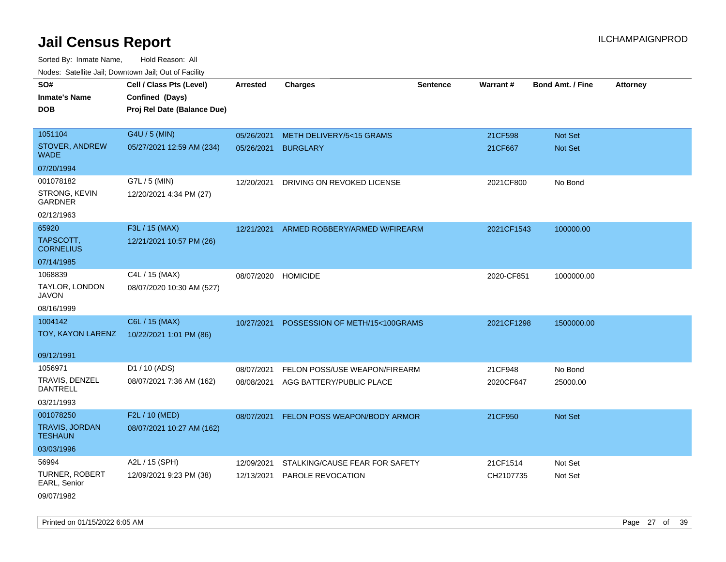Sorted By: Inmate Name, Hold Reason: All Nodes: Satellite Jail; Downtown Jail; Out of Facility

| SO#                                     | Cell / Class Pts (Level)    | Arrested   | <b>Charges</b>                 | <b>Sentence</b> | Warrant#   | <b>Bond Amt. / Fine</b> | <b>Attorney</b> |
|-----------------------------------------|-----------------------------|------------|--------------------------------|-----------------|------------|-------------------------|-----------------|
| <b>Inmate's Name</b>                    | Confined (Days)             |            |                                |                 |            |                         |                 |
| <b>DOB</b>                              | Proj Rel Date (Balance Due) |            |                                |                 |            |                         |                 |
|                                         |                             |            |                                |                 |            |                         |                 |
| 1051104                                 | G4U / 5 (MIN)               | 05/26/2021 | METH DELIVERY/5<15 GRAMS       |                 | 21CF598    | Not Set                 |                 |
| STOVER, ANDREW<br><b>WADE</b>           | 05/27/2021 12:59 AM (234)   | 05/26/2021 | <b>BURGLARY</b>                |                 | 21CF667    | Not Set                 |                 |
| 07/20/1994                              |                             |            |                                |                 |            |                         |                 |
| 001078182                               | G7L / 5 (MIN)               | 12/20/2021 | DRIVING ON REVOKED LICENSE     |                 | 2021CF800  | No Bond                 |                 |
| STRONG, KEVIN<br><b>GARDNER</b>         | 12/20/2021 4:34 PM (27)     |            |                                |                 |            |                         |                 |
| 02/12/1963                              |                             |            |                                |                 |            |                         |                 |
| 65920                                   | F3L / 15 (MAX)              | 12/21/2021 | ARMED ROBBERY/ARMED W/FIREARM  |                 | 2021CF1543 | 100000.00               |                 |
| TAPSCOTT,<br><b>CORNELIUS</b>           | 12/21/2021 10:57 PM (26)    |            |                                |                 |            |                         |                 |
| 07/14/1985                              |                             |            |                                |                 |            |                         |                 |
| 1068839                                 | C4L / 15 (MAX)              | 08/07/2020 | <b>HOMICIDE</b>                |                 | 2020-CF851 | 1000000.00              |                 |
| TAYLOR, LONDON<br><b>JAVON</b>          | 08/07/2020 10:30 AM (527)   |            |                                |                 |            |                         |                 |
| 08/16/1999                              |                             |            |                                |                 |            |                         |                 |
| 1004142                                 | C6L / 15 (MAX)              | 10/27/2021 | POSSESSION OF METH/15<100GRAMS |                 | 2021CF1298 | 1500000.00              |                 |
| TOY, KAYON LARENZ                       | 10/22/2021 1:01 PM (86)     |            |                                |                 |            |                         |                 |
| 09/12/1991                              |                             |            |                                |                 |            |                         |                 |
| 1056971                                 | D1 / 10 (ADS)               | 08/07/2021 | FELON POSS/USE WEAPON/FIREARM  |                 | 21CF948    | No Bond                 |                 |
| TRAVIS, DENZEL<br><b>DANTRELL</b>       | 08/07/2021 7:36 AM (162)    | 08/08/2021 | AGG BATTERY/PUBLIC PLACE       |                 | 2020CF647  | 25000.00                |                 |
| 03/21/1993                              |                             |            |                                |                 |            |                         |                 |
| 001078250                               | F2L / 10 (MED)              | 08/07/2021 | FELON POSS WEAPON/BODY ARMOR   |                 | 21CF950    | Not Set                 |                 |
| <b>TRAVIS, JORDAN</b><br><b>TESHAUN</b> | 08/07/2021 10:27 AM (162)   |            |                                |                 |            |                         |                 |
| 03/03/1996                              |                             |            |                                |                 |            |                         |                 |
| 56994                                   | A2L / 15 (SPH)              | 12/09/2021 | STALKING/CAUSE FEAR FOR SAFETY |                 | 21CF1514   | Not Set                 |                 |
| <b>TURNER, ROBERT</b><br>EARL, Senior   | 12/09/2021 9:23 PM (38)     | 12/13/2021 | <b>PAROLE REVOCATION</b>       |                 | CH2107735  | Not Set                 |                 |
| 09/07/1982                              |                             |            |                                |                 |            |                         |                 |

Printed on 01/15/2022 6:05 AM Page 27 of 39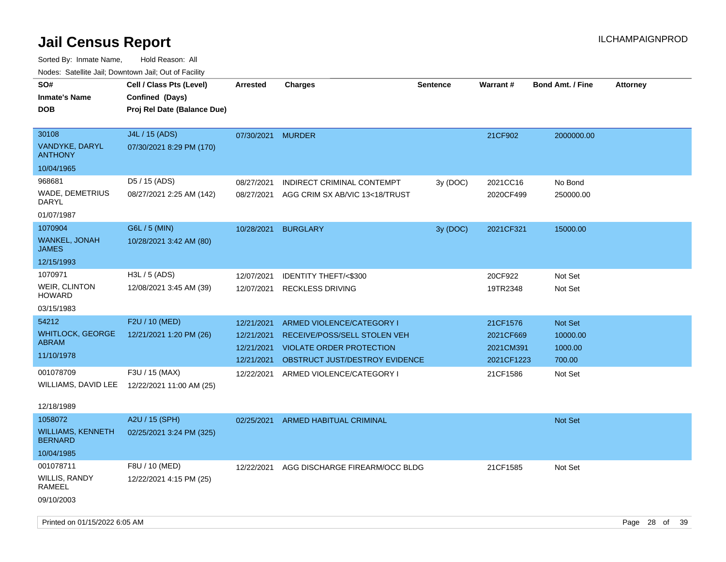| Nodes: Satellite Jall, Downtown Jall, Out of Facility |                             |            |                                 |                 |                 |                         |                 |
|-------------------------------------------------------|-----------------------------|------------|---------------------------------|-----------------|-----------------|-------------------------|-----------------|
| SO#                                                   | Cell / Class Pts (Level)    | Arrested   | <b>Charges</b>                  | <b>Sentence</b> | <b>Warrant#</b> | <b>Bond Amt. / Fine</b> | <b>Attorney</b> |
| <b>Inmate's Name</b>                                  | Confined (Days)             |            |                                 |                 |                 |                         |                 |
| <b>DOB</b>                                            | Proj Rel Date (Balance Due) |            |                                 |                 |                 |                         |                 |
|                                                       |                             |            |                                 |                 |                 |                         |                 |
| 30108                                                 | J4L / 15 (ADS)              | 07/30/2021 | <b>MURDER</b>                   |                 | 21CF902         | 2000000.00              |                 |
| VANDYKE, DARYL<br><b>ANTHONY</b>                      | 07/30/2021 8:29 PM (170)    |            |                                 |                 |                 |                         |                 |
| 10/04/1965                                            |                             |            |                                 |                 |                 |                         |                 |
| 968681                                                | D5 / 15 (ADS)               | 08/27/2021 | INDIRECT CRIMINAL CONTEMPT      | 3y (DOC)        | 2021CC16        | No Bond                 |                 |
| WADE, DEMETRIUS<br><b>DARYL</b>                       | 08/27/2021 2:25 AM (142)    | 08/27/2021 | AGG CRIM SX AB/VIC 13<18/TRUST  |                 | 2020CF499       | 250000.00               |                 |
| 01/07/1987                                            |                             |            |                                 |                 |                 |                         |                 |
| 1070904                                               | G6L / 5 (MIN)               | 10/28/2021 | <b>BURGLARY</b>                 | 3y (DOC)        | 2021CF321       | 15000.00                |                 |
| WANKEL, JONAH<br><b>JAMES</b>                         | 10/28/2021 3:42 AM (80)     |            |                                 |                 |                 |                         |                 |
| 12/15/1993                                            |                             |            |                                 |                 |                 |                         |                 |
| 1070971                                               | H3L / 5 (ADS)               | 12/07/2021 | <b>IDENTITY THEFT/&lt;\$300</b> |                 | 20CF922         | Not Set                 |                 |
| WEIR, CLINTON<br><b>HOWARD</b>                        | 12/08/2021 3:45 AM (39)     | 12/07/2021 | <b>RECKLESS DRIVING</b>         |                 | 19TR2348        | Not Set                 |                 |
| 03/15/1983                                            |                             |            |                                 |                 |                 |                         |                 |
| 54212                                                 | F2U / 10 (MED)              | 12/21/2021 | ARMED VIOLENCE/CATEGORY I       |                 | 21CF1576        | Not Set                 |                 |
| <b>WHITLOCK, GEORGE</b>                               | 12/21/2021 1:20 PM (26)     | 12/21/2021 | RECEIVE/POSS/SELL STOLEN VEH    |                 | 2021CF669       | 10000.00                |                 |
| <b>ABRAM</b>                                          |                             | 12/21/2021 | VIOLATE ORDER PROTECTION        |                 | 2021CM391       | 1000.00                 |                 |
| 11/10/1978                                            |                             | 12/21/2021 | OBSTRUCT JUST/DESTROY EVIDENCE  |                 | 2021CF1223      | 700.00                  |                 |
| 001078709                                             | F3U / 15 (MAX)              | 12/22/2021 | ARMED VIOLENCE/CATEGORY I       |                 | 21CF1586        | Not Set                 |                 |
| WILLIAMS, DAVID LEE                                   | 12/22/2021 11:00 AM (25)    |            |                                 |                 |                 |                         |                 |
|                                                       |                             |            |                                 |                 |                 |                         |                 |
| 12/18/1989                                            |                             |            |                                 |                 |                 |                         |                 |
| 1058072                                               | A2U / 15 (SPH)              | 02/25/2021 | ARMED HABITUAL CRIMINAL         |                 |                 | <b>Not Set</b>          |                 |
| <b>WILLIAMS, KENNETH</b><br><b>BERNARD</b>            | 02/25/2021 3:24 PM (325)    |            |                                 |                 |                 |                         |                 |
| 10/04/1985                                            |                             |            |                                 |                 |                 |                         |                 |
| 001078711                                             | F8U / 10 (MED)              | 12/22/2021 | AGG DISCHARGE FIREARM/OCC BLDG  |                 | 21CF1585        | Not Set                 |                 |
| WILLIS, RANDY<br>RAMEEL                               | 12/22/2021 4:15 PM (25)     |            |                                 |                 |                 |                         |                 |
| 09/10/2003                                            |                             |            |                                 |                 |                 |                         |                 |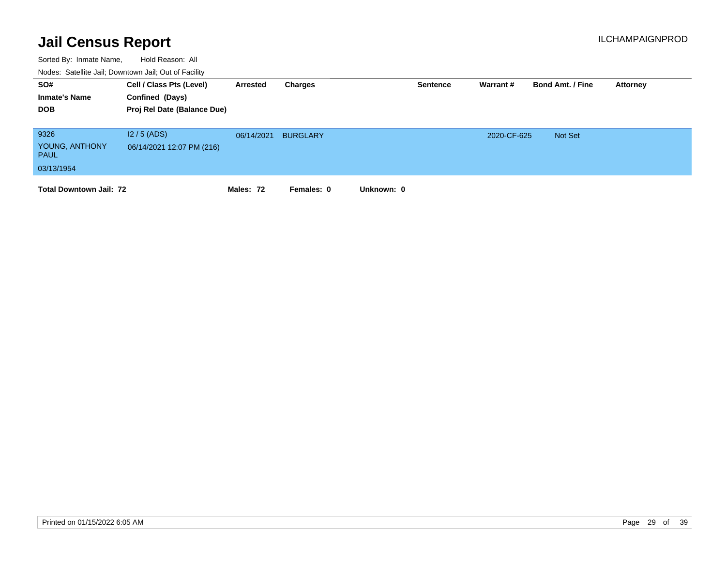| SO#<br><b>Inmate's Name</b><br><b>DOB</b>           | Cell / Class Pts (Level)<br>Confined (Days)<br>Proj Rel Date (Balance Due) | Arrested   | Charges         |            | <b>Sentence</b> | Warrant#    | <b>Bond Amt. / Fine</b> | Attorney |
|-----------------------------------------------------|----------------------------------------------------------------------------|------------|-----------------|------------|-----------------|-------------|-------------------------|----------|
| 9326<br>YOUNG, ANTHONY<br><b>PAUL</b><br>03/13/1954 | $12/5$ (ADS)<br>06/14/2021 12:07 PM (216)                                  | 06/14/2021 | <b>BURGLARY</b> |            |                 | 2020-CF-625 | Not Set                 |          |
| <b>Total Downtown Jail: 72</b>                      |                                                                            | Males: 72  | Females: 0      | Unknown: 0 |                 |             |                         |          |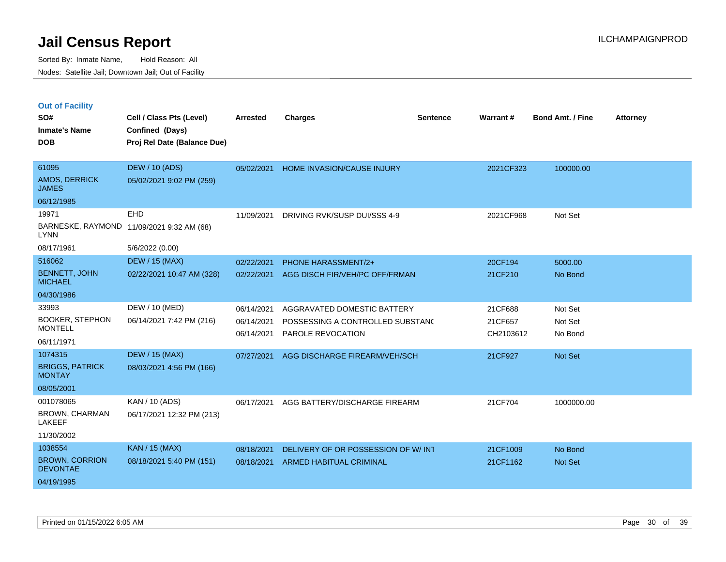|  |  | <b>Out of Facility</b> |
|--|--|------------------------|
|  |  |                        |

| SO#<br><b>Inmate's Name</b><br><b>DOB</b>                         | Cell / Class Pts (Level)<br>Confined (Days)<br>Proj Rel Date (Balance Due) | <b>Arrested</b>                        | <b>Charges</b>                                                                       | <b>Sentence</b> | Warrant#                        | <b>Bond Amt. / Fine</b>       | <b>Attorney</b> |
|-------------------------------------------------------------------|----------------------------------------------------------------------------|----------------------------------------|--------------------------------------------------------------------------------------|-----------------|---------------------------------|-------------------------------|-----------------|
| 61095<br><b>AMOS, DERRICK</b><br><b>JAMES</b><br>06/12/1985       | <b>DEW / 10 (ADS)</b><br>05/02/2021 9:02 PM (259)                          | 05/02/2021                             | HOME INVASION/CAUSE INJURY                                                           |                 | 2021CF323                       | 100000.00                     |                 |
| 19971<br><b>LYNN</b><br>08/17/1961                                | EHD<br>BARNESKE, RAYMOND 11/09/2021 9:32 AM (68)<br>5/6/2022 (0.00)        | 11/09/2021                             | DRIVING RVK/SUSP DUI/SSS 4-9                                                         |                 | 2021CF968                       | Not Set                       |                 |
| 516062<br><b>BENNETT, JOHN</b><br><b>MICHAEL</b><br>04/30/1986    | <b>DEW / 15 (MAX)</b><br>02/22/2021 10:47 AM (328)                         | 02/22/2021<br>02/22/2021               | <b>PHONE HARASSMENT/2+</b><br>AGG DISCH FIR/VEH/PC OFF/FRMAN                         |                 | 20CF194<br>21CF210              | 5000.00<br>No Bond            |                 |
| 33993<br><b>BOOKER, STEPHON</b><br><b>MONTELL</b><br>06/11/1971   | DEW / 10 (MED)<br>06/14/2021 7:42 PM (216)                                 | 06/14/2021<br>06/14/2021<br>06/14/2021 | AGGRAVATED DOMESTIC BATTERY<br>POSSESSING A CONTROLLED SUBSTAND<br>PAROLE REVOCATION |                 | 21CF688<br>21CF657<br>CH2103612 | Not Set<br>Not Set<br>No Bond |                 |
| 1074315<br><b>BRIGGS, PATRICK</b><br><b>MONTAY</b><br>08/05/2001  | <b>DEW / 15 (MAX)</b><br>08/03/2021 4:56 PM (166)                          | 07/27/2021                             | AGG DISCHARGE FIREARM/VEH/SCH                                                        |                 | 21CF927                         | Not Set                       |                 |
| 001078065<br><b>BROWN, CHARMAN</b><br><b>LAKEEF</b><br>11/30/2002 | KAN / 10 (ADS)<br>06/17/2021 12:32 PM (213)                                | 06/17/2021                             | AGG BATTERY/DISCHARGE FIREARM                                                        |                 | 21CF704                         | 1000000.00                    |                 |
| 1038554<br><b>BROWN, CORRION</b><br><b>DEVONTAE</b><br>04/19/1995 | <b>KAN / 15 (MAX)</b><br>08/18/2021 5:40 PM (151)                          | 08/18/2021<br>08/18/2021               | DELIVERY OF OR POSSESSION OF W/INT<br>ARMED HABITUAL CRIMINAL                        |                 | 21CF1009<br>21CF1162            | No Bond<br>Not Set            |                 |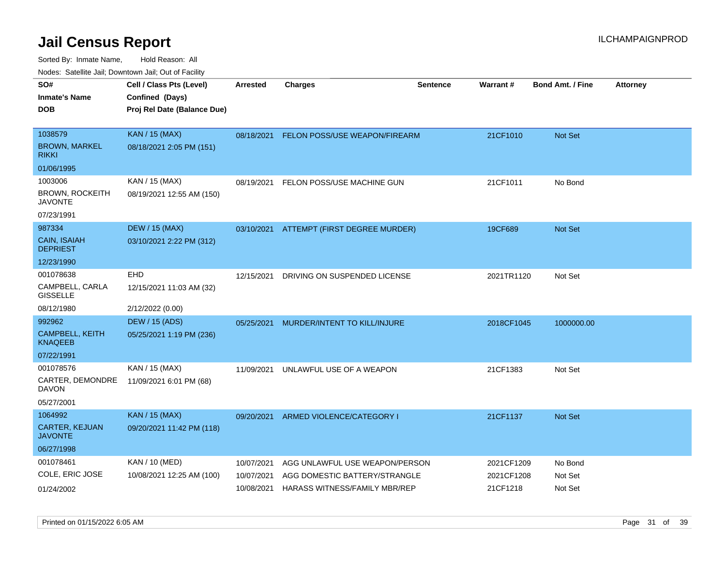| rouco. Calcillo Jali, Downtown Jali, Out of Facility |                 |                              |                                                                                                                     |                                                                                                                                                                                          |                         |                                                      |
|------------------------------------------------------|-----------------|------------------------------|---------------------------------------------------------------------------------------------------------------------|------------------------------------------------------------------------------------------------------------------------------------------------------------------------------------------|-------------------------|------------------------------------------------------|
| Cell / Class Pts (Level)                             | <b>Arrested</b> | <b>Charges</b>               | <b>Sentence</b>                                                                                                     |                                                                                                                                                                                          | <b>Bond Amt. / Fine</b> | <b>Attorney</b>                                      |
| Confined (Days)                                      |                 |                              |                                                                                                                     |                                                                                                                                                                                          |                         |                                                      |
| Proj Rel Date (Balance Due)                          |                 |                              |                                                                                                                     |                                                                                                                                                                                          |                         |                                                      |
|                                                      |                 |                              |                                                                                                                     |                                                                                                                                                                                          |                         |                                                      |
| <b>KAN / 15 (MAX)</b>                                |                 |                              |                                                                                                                     | 21CF1010                                                                                                                                                                                 | <b>Not Set</b>          |                                                      |
| 08/18/2021 2:05 PM (151)                             |                 |                              |                                                                                                                     |                                                                                                                                                                                          |                         |                                                      |
|                                                      |                 |                              |                                                                                                                     |                                                                                                                                                                                          |                         |                                                      |
| KAN / 15 (MAX)                                       | 08/19/2021      |                              |                                                                                                                     | 21CF1011                                                                                                                                                                                 | No Bond                 |                                                      |
| 08/19/2021 12:55 AM (150)                            |                 |                              |                                                                                                                     |                                                                                                                                                                                          |                         |                                                      |
|                                                      |                 |                              |                                                                                                                     |                                                                                                                                                                                          |                         |                                                      |
| <b>DEW / 15 (MAX)</b>                                |                 |                              |                                                                                                                     | 19CF689                                                                                                                                                                                  | <b>Not Set</b>          |                                                      |
| 03/10/2021 2:22 PM (312)                             |                 |                              |                                                                                                                     |                                                                                                                                                                                          |                         |                                                      |
|                                                      |                 |                              |                                                                                                                     |                                                                                                                                                                                          |                         |                                                      |
| EHD                                                  | 12/15/2021      | DRIVING ON SUSPENDED LICENSE |                                                                                                                     |                                                                                                                                                                                          | Not Set                 |                                                      |
| 12/15/2021 11:03 AM (32)                             |                 |                              |                                                                                                                     |                                                                                                                                                                                          |                         |                                                      |
| 2/12/2022 (0.00)                                     |                 |                              |                                                                                                                     |                                                                                                                                                                                          |                         |                                                      |
| <b>DEW / 15 (ADS)</b>                                | 05/25/2021      |                              |                                                                                                                     |                                                                                                                                                                                          | 1000000.00              |                                                      |
| 05/25/2021 1:19 PM (236)                             |                 |                              |                                                                                                                     |                                                                                                                                                                                          |                         |                                                      |
|                                                      |                 |                              |                                                                                                                     |                                                                                                                                                                                          |                         |                                                      |
| KAN / 15 (MAX)                                       | 11/09/2021      |                              |                                                                                                                     | 21CF1383                                                                                                                                                                                 | Not Set                 |                                                      |
| 11/09/2021 6:01 PM (68)                              |                 |                              |                                                                                                                     |                                                                                                                                                                                          |                         |                                                      |
|                                                      |                 |                              |                                                                                                                     |                                                                                                                                                                                          |                         |                                                      |
| <b>KAN / 15 (MAX)</b>                                | 09/20/2021      |                              |                                                                                                                     | 21CF1137                                                                                                                                                                                 | <b>Not Set</b>          |                                                      |
| 09/20/2021 11:42 PM (118)                            |                 |                              |                                                                                                                     |                                                                                                                                                                                          |                         |                                                      |
|                                                      |                 |                              |                                                                                                                     |                                                                                                                                                                                          |                         |                                                      |
| KAN / 10 (MED)                                       | 10/07/2021      |                              |                                                                                                                     |                                                                                                                                                                                          | No Bond                 |                                                      |
| 10/08/2021 12:25 AM (100)                            | 10/07/2021      |                              |                                                                                                                     |                                                                                                                                                                                          | Not Set                 |                                                      |
|                                                      | 10/08/2021      |                              |                                                                                                                     | 21CF1218                                                                                                                                                                                 | Not Set                 |                                                      |
|                                                      |                 |                              | FELON POSS/USE MACHINE GUN<br>MURDER/INTENT TO KILL/INJURE<br>UNLAWFUL USE OF A WEAPON<br>ARMED VIOLENCE/CATEGORY I | 08/18/2021 FELON POSS/USE WEAPON/FIREARM<br>03/10/2021 ATTEMPT (FIRST DEGREE MURDER)<br>AGG UNLAWFUL USE WEAPON/PERSON<br>AGG DOMESTIC BATTERY/STRANGLE<br>HARASS WITNESS/FAMILY MBR/REP | Warrant#                | 2021TR1120<br>2018CF1045<br>2021CF1209<br>2021CF1208 |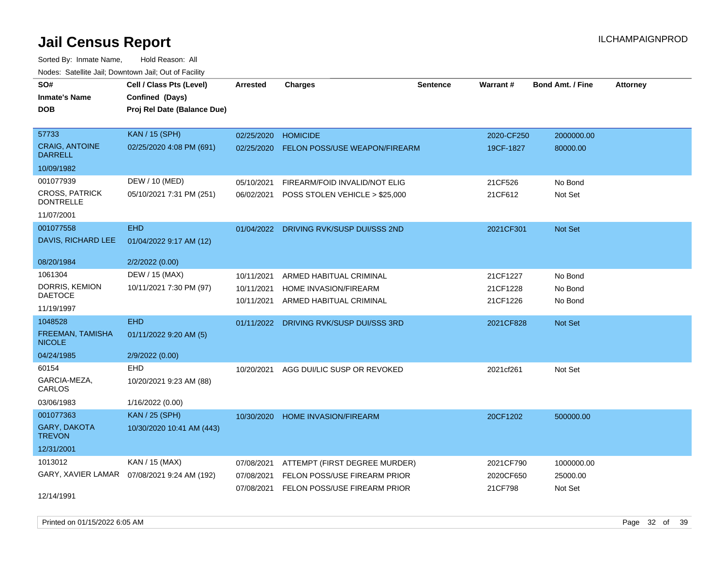| rouce. Calcinic Jan, Downtown Jan, Out or Facility |                                              |                 |                                         |                 |            |                         |                 |
|----------------------------------------------------|----------------------------------------------|-----------------|-----------------------------------------|-----------------|------------|-------------------------|-----------------|
| SO#                                                | Cell / Class Pts (Level)                     | <b>Arrested</b> | <b>Charges</b>                          | <b>Sentence</b> | Warrant#   | <b>Bond Amt. / Fine</b> | <b>Attorney</b> |
| <b>Inmate's Name</b>                               | Confined (Days)                              |                 |                                         |                 |            |                         |                 |
| <b>DOB</b>                                         | Proj Rel Date (Balance Due)                  |                 |                                         |                 |            |                         |                 |
|                                                    |                                              |                 |                                         |                 |            |                         |                 |
| 57733                                              | <b>KAN / 15 (SPH)</b>                        | 02/25/2020      | <b>HOMICIDE</b>                         |                 | 2020-CF250 | 2000000.00              |                 |
| <b>CRAIG, ANTOINE</b><br><b>DARRELL</b>            | 02/25/2020 4:08 PM (691)                     | 02/25/2020      | <b>FELON POSS/USE WEAPON/FIREARM</b>    |                 | 19CF-1827  | 80000.00                |                 |
| 10/09/1982                                         |                                              |                 |                                         |                 |            |                         |                 |
| 001077939                                          | DEW / 10 (MED)                               | 05/10/2021      | FIREARM/FOID INVALID/NOT ELIG           |                 | 21CF526    | No Bond                 |                 |
| <b>CROSS, PATRICK</b><br><b>DONTRELLE</b>          | 05/10/2021 7:31 PM (251)                     | 06/02/2021      | POSS STOLEN VEHICLE > \$25,000          |                 | 21CF612    | Not Set                 |                 |
| 11/07/2001                                         |                                              |                 |                                         |                 |            |                         |                 |
| 001077558                                          | <b>EHD</b>                                   |                 | 01/04/2022 DRIVING RVK/SUSP DUI/SSS 2ND |                 | 2021CF301  | <b>Not Set</b>          |                 |
| DAVIS, RICHARD LEE                                 | 01/04/2022 9:17 AM (12)                      |                 |                                         |                 |            |                         |                 |
| 08/20/1984                                         | 2/2/2022 (0.00)                              |                 |                                         |                 |            |                         |                 |
| 1061304                                            | DEW / 15 (MAX)                               | 10/11/2021      | ARMED HABITUAL CRIMINAL                 |                 | 21CF1227   | No Bond                 |                 |
| DORRIS, KEMION                                     | 10/11/2021 7:30 PM (97)                      | 10/11/2021      | HOME INVASION/FIREARM                   |                 | 21CF1228   | No Bond                 |                 |
| <b>DAETOCE</b>                                     |                                              | 10/11/2021      | ARMED HABITUAL CRIMINAL                 |                 | 21CF1226   | No Bond                 |                 |
| 11/19/1997                                         |                                              |                 |                                         |                 |            |                         |                 |
| 1048528                                            | <b>EHD</b>                                   | 01/11/2022      | DRIVING RVK/SUSP DUI/SSS 3RD            |                 | 2021CF828  | <b>Not Set</b>          |                 |
| <b>FREEMAN, TAMISHA</b><br><b>NICOLE</b>           | 01/11/2022 9:20 AM (5)                       |                 |                                         |                 |            |                         |                 |
| 04/24/1985                                         | 2/9/2022 (0.00)                              |                 |                                         |                 |            |                         |                 |
| 60154                                              | EHD                                          | 10/20/2021      | AGG DUI/LIC SUSP OR REVOKED             |                 | 2021cf261  | Not Set                 |                 |
| GARCIA-MEZA,<br>CARLOS                             | 10/20/2021 9:23 AM (88)                      |                 |                                         |                 |            |                         |                 |
| 03/06/1983                                         | 1/16/2022 (0.00)                             |                 |                                         |                 |            |                         |                 |
| 001077363                                          | <b>KAN / 25 (SPH)</b>                        | 10/30/2020      | HOME INVASION/FIREARM                   |                 | 20CF1202   | 500000.00               |                 |
| GARY, DAKOTA<br><b>TREVON</b>                      | 10/30/2020 10:41 AM (443)                    |                 |                                         |                 |            |                         |                 |
| 12/31/2001                                         |                                              |                 |                                         |                 |            |                         |                 |
| 1013012                                            | KAN / 15 (MAX)                               | 07/08/2021      | ATTEMPT (FIRST DEGREE MURDER)           |                 | 2021CF790  | 1000000.00              |                 |
|                                                    | GARY, XAVIER LAMAR  07/08/2021 9:24 AM (192) | 07/08/2021      | FELON POSS/USE FIREARM PRIOR            |                 | 2020CF650  | 25000.00                |                 |
|                                                    |                                              | 07/08/2021      | <b>FELON POSS/USE FIREARM PRIOR</b>     |                 | 21CF798    | Not Set                 |                 |
| 12/14/1991                                         |                                              |                 |                                         |                 |            |                         |                 |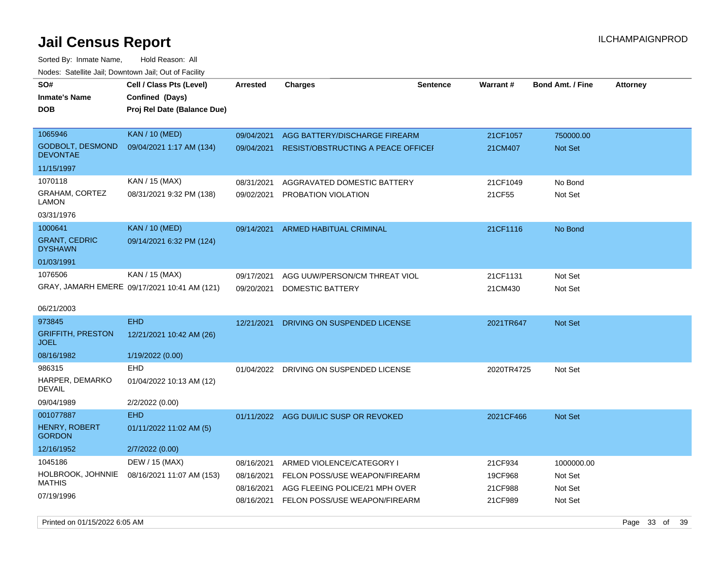Sorted By: Inmate Name, Hold Reason: All Nodes: Satellite Jail; Downtown Jail; Out of Facility

| roaco. Oatomto dan, Downtown dan, Oat or Fability |                                                                            |                 |                                           |                 |            |                         |                 |
|---------------------------------------------------|----------------------------------------------------------------------------|-----------------|-------------------------------------------|-----------------|------------|-------------------------|-----------------|
| SO#<br><b>Inmate's Name</b><br><b>DOB</b>         | Cell / Class Pts (Level)<br>Confined (Days)<br>Proj Rel Date (Balance Due) | <b>Arrested</b> | <b>Charges</b>                            | <b>Sentence</b> | Warrant#   | <b>Bond Amt. / Fine</b> | <b>Attorney</b> |
| 1065946                                           | <b>KAN / 10 (MED)</b>                                                      | 09/04/2021      | AGG BATTERY/DISCHARGE FIREARM             |                 | 21CF1057   | 750000.00               |                 |
| <b>GODBOLT, DESMOND</b><br><b>DEVONTAE</b>        | 09/04/2021 1:17 AM (134)                                                   | 09/04/2021      | <b>RESIST/OBSTRUCTING A PEACE OFFICEF</b> |                 | 21CM407    | <b>Not Set</b>          |                 |
| 11/15/1997                                        |                                                                            |                 |                                           |                 |            |                         |                 |
| 1070118                                           | KAN / 15 (MAX)                                                             | 08/31/2021      | AGGRAVATED DOMESTIC BATTERY               |                 | 21CF1049   | No Bond                 |                 |
| <b>GRAHAM, CORTEZ</b><br>LAMON                    | 08/31/2021 9:32 PM (138)                                                   | 09/02/2021      | PROBATION VIOLATION                       |                 | 21CF55     | Not Set                 |                 |
| 03/31/1976                                        |                                                                            |                 |                                           |                 |            |                         |                 |
| 1000641                                           | <b>KAN</b> / 10 (MED)                                                      | 09/14/2021      | <b>ARMED HABITUAL CRIMINAL</b>            |                 | 21CF1116   | No Bond                 |                 |
| <b>GRANT, CEDRIC</b><br><b>DYSHAWN</b>            | 09/14/2021 6:32 PM (124)                                                   |                 |                                           |                 |            |                         |                 |
| 01/03/1991                                        |                                                                            |                 |                                           |                 |            |                         |                 |
| 1076506                                           | KAN / 15 (MAX)                                                             | 09/17/2021      | AGG UUW/PERSON/CM THREAT VIOL             |                 | 21CF1131   | Not Set                 |                 |
|                                                   | GRAY, JAMARH EMERE 09/17/2021 10:41 AM (121)                               | 09/20/2021      | DOMESTIC BATTERY                          |                 | 21CM430    | Not Set                 |                 |
| 06/21/2003                                        |                                                                            |                 |                                           |                 |            |                         |                 |
| 973845                                            | <b>EHD</b>                                                                 | 12/21/2021      | DRIVING ON SUSPENDED LICENSE              |                 | 2021TR647  | Not Set                 |                 |
| <b>GRIFFITH, PRESTON</b><br><b>JOEL</b>           | 12/21/2021 10:42 AM (26)                                                   |                 |                                           |                 |            |                         |                 |
| 08/16/1982                                        | 1/19/2022 (0.00)                                                           |                 |                                           |                 |            |                         |                 |
| 986315                                            | EHD                                                                        | 01/04/2022      | DRIVING ON SUSPENDED LICENSE              |                 | 2020TR4725 | Not Set                 |                 |
| HARPER, DEMARKO<br><b>DEVAIL</b>                  | 01/04/2022 10:13 AM (12)                                                   |                 |                                           |                 |            |                         |                 |
| 09/04/1989                                        | 2/2/2022 (0.00)                                                            |                 |                                           |                 |            |                         |                 |
| 001077887                                         | <b>EHD</b>                                                                 |                 | 01/11/2022 AGG DUI/LIC SUSP OR REVOKED    |                 | 2021CF466  | <b>Not Set</b>          |                 |
| <b>HENRY, ROBERT</b><br><b>GORDON</b>             | 01/11/2022 11:02 AM (5)                                                    |                 |                                           |                 |            |                         |                 |
| 12/16/1952                                        | 2/7/2022 (0.00)                                                            |                 |                                           |                 |            |                         |                 |
| 1045186                                           | DEW / 15 (MAX)                                                             | 08/16/2021      | ARMED VIOLENCE/CATEGORY I                 |                 | 21CF934    | 1000000.00              |                 |
| HOLBROOK, JOHNNIE                                 | 08/16/2021 11:07 AM (153)                                                  | 08/16/2021      | FELON POSS/USE WEAPON/FIREARM             |                 | 19CF968    | Not Set                 |                 |
| MATHIS                                            |                                                                            | 08/16/2021      | AGG FLEEING POLICE/21 MPH OVER            |                 | 21CF988    | Not Set                 |                 |
| 07/19/1996                                        |                                                                            | 08/16/2021      | FELON POSS/USE WEAPON/FIREARM             |                 | 21CF989    | Not Set                 |                 |

Printed on 01/15/2022 6:05 AM Page 33 of 39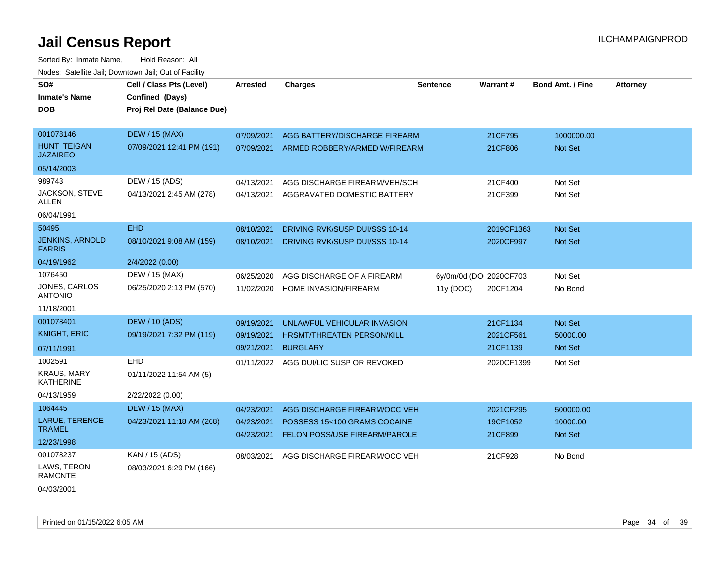| SO#<br><b>Inmate's Name</b><br><b>DOB</b>                       | Cell / Class Pts (Level)<br>Confined (Days)<br>Proj Rel Date (Balance Due) | Arrested                               | <b>Charges</b>                                                                                 | <b>Sentence</b> | <b>Warrant#</b>                     | <b>Bond Amt. / Fine</b>          | <b>Attorney</b> |
|-----------------------------------------------------------------|----------------------------------------------------------------------------|----------------------------------------|------------------------------------------------------------------------------------------------|-----------------|-------------------------------------|----------------------------------|-----------------|
| 001078146<br>HUNT, TEIGAN<br><b>JAZAIREO</b>                    | <b>DEW / 15 (MAX)</b><br>07/09/2021 12:41 PM (191)                         | 07/09/2021<br>07/09/2021               | AGG BATTERY/DISCHARGE FIREARM<br>ARMED ROBBERY/ARMED W/FIREARM                                 |                 | 21CF795<br>21CF806                  | 1000000.00<br><b>Not Set</b>     |                 |
| 05/14/2003<br>989743<br>JACKSON, STEVE<br>ALLEN<br>06/04/1991   | DEW / 15 (ADS)<br>04/13/2021 2:45 AM (278)                                 | 04/13/2021<br>04/13/2021               | AGG DISCHARGE FIREARM/VEH/SCH<br>AGGRAVATED DOMESTIC BATTERY                                   |                 | 21CF400<br>21CF399                  | Not Set<br>Not Set               |                 |
| 50495<br><b>JENKINS, ARNOLD</b><br><b>FARRIS</b><br>04/19/1962  | <b>EHD</b><br>08/10/2021 9:08 AM (159)<br>2/4/2022 (0.00)                  | 08/10/2021<br>08/10/2021               | DRIVING RVK/SUSP DUI/SSS 10-14<br>DRIVING RVK/SUSP DUI/SSS 10-14                               |                 | 2019CF1363<br>2020CF997             | <b>Not Set</b><br><b>Not Set</b> |                 |
| 1076450<br>JONES, CARLOS<br><b>ANTONIO</b><br>11/18/2001        | DEW / 15 (MAX)<br>06/25/2020 2:13 PM (570)                                 | 06/25/2020<br>11/02/2020               | AGG DISCHARGE OF A FIREARM<br>HOME INVASION/FIREARM                                            | 11y (DOC)       | 6y/0m/0d (DOI 2020CF703<br>20CF1204 | Not Set<br>No Bond               |                 |
| 001078401<br><b>KNIGHT, ERIC</b><br>07/11/1991                  | <b>DEW / 10 (ADS)</b><br>09/19/2021 7:32 PM (119)                          | 09/19/2021<br>09/19/2021<br>09/21/2021 | UNLAWFUL VEHICULAR INVASION<br>HRSMT/THREATEN PERSON/KILL<br><b>BURGLARY</b>                   |                 | 21CF1134<br>2021CF561<br>21CF1139   | Not Set<br>50000.00<br>Not Set   |                 |
| 1002591<br><b>KRAUS, MARY</b><br><b>KATHERINE</b><br>04/13/1959 | <b>EHD</b><br>01/11/2022 11:54 AM (5)<br>2/22/2022 (0.00)                  | 01/11/2022                             | AGG DUI/LIC SUSP OR REVOKED                                                                    |                 | 2020CF1399                          | Not Set                          |                 |
| 1064445<br>LARUE, TERENCE<br><b>TRAMEL</b><br>12/23/1998        | <b>DEW / 15 (MAX)</b><br>04/23/2021 11:18 AM (268)                         | 04/23/2021<br>04/23/2021<br>04/23/2021 | AGG DISCHARGE FIREARM/OCC VEH<br>POSSESS 15<100 GRAMS COCAINE<br>FELON POSS/USE FIREARM/PAROLE |                 | 2021CF295<br>19CF1052<br>21CF899    | 500000.00<br>10000.00<br>Not Set |                 |
| 001078237<br>LAWS, TERON<br><b>RAMONTE</b><br>04/03/2001        | KAN / 15 (ADS)<br>08/03/2021 6:29 PM (166)                                 | 08/03/2021                             | AGG DISCHARGE FIREARM/OCC VEH                                                                  |                 | 21CF928                             | No Bond                          |                 |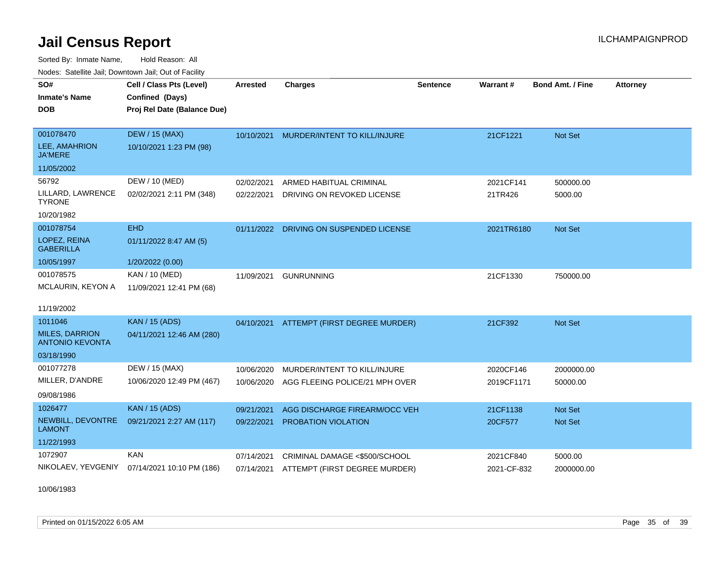Sorted By: Inmate Name, Hold Reason: All Nodes: Satellite Jail; Downtown Jail; Out of Facility

| SO#                                             | Cell / Class Pts (Level)    | Arrested   | <b>Charges</b>                           | <b>Sentence</b> | Warrant#    | <b>Bond Amt. / Fine</b> | <b>Attorney</b> |
|-------------------------------------------------|-----------------------------|------------|------------------------------------------|-----------------|-------------|-------------------------|-----------------|
| <b>Inmate's Name</b>                            | Confined (Days)             |            |                                          |                 |             |                         |                 |
| <b>DOB</b>                                      | Proj Rel Date (Balance Due) |            |                                          |                 |             |                         |                 |
|                                                 |                             |            |                                          |                 |             |                         |                 |
| 001078470                                       | <b>DEW / 15 (MAX)</b>       | 10/10/2021 | MURDER/INTENT TO KILL/INJURE             |                 | 21CF1221    | Not Set                 |                 |
| LEE, AMAHRION<br><b>JA'MERE</b>                 | 10/10/2021 1:23 PM (98)     |            |                                          |                 |             |                         |                 |
| 11/05/2002                                      |                             |            |                                          |                 |             |                         |                 |
| 56792                                           | DEW / 10 (MED)              | 02/02/2021 | ARMED HABITUAL CRIMINAL                  |                 | 2021CF141   | 500000.00               |                 |
| LILLARD, LAWRENCE<br><b>TYRONE</b>              | 02/02/2021 2:11 PM (348)    | 02/22/2021 | DRIVING ON REVOKED LICENSE               |                 | 21TR426     | 5000.00                 |                 |
| 10/20/1982                                      |                             |            |                                          |                 |             |                         |                 |
| 001078754                                       | <b>EHD</b>                  | 01/11/2022 | DRIVING ON SUSPENDED LICENSE             |                 | 2021TR6180  | <b>Not Set</b>          |                 |
| LOPEZ, REINA<br><b>GABERILLA</b>                | 01/11/2022 8:47 AM (5)      |            |                                          |                 |             |                         |                 |
| 10/05/1997                                      | 1/20/2022 (0.00)            |            |                                          |                 |             |                         |                 |
| 001078575                                       | KAN / 10 (MED)              | 11/09/2021 | <b>GUNRUNNING</b>                        |                 | 21CF1330    | 750000.00               |                 |
| MCLAURIN, KEYON A                               | 11/09/2021 12:41 PM (68)    |            |                                          |                 |             |                         |                 |
| 11/19/2002                                      |                             |            |                                          |                 |             |                         |                 |
| 1011046                                         | <b>KAN / 15 (ADS)</b>       |            | 04/10/2021 ATTEMPT (FIRST DEGREE MURDER) |                 | 21CF392     | <b>Not Set</b>          |                 |
| <b>MILES, DARRION</b><br><b>ANTONIO KEVONTA</b> | 04/11/2021 12:46 AM (280)   |            |                                          |                 |             |                         |                 |
| 03/18/1990                                      |                             |            |                                          |                 |             |                         |                 |
| 001077278                                       | DEW / 15 (MAX)              | 10/06/2020 | MURDER/INTENT TO KILL/INJURE             |                 | 2020CF146   | 2000000.00              |                 |
| MILLER, D'ANDRE                                 | 10/06/2020 12:49 PM (467)   | 10/06/2020 | AGG FLEEING POLICE/21 MPH OVER           |                 | 2019CF1171  | 50000.00                |                 |
| 09/08/1986                                      |                             |            |                                          |                 |             |                         |                 |
| 1026477                                         | <b>KAN / 15 (ADS)</b>       | 09/21/2021 | AGG DISCHARGE FIREARM/OCC VEH            |                 | 21CF1138    | Not Set                 |                 |
| NEWBILL, DEVONTRE<br><b>LAMONT</b>              | 09/21/2021 2:27 AM (117)    | 09/22/2021 | <b>PROBATION VIOLATION</b>               |                 | 20CF577     | <b>Not Set</b>          |                 |
| 11/22/1993                                      |                             |            |                                          |                 |             |                         |                 |
| 1072907                                         | <b>KAN</b>                  | 07/14/2021 | CRIMINAL DAMAGE <\$500/SCHOOL            |                 | 2021CF840   | 5000.00                 |                 |
| NIKOLAEV, YEVGENIY                              | 07/14/2021 10:10 PM (186)   | 07/14/2021 | ATTEMPT (FIRST DEGREE MURDER)            |                 | 2021-CF-832 | 2000000.00              |                 |

10/06/1983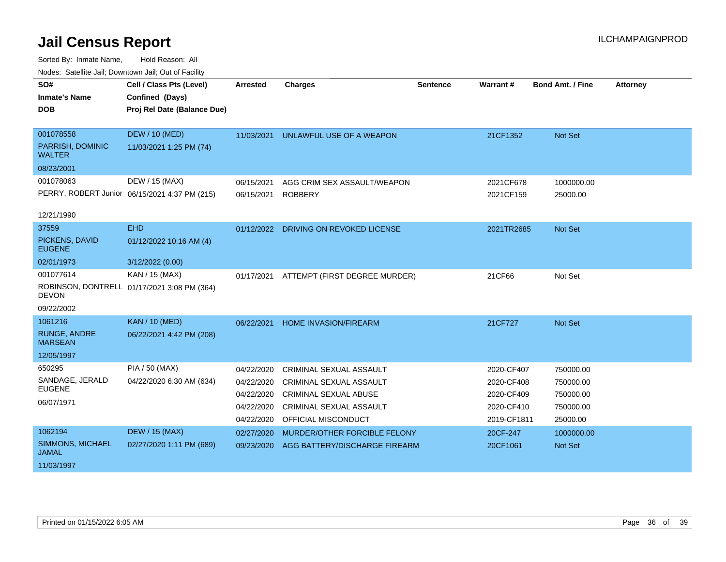| vodos. Catolino can, Downtown can, Out of Fability |                                               |                 |                                       |                 |             |                         |                 |
|----------------------------------------------------|-----------------------------------------------|-----------------|---------------------------------------|-----------------|-------------|-------------------------|-----------------|
| SO#                                                | Cell / Class Pts (Level)                      | <b>Arrested</b> | <b>Charges</b>                        | <b>Sentence</b> | Warrant#    | <b>Bond Amt. / Fine</b> | <b>Attorney</b> |
| <b>Inmate's Name</b>                               | Confined (Days)                               |                 |                                       |                 |             |                         |                 |
| <b>DOB</b>                                         | Proj Rel Date (Balance Due)                   |                 |                                       |                 |             |                         |                 |
|                                                    |                                               |                 |                                       |                 |             |                         |                 |
| 001078558                                          | <b>DEW / 10 (MED)</b>                         | 11/03/2021      | UNLAWFUL USE OF A WEAPON              |                 | 21CF1352    | Not Set                 |                 |
| PARRISH, DOMINIC<br><b>WALTER</b>                  | 11/03/2021 1:25 PM (74)                       |                 |                                       |                 |             |                         |                 |
| 08/23/2001                                         |                                               |                 |                                       |                 |             |                         |                 |
| 001078063                                          | DEW / 15 (MAX)                                | 06/15/2021      | AGG CRIM SEX ASSAULT/WEAPON           |                 | 2021CF678   | 1000000.00              |                 |
|                                                    | PERRY, ROBERT Junior 06/15/2021 4:37 PM (215) | 06/15/2021      | <b>ROBBERY</b>                        |                 | 2021CF159   | 25000.00                |                 |
|                                                    |                                               |                 |                                       |                 |             |                         |                 |
| 12/21/1990                                         |                                               |                 |                                       |                 |             |                         |                 |
| 37559                                              | <b>EHD</b>                                    |                 | 01/12/2022 DRIVING ON REVOKED LICENSE |                 | 2021TR2685  | Not Set                 |                 |
| PICKENS, DAVID<br><b>EUGENE</b>                    | 01/12/2022 10:16 AM (4)                       |                 |                                       |                 |             |                         |                 |
| 02/01/1973                                         | 3/12/2022 (0.00)                              |                 |                                       |                 |             |                         |                 |
| 001077614                                          | KAN / 15 (MAX)                                | 01/17/2021      | ATTEMPT (FIRST DEGREE MURDER)         |                 | 21CF66      | Not Set                 |                 |
| <b>DEVON</b>                                       | ROBINSON, DONTRELL 01/17/2021 3:08 PM (364)   |                 |                                       |                 |             |                         |                 |
| 09/22/2002                                         |                                               |                 |                                       |                 |             |                         |                 |
| 1061216                                            | <b>KAN / 10 (MED)</b>                         | 06/22/2021      | HOME INVASION/FIREARM                 |                 | 21CF727     | Not Set                 |                 |
| <b>RUNGE, ANDRE</b><br><b>MARSEAN</b>              | 06/22/2021 4:42 PM (208)                      |                 |                                       |                 |             |                         |                 |
| 12/05/1997                                         |                                               |                 |                                       |                 |             |                         |                 |
| 650295                                             | <b>PIA / 50 (MAX)</b>                         | 04/22/2020      | CRIMINAL SEXUAL ASSAULT               |                 | 2020-CF407  | 750000.00               |                 |
| SANDAGE, JERALD                                    | 04/22/2020 6:30 AM (634)                      | 04/22/2020      | <b>CRIMINAL SEXUAL ASSAULT</b>        |                 | 2020-CF408  | 750000.00               |                 |
| <b>EUGENE</b>                                      |                                               | 04/22/2020      | <b>CRIMINAL SEXUAL ABUSE</b>          |                 | 2020-CF409  | 750000.00               |                 |
| 06/07/1971                                         |                                               | 04/22/2020      | <b>CRIMINAL SEXUAL ASSAULT</b>        |                 | 2020-CF410  | 750000.00               |                 |
|                                                    |                                               | 04/22/2020      | OFFICIAL MISCONDUCT                   |                 | 2019-CF1811 | 25000.00                |                 |
| 1062194                                            | <b>DEW / 15 (MAX)</b>                         | 02/27/2020      | MURDER/OTHER FORCIBLE FELONY          |                 | 20CF-247    | 1000000.00              |                 |
| SIMMONS, MICHAEL<br><b>JAMAL</b>                   | 02/27/2020 1:11 PM (689)                      | 09/23/2020      | AGG BATTERY/DISCHARGE FIREARM         |                 | 20CF1061    | <b>Not Set</b>          |                 |
| 11/03/1997                                         |                                               |                 |                                       |                 |             |                         |                 |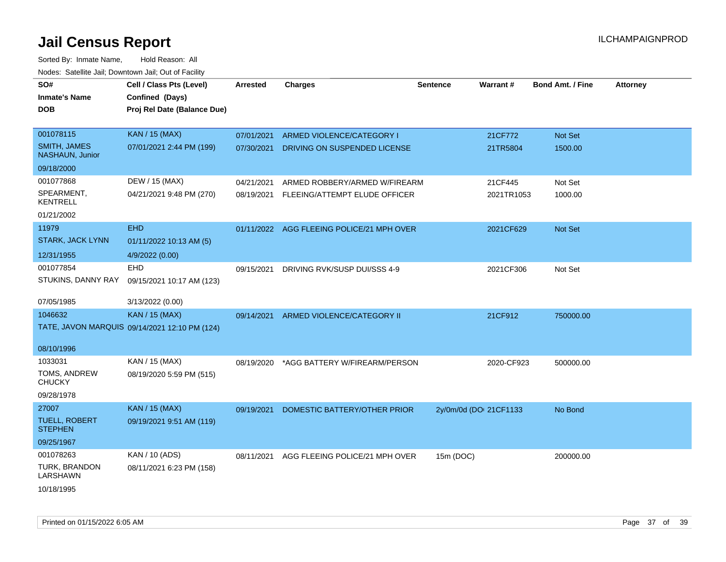| SO#<br><b>Inmate's Name</b><br>DOB     | Cell / Class Pts (Level)<br>Confined (Days)<br>Proj Rel Date (Balance Due) | <b>Arrested</b> | <b>Charges</b>                 | <b>Sentence</b>        | Warrant#   | <b>Bond Amt. / Fine</b> | <b>Attorney</b> |
|----------------------------------------|----------------------------------------------------------------------------|-----------------|--------------------------------|------------------------|------------|-------------------------|-----------------|
| 001078115                              | <b>KAN / 15 (MAX)</b>                                                      | 07/01/2021      | ARMED VIOLENCE/CATEGORY I      |                        | 21CF772    | Not Set                 |                 |
| <b>SMITH, JAMES</b><br>NASHAUN, Junior | 07/01/2021 2:44 PM (199)                                                   | 07/30/2021      | DRIVING ON SUSPENDED LICENSE   |                        | 21TR5804   | 1500.00                 |                 |
| 09/18/2000                             |                                                                            |                 |                                |                        |            |                         |                 |
| 001077868                              | DEW / 15 (MAX)                                                             | 04/21/2021      | ARMED ROBBERY/ARMED W/FIREARM  |                        | 21CF445    | Not Set                 |                 |
| SPEARMENT,<br><b>KENTRELL</b>          | 04/21/2021 9:48 PM (270)                                                   | 08/19/2021      | FLEEING/ATTEMPT ELUDE OFFICER  |                        | 2021TR1053 | 1000.00                 |                 |
| 01/21/2002                             |                                                                            |                 |                                |                        |            |                         |                 |
| 11979                                  | <b>EHD</b>                                                                 | 01/11/2022      | AGG FLEEING POLICE/21 MPH OVER |                        | 2021CF629  | Not Set                 |                 |
| STARK, JACK LYNN                       | 01/11/2022 10:13 AM (5)                                                    |                 |                                |                        |            |                         |                 |
| 12/31/1955                             | 4/9/2022 (0.00)                                                            |                 |                                |                        |            |                         |                 |
| 001077854                              | <b>EHD</b>                                                                 | 09/15/2021      | DRIVING RVK/SUSP DUI/SSS 4-9   |                        | 2021CF306  | Not Set                 |                 |
| STUKINS, DANNY RAY                     | 09/15/2021 10:17 AM (123)                                                  |                 |                                |                        |            |                         |                 |
| 07/05/1985                             | 3/13/2022 (0.00)                                                           |                 |                                |                        |            |                         |                 |
| 1046632                                | <b>KAN / 15 (MAX)</b>                                                      | 09/14/2021      | ARMED VIOLENCE/CATEGORY II     |                        | 21CF912    | 750000.00               |                 |
|                                        | TATE, JAVON MARQUIS 09/14/2021 12:10 PM (124)                              |                 |                                |                        |            |                         |                 |
| 08/10/1996                             |                                                                            |                 |                                |                        |            |                         |                 |
| 1033031                                | KAN / 15 (MAX)                                                             | 08/19/2020      | *AGG BATTERY W/FIREARM/PERSON  |                        | 2020-CF923 | 500000.00               |                 |
| TOMS, ANDREW<br><b>CHUCKY</b>          | 08/19/2020 5:59 PM (515)                                                   |                 |                                |                        |            |                         |                 |
| 09/28/1978                             |                                                                            |                 |                                |                        |            |                         |                 |
| 27007                                  | <b>KAN / 15 (MAX)</b>                                                      | 09/19/2021      | DOMESTIC BATTERY/OTHER PRIOR   | 2y/0m/0d (DOI 21CF1133 |            | No Bond                 |                 |
| <b>TUELL, ROBERT</b><br><b>STEPHEN</b> | 09/19/2021 9:51 AM (119)                                                   |                 |                                |                        |            |                         |                 |
| 09/25/1967                             |                                                                            |                 |                                |                        |            |                         |                 |
| 001078263                              | KAN / 10 (ADS)                                                             | 08/11/2021      | AGG FLEEING POLICE/21 MPH OVER | 15m (DOC)              |            | 200000.00               |                 |
| TURK, BRANDON<br>LARSHAWN              | 08/11/2021 6:23 PM (158)                                                   |                 |                                |                        |            |                         |                 |
| 10/18/1995                             |                                                                            |                 |                                |                        |            |                         |                 |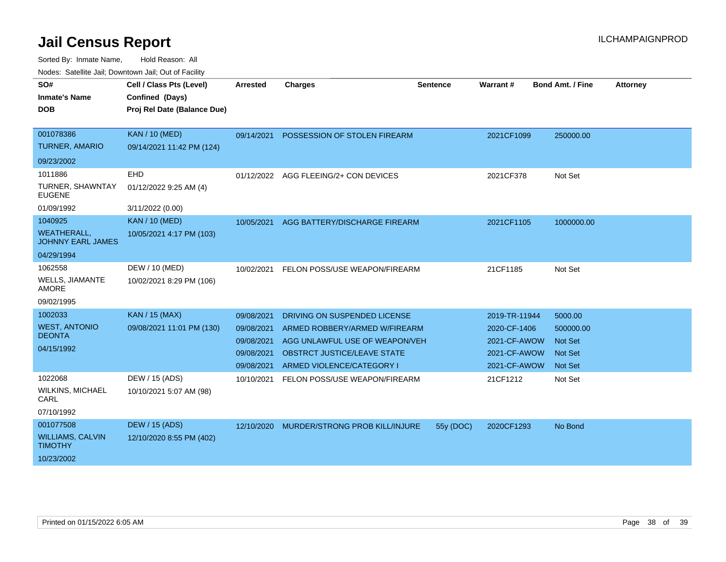| SO#<br><b>Inmate's Name</b><br><b>DOB</b>                                | Cell / Class Pts (Level)<br>Confined (Days)<br>Proj Rel Date (Balance Due) | <b>Arrested</b>                                                    | <b>Charges</b>                                                                                                                                                     | <b>Sentence</b> | Warrant#                                                                      | <b>Bond Amt. / Fine</b>                                                    | <b>Attorney</b> |
|--------------------------------------------------------------------------|----------------------------------------------------------------------------|--------------------------------------------------------------------|--------------------------------------------------------------------------------------------------------------------------------------------------------------------|-----------------|-------------------------------------------------------------------------------|----------------------------------------------------------------------------|-----------------|
| 001078386<br><b>TURNER, AMARIO</b>                                       | <b>KAN / 10 (MED)</b><br>09/14/2021 11:42 PM (124)                         | 09/14/2021                                                         | POSSESSION OF STOLEN FIREARM                                                                                                                                       |                 | 2021CF1099                                                                    | 250000.00                                                                  |                 |
| 09/23/2002<br>1011886<br>TURNER, SHAWNTAY<br><b>EUGENE</b><br>01/09/1992 | EHD<br>01/12/2022 9:25 AM (4)<br>3/11/2022 (0.00)                          | 01/12/2022                                                         | AGG FLEEING/2+ CON DEVICES                                                                                                                                         |                 | 2021CF378                                                                     | Not Set                                                                    |                 |
| 1040925<br><b>WEATHERALL,</b><br><b>JOHNNY EARL JAMES</b><br>04/29/1994  | <b>KAN / 10 (MED)</b><br>10/05/2021 4:17 PM (103)                          | 10/05/2021                                                         | AGG BATTERY/DISCHARGE FIREARM                                                                                                                                      |                 | 2021CF1105                                                                    | 1000000.00                                                                 |                 |
| 1062558<br><b>WELLS, JIAMANTE</b><br><b>AMORE</b><br>09/02/1995          | DEW / 10 (MED)<br>10/02/2021 8:29 PM (106)                                 | 10/02/2021                                                         | FELON POSS/USE WEAPON/FIREARM                                                                                                                                      |                 | 21CF1185                                                                      | Not Set                                                                    |                 |
| 1002033<br><b>WEST, ANTONIO</b><br><b>DEONTA</b><br>04/15/1992           | <b>KAN / 15 (MAX)</b><br>09/08/2021 11:01 PM (130)                         | 09/08/2021<br>09/08/2021<br>09/08/2021<br>09/08/2021<br>09/08/2021 | DRIVING ON SUSPENDED LICENSE<br>ARMED ROBBERY/ARMED W/FIREARM<br>AGG UNLAWFUL USE OF WEAPON/VEH<br><b>OBSTRCT JUSTICE/LEAVE STATE</b><br>ARMED VIOLENCE/CATEGORY I |                 | 2019-TR-11944<br>2020-CF-1406<br>2021-CF-AWOW<br>2021-CF-AWOW<br>2021-CF-AWOW | 5000.00<br>500000.00<br><b>Not Set</b><br><b>Not Set</b><br><b>Not Set</b> |                 |
| 1022068<br><b>WILKINS, MICHAEL</b><br>CARL<br>07/10/1992                 | DEW / 15 (ADS)<br>10/10/2021 5:07 AM (98)                                  | 10/10/2021                                                         | FELON POSS/USE WEAPON/FIREARM                                                                                                                                      |                 | 21CF1212                                                                      | Not Set                                                                    |                 |
| 001077508<br><b>WILLIAMS, CALVIN</b><br><b>TIMOTHY</b><br>10/23/2002     | <b>DEW / 15 (ADS)</b><br>12/10/2020 8:55 PM (402)                          | 12/10/2020                                                         | MURDER/STRONG PROB KILL/INJURE                                                                                                                                     | 55y (DOC)       | 2020CF1293                                                                    | No Bond                                                                    |                 |